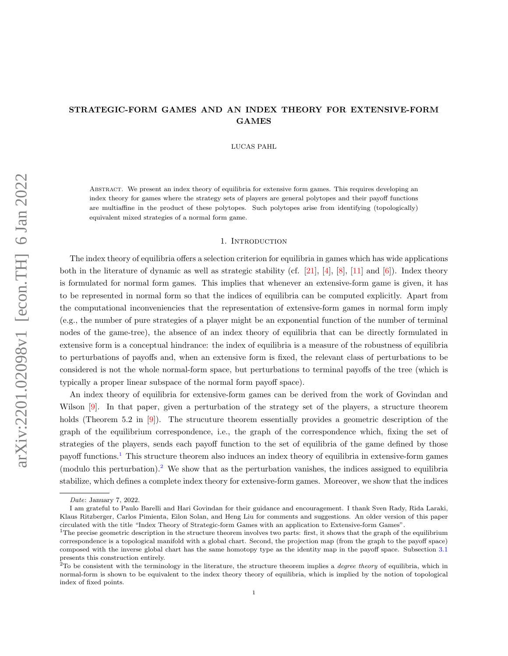# <span id="page-0-0"></span>STRATEGIC-FORM GAMES AND AN INDEX THEORY FOR EXTENSIVE-FORM GAMES

LUCAS PAHL

Abstract. We present an index theory of equilibria for extensive form games. This requires developing an index theory for games where the strategy sets of players are general polytopes and their payoff functions are multiaffine in the product of these polytopes. Such polytopes arise from identifying (topologically) equivalent mixed strategies of a normal form game.

### 1. INTRODUCTION

The index theory of equilibria offers a selection criterion for equilibria in games which has wide applications both in the literature of dynamic as well as strategic stability (cf. [\[21\]](#page-23-0), [\[4\]](#page-22-0), [\[8\]](#page-22-1), [\[11\]](#page-23-1) and [\[6\]](#page-22-2)). Index theory is formulated for normal form games. This implies that whenever an extensive-form game is given, it has to be represented in normal form so that the indices of equilibria can be computed explicitly. Apart from the computational inconveniencies that the representation of extensive-form games in normal form imply (e.g., the number of pure strategies of a player might be an exponential function of the number of terminal nodes of the game-tree), the absence of an index theory of equilibria that can be directly formulated in extensive form is a conceptual hindrance: the index of equilibria is a measure of the robustness of equilibria to perturbations of payoffs and, when an extensive form is fixed, the relevant class of perturbations to be considered is not the whole normal-form space, but perturbations to terminal payoffs of the tree (which is typically a proper linear subspace of the normal form payoff space).

An index theory of equilibria for extensive-form games can be derived from the work of Govindan and Wilson  $[9]$ . In that paper, given a perturbation of the strategy set of the players, a structure theorem holds (Theorem 5.2 in [\[9\]](#page-22-3)). The strucuture theorem essentially provides a geometric description of the graph of the equilibrium correspondence, i.e., the graph of the correspondence which, fixing the set of strategies of the players, sends each payoff function to the set of equilibria of the game defined by those payoff functions.<sup>1</sup> This structure theorem also induces an index theory of equilibria in extensive-form games (modulo this perturbation).<sup>2</sup> We show that as the perturbation vanishes, the indices assigned to equilibria stabilize, which defines a complete index theory for extensive-form games. Moreover, we show that the indices

Date: January 7, 2022.

I am grateful to Paulo Barelli and Hari Govindan for their guidance and encouragement. I thank Sven Rady, Rida Laraki, Klaus Ritzberger, Carlos Pimienta, Eilon Solan, and Heng Liu for comments and suggestions. An older version of this paper circulated with the title "Index Theory of Strategic-form Games with an application to Extensive-form Games".

 $1$ The precise geometric description in the structure theorem involves two parts: first, it shows that the graph of the equilibrium correspondence is a topological manifold with a global chart. Second, the projection map (from the graph to the payoff space) composed with the inverse global chart has the same homotopy type as the identity map in the payoff space. Subsection [3.1](#page-4-0) presents this construction entirely.

 $2$ To be consistent with the terminology in the literature, the structure theorem implies a *degree theory* of equilibria, which in normal-form is shown to be equivalent to the index theory theory of equilibria, which is implied by the notion of topological index of fixed points.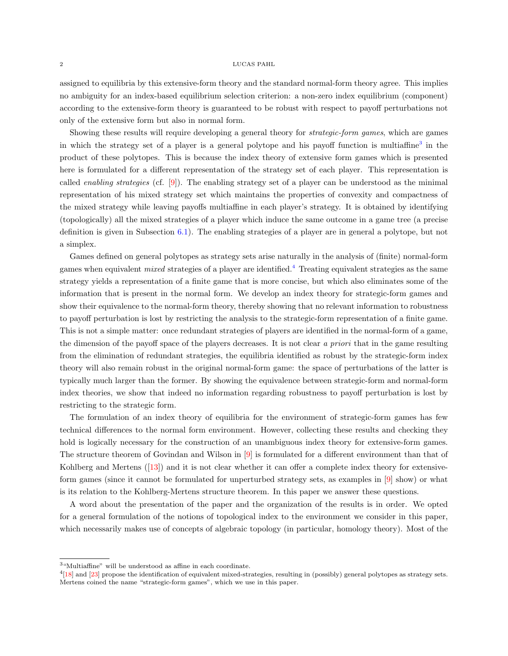#### 2 LUCAS PAHL

assigned to equilibria by this extensive-form theory and the standard normal-form theory agree. This implies no ambiguity for an index-based equilibrium selection criterion: a non-zero index equilibrium (component) according to the extensive-form theory is guaranteed to be robust with respect to payoff perturbations not only of the extensive form but also in normal form.

Showing these results will require developing a general theory for strategic-form games, which are games in which the strategy set of a player is a general polytope and his payoff function is multiaffine<sup>[3](#page-0-0)</sup> in the product of these polytopes. This is because the index theory of extensive form games which is presented here is formulated for a different representation of the strategy set of each player. This representation is called enabling strategies (cf. [\[9\]](#page-22-3)). The enabling strategy set of a player can be understood as the minimal representation of his mixed strategy set which maintains the properties of convexity and compactness of the mixed strategy while leaving payoffs multiaffine in each player's strategy. It is obtained by identifying (topologically) all the mixed strategies of a player which induce the same outcome in a game tree (a precise definition is given in Subsection [6.1\)](#page-10-0). The enabling strategies of a player are in general a polytope, but not a simplex.

Games defined on general polytopes as strategy sets arise naturally in the analysis of (finite) normal-form games when equivalent mixed strategies of a player are identified.[4](#page-0-0) Treating equivalent strategies as the same strategy yields a representation of a finite game that is more concise, but which also eliminates some of the information that is present in the normal form. We develop an index theory for strategic-form games and show their equivalence to the normal-form theory, thereby showing that no relevant information to robustness to payoff perturbation is lost by restricting the analysis to the strategic-form representation of a finite game. This is not a simple matter: once redundant strategies of players are identified in the normal-form of a game, the dimension of the payoff space of the players decreases. It is not clear a priori that in the game resulting from the elimination of redundant strategies, the equilibria identified as robust by the strategic-form index theory will also remain robust in the original normal-form game: the space of perturbations of the latter is typically much larger than the former. By showing the equivalence between strategic-form and normal-form index theories, we show that indeed no information regarding robustness to payoff perturbation is lost by restricting to the strategic form.

The formulation of an index theory of equilibria for the environment of strategic-form games has few technical differences to the normal form environment. However, collecting these results and checking they hold is logically necessary for the construction of an unambiguous index theory for extensive-form games. The structure theorem of Govindan and Wilson in [\[9\]](#page-22-3) is formulated for a different environment than that of Kohlberg and Mertens([\[13\]](#page-23-2)) and it is not clear whether it can offer a complete index theory for extensiveform games (since it cannot be formulated for unperturbed strategy sets, as examples in [\[9\]](#page-22-3) show) or what is its relation to the Kohlberg-Mertens structure theorem. In this paper we answer these questions.

A word about the presentation of the paper and the organization of the results is in order. We opted for a general formulation of the notions of topological index to the environment we consider in this paper, which necessarily makes use of concepts of algebraic topology (in particular, homology theory). Most of the

 $3$ "Multiaffine" will be understood as affine in each coordinate.

<sup>&</sup>lt;sup>4</sup>[\[18\]](#page-23-3) and [\[23\]](#page-23-4) propose the identification of equivalent mixed-strategies, resulting in (possibly) general polytopes as strategy sets. Mertens coined the name "strategic-form games", which we use in this paper.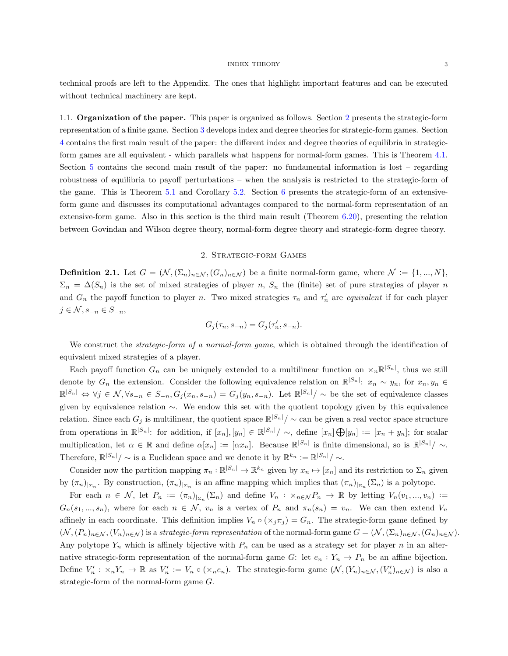technical proofs are left to the Appendix. The ones that highlight important features and can be executed without technical machinery are kept.

1.1. Organization of the paper. This paper is organized as follows. Section [2](#page-2-0) presents the strategic-form representation of a finite game. Section [3](#page-4-1) develops index and degree theories for strategic-form games. Section [4](#page-8-0) contains the first main result of the paper: the different index and degree theories of equilibria in strategicform games are all equivalent - which parallels what happens for normal-form games. This is Theorem [4.1.](#page-8-1) Section [5](#page-8-2) contains the second main result of the paper: no fundamental information is lost – regarding robustness of equilibria to payoff perturbations – when the analysis is restricted to the strategic-form of the game. This is Theorem [5.1](#page-8-3) and Corollary [5.2.](#page-8-4) Section [6](#page-10-1) presents the strategic-form of an extensiveform game and discusses its computational advantages compared to the normal-form representation of an extensive-form game. Also in this section is the third main result (Theorem [6.20\)](#page-19-0), presenting the relation between Govindan and Wilson degree theory, normal-form degree theory and strategic-form degree theory.

# 2. Strategic-form Games

<span id="page-2-0"></span>**Definition 2.1.** Let  $G = (\mathcal{N}, (\Sigma_n)_{n \in \mathcal{N}}, (G_n)_{n \in \mathcal{N}})$  be a finite normal-form game, where  $\mathcal{N} := \{1, ..., N\},$  $\Sigma_n = \Delta(S_n)$  is the set of mixed strategies of player n,  $S_n$  the (finite) set of pure strategies of player n and  $G_n$  the payoff function to player n. Two mixed strategies  $\tau_n$  and  $\tau'_n$  are equivalent if for each player  $j \in \mathcal{N}, s_{-n} \in S_{-n},$ 

$$
G_j(\tau_n, s_{-n}) = G_j(\tau'_n, s_{-n}).
$$

We construct the *strategic-form of a normal-form game*, which is obtained through the identification of equivalent mixed strategies of a player.

Each payoff function  $G_n$  can be uniquely extended to a multilinear function on  $\chi_n \mathbb{R}^{|S_n|}$ , thus we still denote by  $G_n$  the extension. Consider the following equivalence relation on  $\mathbb{R}^{|S_n|}$ :  $x_n \sim y_n$ , for  $x_n, y_n \in$  $\mathbb{R}^{|S_n|} \Leftrightarrow \forall j \in \mathcal{N}, \forall s_{-n} \in S_{-n}, G_j(x_n, s_{-n}) = G_j(y_n, s_{-n}).$  Let  $\mathbb{R}^{|S_n|} / \sim$  be the set of equivalence classes given by equivalence relation ∼. We endow this set with the quotient topology given by this equivalence relation. Since each  $G_j$  is multilinear, the quotient space  $\mathbb{R}^{|S_n|}/\sim$  can be given a real vector space structure from operations in  $\mathbb{R}^{|S_n|}$ : for addition, if  $[x_n], [y_n] \in \mathbb{R}^{|S_n|}/\sim$ , define  $[x_n] \bigoplus [y_n] := [x_n + y_n]$ ; for scalar multiplication, let  $\alpha \in \mathbb{R}$  and define  $\alpha[x_n] := [\alpha x_n]$ . Because  $\mathbb{R}^{|S_n|}$  is finite dimensional, so is  $\mathbb{R}^{|S_n|}/\sim$ . Therefore,  $\mathbb{R}^{|S_n|}/\sim$  is a Euclidean space and we denote it by  $\mathbb{R}^{k_n} := \mathbb{R}^{|S_n|}/\sim$ .

Consider now the partition mapping  $\pi_n : \mathbb{R}^{|S_n|} \to \mathbb{R}^{k_n}$  given by  $x_n \mapsto [x_n]$  and its restriction to  $\Sigma_n$  given by  $(\pi_n)_{|_{\Sigma_n}}$ . By construction,  $(\pi_n)_{|_{\Sigma_n}}$  is an affine mapping which implies that  $(\pi_n)_{|_{\Sigma_n}}(\Sigma_n)$  is a polytope.

For each  $n \in \mathcal{N}$ , let  $P_n := (\pi_n)_{\vert_{\Sigma_n}}(\Sigma_n)$  and define  $V_n : \times_{n \in \mathcal{N}} P_n \to \mathbb{R}$  by letting  $V_n(v_1, ..., v_n) :=$  $G_n(s_1,...,s_n)$ , where for each  $n \in \mathcal{N}$ ,  $v_n$  is a vertex of  $P_n$  and  $\pi_n(s_n) = v_n$ . We can then extend  $V_n$ affinely in each coordinate. This definition implies  $V_n \circ (x_j \pi_j) = G_n$ . The strategic-form game defined by  $(N, (P_n)_{n\in\mathcal{N}}, (V_n)_{n\in\mathcal{N}})$  is a strategic-form representation of the normal-form game  $G = (N, (\Sigma_n)_{n\in\mathcal{N}}, (G_n)_{n\in\mathcal{N}})$ . Any polytope  $Y_n$  which is affinely bijective with  $P_n$  can be used as a strategy set for player n in an alternative strategic-form representation of the normal-form game G: let  $e_n : Y_n \to P_n$  be an affine bijection. Define  $V'_n : \times_n Y_n \to \mathbb{R}$  as  $V'_n := V_n \circ (\times_n e_n)$ . The strategic-form game  $(\mathcal{N}, (Y_n)_{n \in \mathcal{N}}, (V'_n)_{n \in \mathcal{N}})$  is also a strategic-form of the normal-form game G.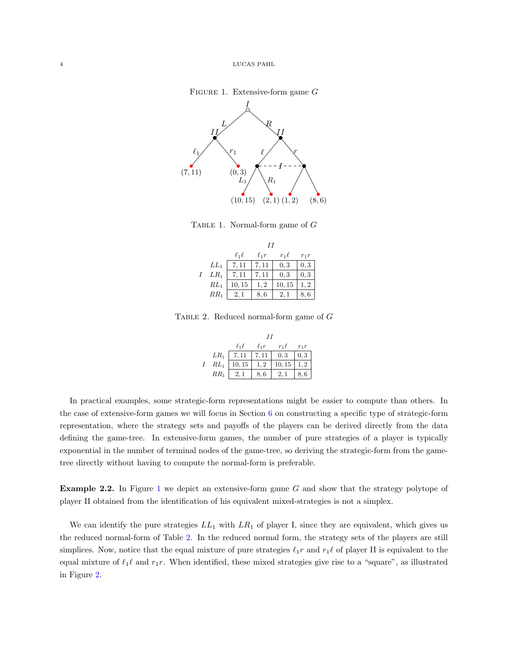### FIGURE 1. Extensive-form game  $G$

<span id="page-3-0"></span>

TABLE 1. Normal-form game of  $G$ 

|          | $\ell_1\ell$ | $\ell_1 r$ | $r_1\ell$ | $r_1r$ |  |  |
|----------|--------------|------------|-----------|--------|--|--|
| $LL_1$   | 7.11         | 7.11       | 0, 3      | 0, 3   |  |  |
| $LR_1$   | 7.11         | 7.11       | 0, 3      | 0, 3   |  |  |
| $RL_1$   | 10, 15       | 1, 2       | 10, 15    | 1, 2   |  |  |
| $RR_{1}$ | 2, 1         | 8,6        | 2.1       | 8.6    |  |  |

Table 2. Reduced normal-form game of G

|        | $\ell_1\ell$ | $\ell_1 r$ | $r_1\ell$ | $r_1r$    |  |  |
|--------|--------------|------------|-----------|-----------|--|--|
| $LR_1$ | 7,11         | 7.11       | 0, 3      | 0, 3      |  |  |
| $RL_1$ | 10, 15       | 1.2        | 10, 15    | $\cdot$ 2 |  |  |
| $RR_1$ | 2, 1         | 8,6        | 2, 1      | 8,        |  |  |

<span id="page-3-1"></span>In practical examples, some strategic-form representations might be easier to compute than others. In the case of extensive-form games we will focus in Section [6](#page-10-1) on constructing a specific type of strategic-form representation, where the strategy sets and payoffs of the players can be derived directly from the data defining the game-tree. In extensive-form games, the number of pure strategies of a player is typically exponential in the number of terminal nodes of the game-tree, so deriving the strategic-form from the gametree directly without having to compute the normal-form is preferable.

<span id="page-3-2"></span>Example 2.2. In Figure [1](#page-3-0) we depict an extensive-form game G and show that the strategy polytope of player II obtained from the identification of his equivalent mixed-strategies is not a simplex.

We can identify the pure strategies  $LL_1$  with  $LR_1$  of player I, since they are equivalent, which gives us the reduced normal-form of Table [2.](#page-3-1) In the reduced normal form, the strategy sets of the players are still simplices. Now, notice that the equal mixture of pure strategies  $\ell_1r$  and  $r_1\ell$  of player II is equivalent to the equal mixture of  $\ell_1\ell$  and  $r_1r$ . When identified, these mixed strategies give rise to a "square", as illustrated in Figure [2.](#page-4-2)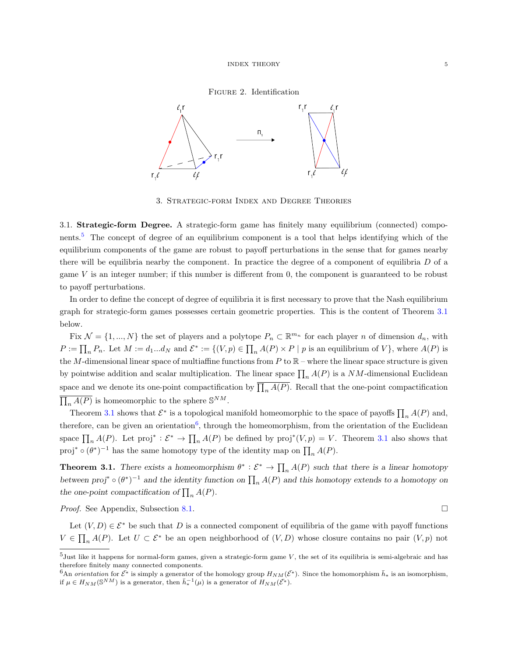### Figure 2. Identification

<span id="page-4-2"></span>

3. Strategic-form Index and Degree Theories

<span id="page-4-1"></span><span id="page-4-0"></span>3.1. Strategic-form Degree. A strategic-form game has finitely many equilibrium (connected) components.[5](#page-0-0) The concept of degree of an equilibrium component is a tool that helps identifying which of the equilibrium components of the game are robust to payoff perturbations in the sense that for games nearby there will be equilibria nearby the component. In practice the degree of a component of equilibria  $D$  of a game  $V$  is an integer number; if this number is different from 0, the component is guaranteed to be robust to payoff perturbations.

In order to define the concept of degree of equilibria it is first necessary to prove that the Nash equilibrium graph for strategic-form games possesses certain geometric properties. This is the content of Theorem [3.1](#page-4-3) below.

Fix  $\mathcal{N} = \{1, ..., N\}$  the set of players and a polytope  $P_n \subset \mathbb{R}^{m_n}$  for each player n of dimension  $d_n$ , with  $P := \prod_n P_n$ . Let  $M := d_1...d_N$  and  $\mathcal{E}^* := \{(V, p) \in \prod_n A(P) \times P \mid p$  is an equilibrium of  $V\}$ , where  $A(P)$  is the M-dimensional linear space of multiaffine functions from  $P$  to  $\mathbb{R}$  – where the linear space structure is given by pointwise addition and scalar multiplication. The linear space  $\prod_n A(P)$  is a NM-dimensional Euclidean space and we denote its one-point compactification by  $\prod_n A(P)$ . Recall that the one-point compactification  $\overline{\prod_n A(P)}$  is homeomorphic to the sphere  $\mathbb{S}^{NM}$ .

Theorem [3.1](#page-4-3) shows that  $\mathcal{E}^*$  is a topological manifold homeomorphic to the space of payoffs  $\prod_n A(P)$  and, therefore, can be given an orientation<sup>[6](#page-0-0)</sup>, through the homeomorphism, from the orientation of the Euclidean space  $\prod_n A(P)$ . Let proj<sup>∗</sup> :  $\mathcal{E}^* \to \prod_n A(P)$  be defined by proj<sup>\*</sup>(V, p) = V. Theorem [3.1](#page-4-3) also shows that proj<sup>∗</sup>  $\circ (\theta^*)^{-1}$  has the same homotopy type of the identity map on  $\prod_n A(P)$ .

<span id="page-4-3"></span>**Theorem 3.1.** There exists a homeomorphism  $\theta^* : \mathcal{E}^* \to \prod_n A(P)$  such that there is a linear homotopy between  $proj^* \circ (\theta^*)^{-1}$  and the identity function on  $\prod_n A(P)$  and this homotopy extends to a homotopy on the one-point compactification of  $\prod_n A(P)$ .

*Proof.* See Appendix, Subsection [8.1.](#page-23-5) □

Let  $(V, D) \in \mathcal{E}^*$  be such that D is a connected component of equilibria of the game with payoff functions  $V \in \prod_n A(P)$ . Let  $U \subset \mathcal{E}^*$  be an open neighborhood of  $(V, D)$  whose closure contains no pair  $(V, p)$  not

 $5$ Just like it happens for normal-form games, given a strategic-form game  $V$ , the set of its equilibria is semi-algebraic and has therefore finitely many connected components.

 $6An$  *orientation* for  $\bar{\mathcal{E}}^*$  is simply a generator of the homology group  $H_{NM}(\bar{\mathcal{E}^*})$ . Since the homomorphism  $\bar{h}_*$  is an isomorphism, if  $\mu \in H_{NM}(\mathbb{S}^{NM})$  is a generator, then  $\bar{h}_*^{-1}(\mu)$  is a generator of  $H_{NM}(\bar{\mathcal{E}^*})$ .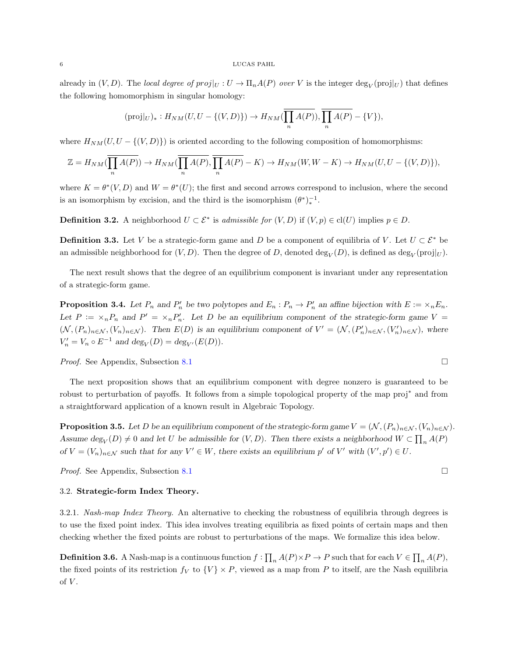#### $6$   $\,$   $\,$  LUCAS PAHL

already in  $(V, D)$ . The local degree of  $proj|_U : U \to \Pi_n A(P)$  over V is the integer  $\deg_V(proj|_U)$  that defines the following homomorphism in singular homology:

$$
(\text{proj}|_U)_*: H_{NM}(U, U - \{(V, D)\}) \to H_{NM}(\overline{\prod_n A(P)}), \overline{\prod_n A(P)} - \{V\}),
$$

where  $H_{NM}(U, U - \{(V, D)\})$  is oriented according to the following composition of homomorphisms:

$$
\mathbb{Z} = H_{NM}(\overline{\prod_n A(P)}) \to H_{NM}(\overline{\prod_n A(P)}, \overline{\prod_n A(P)} - K) \to H_{NM}(W, W - K) \to H_{NM}(U, U - \{(V, D)\}),
$$

where  $K = \theta^*(V, D)$  and  $W = \theta^*(U)$ ; the first and second arrows correspond to inclusion, where the second is an isomorphism by excision, and the third is the isomorphism  $(\theta^*)_*^{-1}$ .

**Definition 3.2.** A neighborhood  $U \subset \mathcal{E}^*$  is admissible for  $(V, D)$  if  $(V, p) \in cl(U)$  implies  $p \in D$ .

**Definition 3.3.** Let V be a strategic-form game and D be a component of equilibria of V. Let  $U \subset \mathcal{E}^*$  be an admissible neighborhood for  $(V, D)$ . Then the degree of D, denoted  $\deg_V(D)$ , is defined as  $\deg_V(\text{proj}|_U)$ .

The next result shows that the degree of an equilibrium component is invariant under any representation of a strategic-form game.

<span id="page-5-1"></span>**Proposition 3.4.** Let  $P_n$  and  $P'_n$  be two polytopes and  $E_n : P_n \to P'_n$  an affine bijection with  $E := \{x_n E_n\}$ . Let  $P := \langle x_n P_n \rangle$  and  $P' = \langle x_n P'_n \rangle$ . Let D be an equilibrium component of the strategic-form game V  $(\mathcal{N}, (P_n)_{n \in \mathcal{N}}, (V_n)_{n \in \mathcal{N}})$ . Then  $E(D)$  is an equilibrium component of  $V' = (\mathcal{N}, (P'_n)_{n \in \mathcal{N}}, (V'_n)_{n \in \mathcal{N}})$ , where  $V'_n = V_n \circ E^{-1}$  and  $deg_V(D) = deg_{V'}(E(D)).$ 

*Proof.* See Appendix, Subsection [8.1](#page-23-5) □

The next proposition shows that an equilibrium component with degree nonzero is guaranteed to be robust to perturbation of payoffs. It follows from a simple topological property of the map proj<sup>∗</sup> and from a straightforward application of a known result in Algebraic Topology.

<span id="page-5-0"></span>**Proposition 3.5.** Let D be an equilibrium component of the strategic-form game  $V = (\mathcal{N}, (P_n)_{n \in \mathcal{N}}, (V_n)_{n \in \mathcal{N}})$ . Assume  $\deg_V(D) \neq 0$  and let U be admissible for  $(V, D)$ . Then there exists a neighborhood  $W \subset \prod_n A(P)$ of  $V = (V_n)_{n \in \mathcal{N}}$  such that for any  $V' \in W$ , there exists an equilibrium p' of V' with  $(V', p') \in U$ .

Proof. See Appendix, Subsection [8.1](#page-23-5)

### <span id="page-5-3"></span>3.2. Strategic-form Index Theory.

<span id="page-5-2"></span>3.2.1. Nash-map Index Theory. An alternative to checking the robustness of equilibria through degrees is to use the fixed point index. This idea involves treating equilibria as fixed points of certain maps and then checking whether the fixed points are robust to perturbations of the maps. We formalize this idea below.

**Definition 3.6.** A Nash-map is a continuous function  $f: \prod_n A(P) \times P \to P$  such that for each  $V \in \prod_n A(P)$ , the fixed points of its restriction  $f_V$  to  $\{V\} \times P$ , viewed as a map from P to itself, are the Nash equilibria of  $V$ .

$$
\Box
$$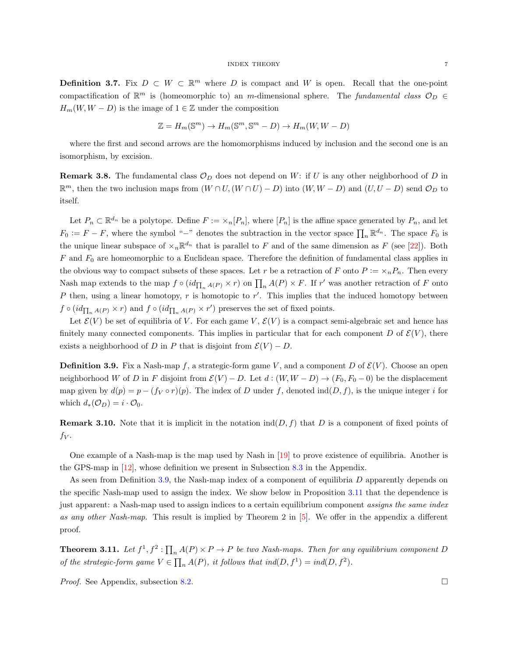### $\begin{tabular}{ll} \bf{INDEX} \hspace{0.3cm} \bf{THEORY} \hspace{0.3cm} \end{tabular}$

**Definition 3.7.** Fix  $D \subset W \subset \mathbb{R}^m$  where D is compact and W is open. Recall that the one-point compactification of  $\mathbb{R}^m$  is (homeomorphic to) an m-dimensional sphere. The fundamental class  $\mathcal{O}_D$   $\in$  $H_m(W, W - D)$  is the image of  $1 \in \mathbb{Z}$  under the composition

$$
\mathbb{Z} = H_m(\mathbb{S}^m) \to H_m(\mathbb{S}^m, \mathbb{S}^m - D) \to H_m(W, W - D)
$$

where the first and second arrows are the homomorphisms induced by inclusion and the second one is an isomorphism, by excision.

**Remark 3.8.** The fundamental class  $\mathcal{O}_D$  does not depend on W: if U is any other neighborhood of D in  $\mathbb{R}^m$ , then the two inclusion maps from  $(W \cap U, (W \cap U) - D)$  into  $(W, W - D)$  and  $(U, U - D)$  send  $\mathcal{O}_D$  to itself.

Let  $P_n \subset \mathbb{R}^{d_n}$  be a polytope. Define  $F := \langle X_n[P_n], \text{ where } [P_n] \text{ is the affine space generated by } P_n$ , and let  $F_0 := F - F$ , where the symbol "-" denotes the subtraction in the vector space  $\prod_n \mathbb{R}^{d_n}$ . The space  $F_0$  is the unique linear subspace of  $\times_n \mathbb{R}^{d_n}$  that is parallel to F and of the same dimension as F (see [\[22\]](#page-23-6)). Both  $F$  and  $F_0$  are homeomorphic to a Euclidean space. Therefore the definition of fundamental class applies in the obvious way to compact subsets of these spaces. Let r be a retraction of F onto  $P := \langle n, P_n \rangle$ . Then every Nash map extends to the map  $f \circ (id_{\prod_n A(P)} \times r)$  on  $\prod_n A(P) \times F$ . If r' was another retraction of F onto P then, using a linear homotopy,  $r$  is homotopic to  $r'$ . This implies that the induced homotopy between  $f \circ (id_{\prod_n A(P)} \times r)$  and  $f \circ (id_{\prod_n A(P)} \times r')$  preserves the set of fixed points.

Let  $\mathcal{E}(V)$  be set of equilibria of V. For each game V,  $\mathcal{E}(V)$  is a compact semi-algebraic set and hence has finitely many connected components. This implies in particular that for each component D of  $\mathcal{E}(V)$ , there exists a neighborhood of D in P that is disjoint from  $\mathcal{E}(V) - D$ .

<span id="page-6-0"></span>**Definition 3.9.** Fix a Nash-map f, a strategic-form game V, and a component D of  $\mathcal{E}(V)$ . Choose an open neighborhood W of D in F disjoint from  $\mathcal{E}(V) - D$ . Let  $d : (W, W - D) \to (F_0, F_0 - 0)$  be the displacement map given by  $d(p) = p - (f_V \circ r)(p)$ . The index of D under f, denoted ind(D, f), is the unique integer i for which  $d_*(\mathcal{O}_D) = i \cdot \mathcal{O}_0$ .

**Remark 3.10.** Note that it is implicit in the notation  $\text{ind}(D, f)$  that D is a component of fixed points of  $f_V$ .

One example of a Nash-map is the map used by Nash in [\[19\]](#page-23-7) to prove existence of equilibria. Another is the GPS-map in [\[12\]](#page-23-8), whose definition we present in Subsection [8.3](#page-28-0) in the Appendix.

As seen from Definition [3.9,](#page-6-0) the Nash-map index of a component of equilibria D apparently depends on the specific Nash-map used to assign the index. We show below in Proposition [3.11](#page-6-1) that the dependence is just apparent: a Nash-map used to assign indices to a certain equilibrium component assigns the same index as any other Nash-map. This result is implied by Theorem 2 in [\[5\]](#page-22-4). We offer in the appendix a different proof.

<span id="page-6-1"></span>**Theorem 3.11.** Let  $f^1, f^2: \prod_n A(P) \times P \to P$  be two Nash-maps. Then for any equilibrium component D of the strategic-form game  $V \in \prod_n A(P)$ , it follows that  $ind(D, f^1) = ind(D, f^2)$ .

*Proof.* See Appendix, subsection [8.2.](#page-27-0) □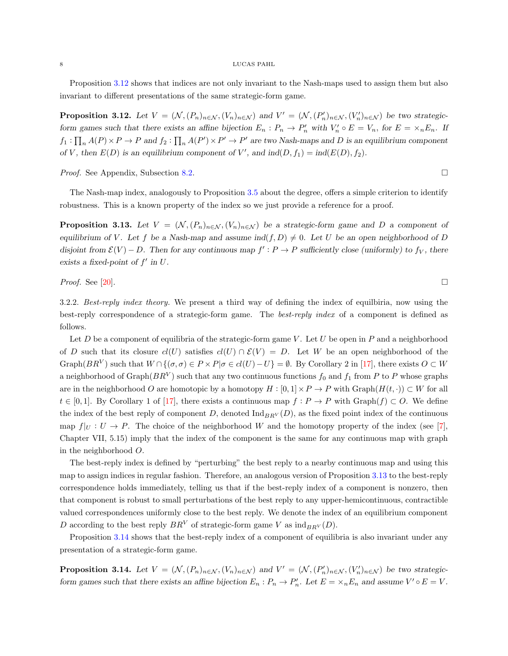### $8\,$   $-$  LUCAS PAHL

Proposition [3.12](#page-7-0) shows that indices are not only invariant to the Nash-maps used to assign them but also invariant to different presentations of the same strategic-form game.

<span id="page-7-0"></span>**Proposition 3.12.** Let  $V = (\mathcal{N}, (P_n)_{n \in \mathcal{N}}, (V_n)_{n \in \mathcal{N}})$  and  $V' = (\mathcal{N}, (P'_n)_{n \in \mathcal{N}}, (V'_n)_{n \in \mathcal{N}})$  be two strategicform games such that there exists an affine bijection  $E_n : P_n \to P'_n$  with  $V'_n \circ E = V_n$ , for  $E = \times_n E_n$ . If  $f_1: \prod_n A(P) \times P \to P$  and  $f_2: \prod_n A(P') \times P' \to P'$  are two Nash-maps and D is an equilibrium component of V, then  $E(D)$  is an equilibrium component of V', and  $ind(D, f_1) = ind(E(D), f_2)$ .

*Proof.* See Appendix, Subsection [8.2.](#page-27-0) □

The Nash-map index, analogously to Proposition [3.5](#page-5-0) about the degree, offers a simple criterion to identify robustness. This is a known property of the index so we just provide a reference for a proof.

<span id="page-7-1"></span>**Proposition 3.13.** Let  $V = (N, (P_n)_{n \in \mathcal{N}}, (V_n)_{n \in \mathcal{N}})$  be a strategic-form game and D a component of equilibrium of V. Let f be a Nash-map and assume  $\text{ind}(f, D) \neq 0$ . Let U be an open neighborhood of D disjoint from  $\mathcal{E}(V) - D$ . Then for any continuous map  $f' : P \to P$  sufficiently close (uniformly) to  $f_V$ , there exists a fixed-point of  $f'$  in  $U$ .

*Proof.* See [\[20\]](#page-23-9).

<span id="page-7-3"></span>3.2.2. Best-reply index theory. We present a third way of defining the index of equilbiria, now using the best-reply correspondence of a strategic-form game. The best-reply index of a component is defined as follows.

Let D be a component of equilibria of the strategic-form game V. Let U be open in P and a neighborhood of D such that its closure  $cl(U)$  satisfies  $cl(U) \cap \mathcal{E}(V) = D$ . Let W be an open neighborhood of the Graph $(BR^V)$  such that  $W \cap \{(\sigma, \sigma) \in P \times P | \sigma \in cl(U) - U\} = \emptyset$ . By Corollary 2 in [\[17\]](#page-23-10), there exists  $O \subset W$ a neighborhood of Graph $(BR^V)$  such that any two continuous functions  $f_0$  and  $f_1$  from P to P whose graphs are in the neighborhood O are homotopic by a homotopy  $H : [0, 1] \times P \to P$  with  $Graph(H(t, \cdot)) \subset W$  for all  $t \in [0,1]$ . By Corollary 1 of [\[17\]](#page-23-10), there exists a continuous map  $f: P \to P$  with  $\text{Graph}(f) \subset O$ . We define the index of the best reply of component D, denoted  $\text{Ind}_{BRV}(D)$ , as the fixed point index of the continuous map  $f|_U : U \to P$ . The choice of the neighborhood W and the homotopy property of the index (see [\[7\]](#page-22-5), Chapter VII, 5.15) imply that the index of the component is the same for any continuous map with graph in the neighborhood O.

The best-reply index is defined by "perturbing" the best reply to a nearby continuous map and using this map to assign indices in regular fashion. Therefore, an analogous version of Proposition [3.13](#page-7-1) to the best-reply correspondence holds immediately, telling us that if the best-reply index of a component is nonzero, then that component is robust to small perturbations of the best reply to any upper-hemicontinuous, contractible valued correspondences uniformly close to the best reply. We denote the index of an equilibrium component D according to the best reply  $BR<sup>V</sup>$  of strategic-form game V as  $ind_{BR<sup>V</sup>}(D)$ .

Proposition [3.14](#page-7-2) shows that the best-reply index of a component of equilibria is also invariant under any presentation of a strategic-form game.

<span id="page-7-2"></span>**Proposition 3.14.** Let  $V = (\mathcal{N}, (P_n)_{n \in \mathcal{N}}, (V_n)_{n \in \mathcal{N}})$  and  $V' = (\mathcal{N}, (P'_n)_{n \in \mathcal{N}}, (V'_n)_{n \in \mathcal{N}})$  be two strategicform games such that there exists an affine bijection  $E_n : P_n \to P'_n$ . Let  $E = \times_n E_n$  and assume  $V' \circ E = V$ .

$$
\mathcal{L}_{\mathcal{A}}(x)
$$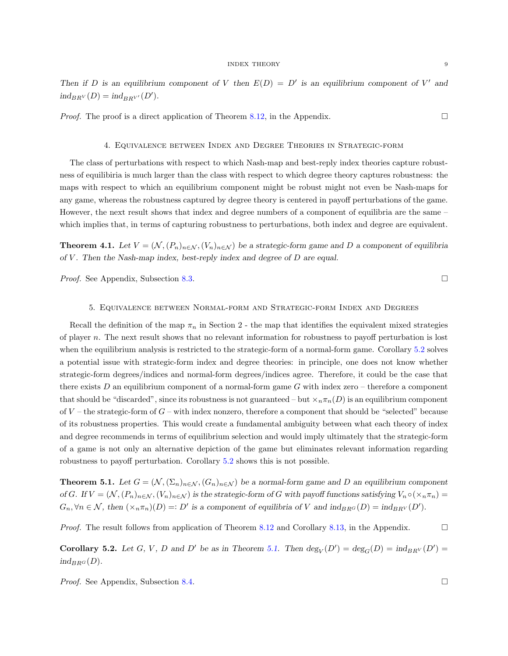Then if D is an equilibrium component of V then  $E(D) = D'$  is an equilibrium component of V' and  $ind_{BRV}(D) = ind_{BRV'}(D').$ 

*Proof.* The proof is a direct application of Theorem [8.12,](#page-32-0) in the Appendix.  $\square$ 

### 4. Equivalence between Index and Degree Theories in Strategic-form

<span id="page-8-0"></span>The class of perturbations with respect to which Nash-map and best-reply index theories capture robustness of equilibiria is much larger than the class with respect to which degree theory captures robustness: the maps with respect to which an equilibrium component might be robust might not even be Nash-maps for any game, whereas the robustness captured by degree theory is centered in payoff perturbations of the game. However, the next result shows that index and degree numbers of a component of equilibria are the same – which implies that, in terms of capturing robustness to perturbations, both index and degree are equivalent.

<span id="page-8-1"></span>**Theorem 4.1.** Let  $V = (\mathcal{N}, (P_n)_{n \in \mathcal{N}}, (V_n)_{n \in \mathcal{N}})$  be a strategic-form game and D a component of equilibria of  $V$ . Then the Nash-map index, best-reply index and degree of  $D$  are equal.

*Proof.* See Appendix, Subsection [8.3.](#page-28-0) □

### 5. Equivalence between Normal-form and Strategic-form Index and Degrees

<span id="page-8-2"></span>Recall the definition of the map  $\pi_n$  in Section 2 - the map that identifies the equivalent mixed strategies of player n. The next result shows that no relevant information for robustness to payoff perturbation is lost when the equilibrium analysis is restricted to the strategic-form of a normal-form game. Corollary [5.2](#page-8-4) solves a potential issue with strategic-form index and degree theories: in principle, one does not know whether strategic-form degrees/indices and normal-form degrees/indices agree. Therefore, it could be the case that there exists  $D$  an equilibrium component of a normal-form game  $G$  with index zero – therefore a component that should be "discarded", since its robustness is not guaranteed – but  $\times_n \pi_n(D)$  is an equilibrium component of  $V$  – the strategic-form of  $G$  – with index nonzero, therefore a component that should be "selected" because of its robustness properties. This would create a fundamental ambiguity between what each theory of index and degree recommends in terms of equilibrium selection and would imply ultimately that the strategic-form of a game is not only an alternative depiction of the game but eliminates relevant information regarding robustness to payoff perturbation. Corollary [5.2](#page-8-4) shows this is not possible.

<span id="page-8-3"></span>**Theorem 5.1.** Let  $G = (\mathcal{N}, (\Sigma_n)_{n \in \mathcal{N}}, (G_n)_{n \in \mathcal{N}})$  be a normal-form game and D an equilibrium component of G. If  $V = (\mathcal{N}, (P_n)_{n \in \mathcal{N}}, (V_n)_{n \in \mathcal{N}})$  is the strategic-form of G with payoff functions satisfying  $V_n \circ (\times_n \pi_n) =$  $G_n, \forall n \in \mathcal{N}$ , then  $(\times_n \pi_n)(D) =: D'$  is a component of equilibria of V and  $\text{ind}_{BR^G}(D) = \text{ind}_{BR^V}(D').$ 

*Proof.* The result follows from application of Theorem [8.12](#page-32-0) and Corollary [8.13,](#page-32-1) in the Appendix.  $\square$ 

<span id="page-8-4"></span>**Corollary 5.2.** Let G, V, D and D' be as in Theorem [5.1.](#page-8-3) Then  $\deg_V(D') = \deg_G(D) = \text{ind}_{BRV}(D') =$  $ind_{BRG}(D)$ .

*Proof.* See Appendix, Subsection [8.4.](#page-32-2) □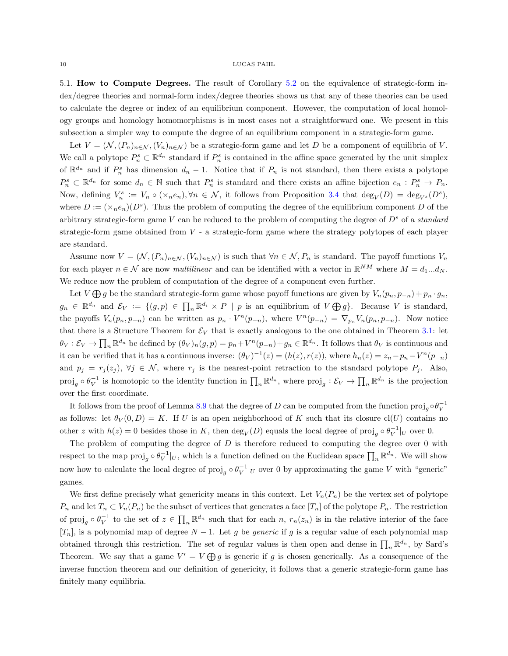#### $10\,$   $\,$  LUCAS PAHL

<span id="page-9-0"></span>5.1. How to Compute Degrees. The result of Corollary [5.2](#page-8-4) on the equivalence of strategic-form index/degree theories and normal-form index/degree theories shows us that any of these theories can be used to calculate the degree or index of an equilibrium component. However, the computation of local homology groups and homology homomorphisms is in most cases not a straightforward one. We present in this subsection a simpler way to compute the degree of an equilibrium component in a strategic-form game.

Let  $V = (\mathcal{N}, (P_n)_{n \in \mathcal{N}}, (V_n)_{n \in \mathcal{N}})$  be a strategic-form game and let D be a component of equilibria of V. We call a polytope  $P_n^s \subset \mathbb{R}^{d_n}$  standard if  $P_n^s$  is contained in the affine space generated by the unit simplex of  $\mathbb{R}^{d_n}$  and if  $P_n^s$  has dimension  $d_n - 1$ . Notice that if  $P_n$  is not standard, then there exists a polytope  $P_n^s \subset \mathbb{R}^{d_n}$  for some  $d_n \in \mathbb{N}$  such that  $P_n^s$  is standard and there exists an affine bijection  $e_n : P_n^s \to P_n$ . Now, defining  $V_n^s := V_n \circ (\times_n e_n), \forall n \in \mathcal{N}$ , it follows from Proposition [3.4](#page-5-1) that  $\deg_V(D) = \deg_{V^s}(D^s)$ , where  $D := (\times_n e_n)(D^s)$ . Thus the problem of computing the degree of the equilibrium component D of the arbitrary strategic-form game V can be reduced to the problem of computing the degree of  $D<sup>s</sup>$  of a standard strategic-form game obtained from  $V$  - a strategic-form game where the strategy polytopes of each player are standard.

Assume now  $V = (\mathcal{N}, (P_n)_{n \in \mathcal{N}}, (V_n)_{n \in \mathcal{N}})$  is such that  $\forall n \in \mathcal{N}, P_n$  is standard. The payoff functions  $V_n$ for each player  $n \in \mathcal{N}$  are now *multilinear* and can be identified with a vector in  $\mathbb{R}^{NM}$  where  $M = d_1...d_N$ . We reduce now the problem of computation of the degree of a component even further.

Let  $V \bigoplus g$  be the standard strategic-form game whose payoff functions are given by  $V_n(p_n, p_{-n}) + p_n \cdot g_n$ ,  $g_n \in \mathbb{R}^{d_n}$  and  $\mathcal{E}_V := \{(g, p) \in \prod_n \mathbb{R}^{d_i} \times P \mid p \text{ is an equilibrium of } V \bigoplus g\}.$  Because V is standard, the payoffs  $V_n(p_n, p_{-n})$  can be written as  $p_n \cdot V^n(p_{-n})$ , where  $V^n(p_{-n}) = \nabla_{p_n} V_n(p_n, p_{-n})$ . Now notice that there is a Structure Theorem for  $\mathcal{E}_V$  that is exactly analogous to the one obtained in Theorem [3.1:](#page-4-3) let  $\theta_V : \mathcal{E}_V \to \prod_n \mathbb{R}^{d_n}$  be defined by  $(\theta_V)_n(g, p) = p_n + V^n(p_{-n}) + g_n \in \mathbb{R}^{d_n}$ . It follows that  $\theta_V$  is continuous and it can be verified that it has a continuous inverse:  $(\theta_V)^{-1}(z) = (h(z), r(z))$ , where  $h_n(z) = z_n - p_n - V^n(p_{-n})$ and  $p_j = r_j(z_j)$ ,  $\forall j \in \mathcal{N}$ , where  $r_j$  is the nearest-point retraction to the standard polytope  $P_j$ . Also,  $\text{proj}_g \circ \theta_V^{-1}$  is homotopic to the identity function in  $\prod_n \mathbb{R}^{d_n}$ , where  $\text{proj}_g : \mathcal{E}_V \to \prod_n \mathbb{R}^{d_n}$  is the projection over the first coordinate.

It follows from the proof of Lemma [8.9](#page-28-1) that the degree of D can be computed from the function  $proj_g \circ \theta_V^{-1}$ as follows: let  $\theta_V(0,D) = K$ . If U is an open neighborhood of K such that its closure cl(U) contains no other z with  $h(z) = 0$  besides those in K, then  $\deg_V(D)$  equals the local degree of  $\text{proj}_g \circ \theta_V^{-1}|_U$  over 0.

The problem of computing the degree of  $D$  is therefore reduced to computing the degree over  $0$  with respect to the map  $\text{proj}_g \circ \theta_V^{-1}|_U$ , which is a function defined on the Euclidean space  $\prod_n \mathbb{R}^{d_n}$ . We will show now how to calculate the local degree of  $\text{proj}_g \circ \theta_V^{-1}|_U$  over 0 by approximating the game V with "generic" games.

We first define precisely what genericity means in this context. Let  $V_n(P_n)$  be the vertex set of polytope  $P_n$  and let  $T_n \subset V_n(P_n)$  be the subset of vertices that generates a face  $[T_n]$  of the polytope  $P_n$ . The restriction of  $\text{proj}_g \circ \theta_V^{-1}$  to the set of  $z \in \prod_n \mathbb{R}^{d_n}$  such that for each n,  $r_n(z_n)$  is in the relative interior of the face  $[T_n]$ , is a polynomial map of degree  $N-1$ . Let g be generic if g is a regular value of each polynomial map obtained through this restriction. The set of regular values is then open and dense in  $\prod_n \mathbb{R}^{d_n}$ , by Sard's Theorem. We say that a game  $V' = V \bigoplus g$  is generic if g is chosen generically. As a consequence of the inverse function theorem and our definition of genericity, it follows that a generic strategic-form game has finitely many equilibria.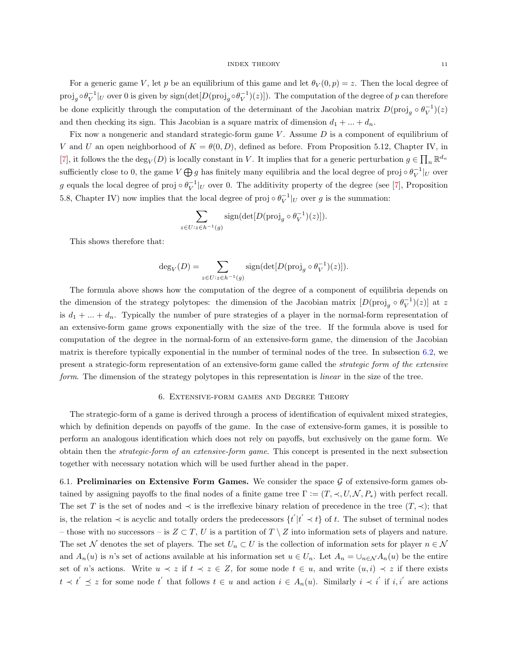For a generic game V, let p be an equilibrium of this game and let  $\theta_V(0, p) = z$ . Then the local degree of  $proj_g \circ \theta_V^{-1}|_U$  over 0 is given by  $sign(det[D(proj_g \circ \theta_V^{-1})(z)])$ . The computation of the degree of p can therefore be done explicitly through the computation of the determinant of the Jacobian matrix  $D(\text{proj}_g \circ \theta_V^{-1})(z)$ and then checking its sign. This Jacobian is a square matrix of dimension  $d_1 + ... + d_n$ .

Fix now a nongeneric and standard strategic-form game V. Assume D is a component of equilibrium of V and U an open neighborhood of  $K = \theta(0, D)$ , defined as before. From Proposition 5.12, Chapter IV, in [\[7\]](#page-22-5), it follows the the  $\deg_V(D)$  is locally constant in V. It implies that for a generic perturbation  $g \in \prod_n \mathbb{R}^{d_n}$ sufficiently close to 0, the game  $V \bigoplus g$  has finitely many equilibria and the local degree of proj  $\circ \theta_V^{-1}|_U$  over g equals the local degree of proj ∘  $\theta_V^{-1}|_U$  over 0. The additivity property of the degree (see [\[7\]](#page-22-5), Proposition 5.8, Chapter IV) now implies that the local degree of proj  $\circ \theta_V^{-1}|_U$  over g is the summation:

$$
\sum_{z \in U : z \in h^{-1}(g)} sign(\det[D(\text{proj}_g \circ \theta_V^{-1})(z)]).
$$

This shows therefore that:

$$
\deg_V(D) = \sum_{z \in U : z \in h^{-1}(g)} sign(\det[D(\text{proj}_g \circ \theta_V^{-1})(z)]).
$$

The formula above shows how the computation of the degree of a component of equilibria depends on the dimension of the strategy polytopes: the dimension of the Jacobian matrix  $[D(\text{proj}_g \circ \theta_V^{-1})(z)]$  at z is  $d_1 + \ldots + d_n$ . Typically the number of pure strategies of a player in the normal-form representation of an extensive-form game grows exponentially with the size of the tree. If the formula above is used for computation of the degree in the normal-form of an extensive-form game, the dimension of the Jacobian matrix is therefore typically exponential in the number of terminal nodes of the tree. In subsection [6.2,](#page-12-0) we present a strategic-form representation of an extensive-form game called the strategic form of the extensive form. The dimension of the strategy polytopes in this representation is *linear* in the size of the tree.

### 6. Extensive-form games and Degree Theory

<span id="page-10-1"></span>The strategic-form of a game is derived through a process of identification of equivalent mixed strategies, which by definition depends on payoffs of the game. In the case of extensive-form games, it is possible to perform an analogous identification which does not rely on payoffs, but exclusively on the game form. We obtain then the strategic-form of an extensive-form game. This concept is presented in the next subsection together with necessary notation which will be used further ahead in the paper.

<span id="page-10-0"></span>6.1. Preliminaries on Extensive Form Games. We consider the space  $\mathcal G$  of extensive-form games obtained by assigning payoffs to the final nodes of a finite game tree  $\Gamma := (T, \prec, U, \mathcal{N}, P_*)$  with perfect recall. The set T is the set of nodes and  $\prec$  is the irreflexive binary relation of precedence in the tree  $(T, \prec)$ ; that is, the relation  $\prec$  is acyclic and totally orders the predecessors  $\{t^{'}|t^{'} \prec t\}$  of t. The subset of terminal nodes – those with no successors – is  $Z \subset T$ , U is a partition of T \ Z into information sets of players and nature. The set N denotes the set of players. The set  $U_n \subset U$  is the collection of information sets for player  $n \in \mathcal{N}$ and  $A_n(u)$  is n's set of actions available at his information set  $u \in U_n$ . Let  $A_n = \bigcup_{n \in \mathcal{N}} A_n(u)$  be the entire set of n's actions. Write  $u \prec z$  if  $t \prec z \in Z$ , for some node  $t \in u$ , and write  $(u, i) \prec z$  if there exists  $t \lt t' \leq z$  for some node t' that follows  $t \in u$  and action  $i \in A_n(u)$ . Similarly  $i \lt i'$  if  $i, i'$  are actions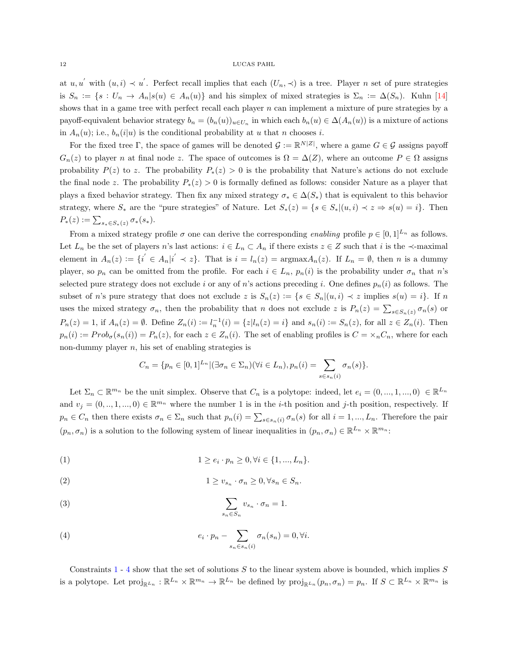at  $u, u'$  with  $(u, i) \prec u'$ . Perfect recall implies that each  $(U_n, \prec)$  is a tree. Player n set of pure strategies is  $S_n := \{s : U_n \to A_n | s(u) \in A_n(u)\}\$ and his simplex of mixed strategies is  $\Sigma_n := \Delta(S_n)$ . Kuhn [\[14\]](#page-23-11) shows that in a game tree with perfect recall each player  $n$  can implement a mixture of pure strategies by a payoff-equivalent behavior strategy  $b_n = (b_n(u))_{u \in U_n}$  in which each  $b_n(u) \in \Delta(A_n(u))$  is a mixture of actions in  $A_n(u)$ ; i.e.,  $b_n(i|u)$  is the conditional probability at u that n chooses i.

For the fixed tree Γ, the space of games will be denoted  $\mathcal{G} := \mathbb{R}^{N|Z|}$ , where a game  $G \in \mathcal{G}$  assigns payoff  $G_n(z)$  to player n at final node z. The space of outcomes is  $\Omega = \Delta(Z)$ , where an outcome  $P \in \Omega$  assigns probability  $P(z)$  to z. The probability  $P_*(z) > 0$  is the probability that Nature's actions do not exclude the final node z. The probability  $P_*(z) > 0$  is formally defined as follows: consider Nature as a player that plays a fixed behavior strategy. Then fix any mixed strategy  $\sigma_* \in \Delta(S_*)$  that is equivalent to this behavior strategy, where  $S_*$  are the "pure strategies" of Nature. Let  $S_*(z) = \{s \in S_* | (u, i) \prec z \Rightarrow s(u) = i\}.$  Then  $P_*(z) := \sum_{s_* \in S_*(z)} \sigma_*(s_*)$ .

From a mixed strategy profile  $\sigma$  one can derive the corresponding enabling profile  $p \in [0,1]^{L_n}$  as follows. Let  $L_n$  be the set of players n's last actions:  $i \in L_n \subset A_n$  if there exists  $z \in Z$  such that i is the  $\prec$ -maximal element in  $A_n(z) := \{i' \in A_n | i' \prec z\}$ . That is  $i = l_n(z) = \text{argmax} A_n(z)$ . If  $L_n = \emptyset$ , then n is a dummy player, so  $p_n$  can be omitted from the profile. For each  $i \in L_n$ ,  $p_n(i)$  is the probability under  $\sigma_n$  that n's selected pure strategy does not exclude i or any of n's actions preceding i. One defines  $p_n(i)$  as follows. The subset of n's pure strategy that does not exclude z is  $S_n(z) := \{ s \in S_n | (u, i) \prec z \text{ implies } s(u) = i \}.$  If n uses the mixed strategy  $\sigma_n$ , then the probability that n does not exclude z is  $P_n(z) = \sum_{s \in S_n(z)} \sigma_n(s)$  or  $P_n(z) = 1$ , if  $A_n(z) = \emptyset$ . Define  $Z_n(i) := l_n^{-1}(i) = \{z | l_n(z) = i\}$  and  $s_n(i) := S_n(z)$ , for all  $z \in Z_n(i)$ . Then  $p_n(i) := Prob_{\sigma}(s_n(i)) = P_n(z)$ , for each  $z \in Z_n(i)$ . The set of enabling profiles is  $C = \times_n C_n$ , where for each non-dummy player  $n$ , his set of enabling strategies is

<span id="page-11-0"></span>
$$
C_n = \{p_n \in [0,1]^{L_n} | (\exists \sigma_n \in \Sigma_n)(\forall i \in L_n), p_n(i) = \sum_{s \in s_n(i)} \sigma_n(s)\}.
$$

Let  $\Sigma_n \subset \mathbb{R}^{m_n}$  be the unit simplex. Observe that  $C_n$  is a polytope: indeed, let  $e_i = (0, ..., 1, ..., 0) \in \mathbb{R}^{L_n}$ and  $v_j = (0, ..., 1, ..., 0) \in \mathbb{R}^{m_n}$  where the number 1 is in the *i*-th position and *j*-th position, respectively. If  $p_n \in C_n$  then there exists  $\sigma_n \in \Sigma_n$  such that  $p_n(i) = \sum_{s \in s_n(i)} \sigma_n(s)$  for all  $i = 1, ..., L_n$ . Therefore the pair  $(p_n, \sigma_n)$  is a solution to the following system of linear inequalities in  $(p_n, \sigma_n) \in \mathbb{R}^{L_n} \times \mathbb{R}^{m_n}$ .

(1) 
$$
1 \ge e_i \cdot p_n \ge 0, \forall i \in \{1, ..., L_n\}.
$$

(2) 
$$
1 \ge v_{s_n} \cdot \sigma_n \ge 0, \forall s_n \in S_n.
$$

(3) 
$$
\sum_{s_n \in S_n} v_{s_n} \cdot \sigma_n = 1.
$$

<span id="page-11-1"></span>(4) 
$$
e_i \cdot p_n - \sum_{s_n \in s_n(i)} \sigma_n(s_n) = 0, \forall i.
$$

Constraints  $1 - 4$  $1 - 4$  $1 - 4$  show that the set of solutions S to the linear system above is bounded, which implies S is a polytope. Let  $\text{proj}_{\mathbb{R}^{L_n}} : \mathbb{R}^{L_n} \times \mathbb{R}^{m_n} \to \mathbb{R}^{L_n}$  be defined by  $\text{proj}_{\mathbb{R}^{L_n}}(p_n, \sigma_n) = p_n$ . If  $S \subset \mathbb{R}^{L_n} \times \mathbb{R}^{m_n}$  is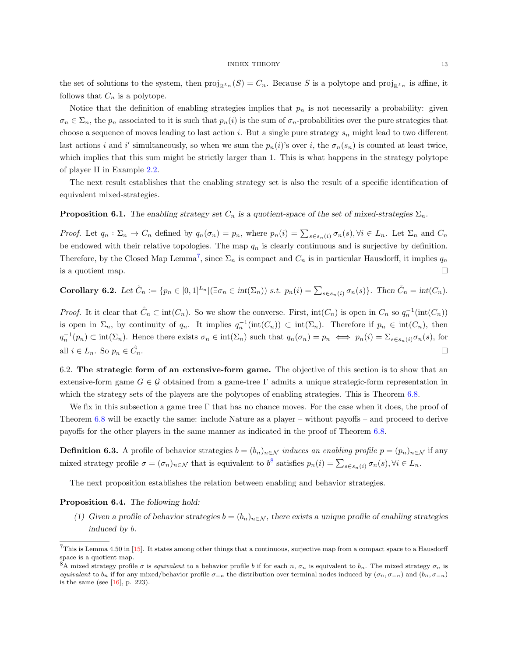the set of solutions to the system, then  $\text{proj}_{\mathbb{R}^{Ln}}(S) = C_n$ . Because S is a polytope and  $\text{proj}_{\mathbb{R}^{Ln}}$  is affine, it follows that  $C_n$  is a polytope.

Notice that the definition of enabling strategies implies that  $p_n$  is not necessarily a probability: given  $\sigma_n \in \Sigma_n$ , the  $p_n$  associated to it is such that  $p_n(i)$  is the sum of  $\sigma_n$ -probabilities over the pure strategies that choose a sequence of moves leading to last action i. But a single pure strategy  $s_n$  might lead to two different last actions i and i' simultaneously, so when we sum the  $p_n(i)$ 's over i, the  $\sigma_n(s_n)$  is counted at least twice, which implies that this sum might be strictly larger than 1. This is what happens in the strategy polytope of player II in Example [2.2.](#page-3-2)

The next result establishes that the enabling strategy set is also the result of a specific identification of equivalent mixed-strategies.

## <span id="page-12-2"></span>**Proposition 6.1.** The enabling strategy set  $C_n$  is a quotient-space of the set of mixed-strategies  $\Sigma_n$ .

*Proof.* Let  $q_n : \Sigma_n \to C_n$  defined by  $q_n(\sigma_n) = p_n$ , where  $p_n(i) = \sum_{s \in s_n(i)} \sigma_n(s)$ ,  $\forall i \in L_n$ . Let  $\Sigma_n$  and  $C_n$ be endowed with their relative topologies. The map  $q_n$  is clearly continuous and is surjective by definition. Therefore, by the Closed Map Lemma<sup>[7](#page-0-0)</sup>, since  $\Sigma_n$  is compact and  $C_n$  is in particular Hausdorff, it implies  $q_n$ is a quotient map.  $\Box$ 

Corollary 6.2. Let 
$$
\mathring{C}_n := \{p_n \in [0,1]^{L_n} | (\exists \sigma_n \in int(\Sigma_n)) \text{ s.t. } p_n(i) = \sum_{s \in s_n(i)} \sigma_n(s) \}
$$
. Then  $\mathring{C}_n = int(C_n)$ .

*Proof.* It it clear that  $\mathring{C}_n \subset \text{int}(C_n)$ . So we show the converse. First,  $\text{int}(C_n)$  is open in  $C_n$  so  $q_n^{-1}(\text{int}(C_n))$ is open in  $\Sigma_n$ , by continuity of  $q_n$ . It implies  $q_n^{-1}(\text{int}(C_n)) \subset \text{int}(\Sigma_n)$ . Therefore if  $p_n \in \text{int}(C_n)$ , then  $q_n^{-1}(p_n) \subset \text{int}(\Sigma_n)$ . Hence there exists  $\sigma_n \in \text{int}(\Sigma_n)$  such that  $q_n(\sigma_n) = p_n \iff p_n(i) = \Sigma_{s \in s_n(i)} \sigma_n(s)$ , for all  $i \in L_n$ . So  $p_n \in \check{C}_n$ .

<span id="page-12-0"></span>6.2. The strategic form of an extensive-form game. The objective of this section is to show that an extensive-form game  $G \in \mathcal{G}$  obtained from a game-tree  $\Gamma$  admits a unique strategic-form representation in which the strategy sets of the players are the polytopes of enabling strategies. This is Theorem [6.8.](#page-14-0)

We fix in this subsection a game tree Γ that has no chance moves. For the case when it does, the proof of Theorem [6.8](#page-14-0) will be exactly the same: include Nature as a player – without payoffs – and proceed to derive payoffs for the other players in the same manner as indicated in the proof of Theorem [6.8.](#page-14-0)

**Definition 6.3.** A profile of behavior strategies  $b = (b_n)_{n \in \mathcal{N}}$  induces an enabling profile  $p = (p_n)_{n \in \mathcal{N}}$  if any mixed strategy profile  $\sigma = (\sigma_n)_{n \in \mathcal{N}}$  that is equivalent to  $b^8$  $b^8$  satisfies  $p_n(i) = \sum_{s \in s_n(i)} \sigma_n(s)$ ,  $\forall i \in L_n$ .

The next proposition establishes the relation between enabling and behavior strategies.

#### <span id="page-12-1"></span>Proposition 6.4. The following hold:

(1) Given a profile of behavior strategies  $b = (b_n)_{n \in \mathcal{N}}$ , there exists a unique profile of enabling strategies induced by b.

 $7$ This is Lemma 4.50 in [\[15\]](#page-23-12). It states among other things that a continuous, surjective map from a compact space to a Hausdorff space is a quotient map.

<sup>&</sup>lt;sup>8</sup>A mixed strategy profile  $\sigma$  is equivalent to a behavior profile b if for each n,  $\sigma_n$  is equivalent to  $b_n$ . The mixed strategy  $\sigma_n$  is equivalent to  $b_n$  if for any mixed/behavior profile  $\sigma_{-n}$  the distribution over terminal nodes induced by  $(\sigma_n, \sigma_{-n})$  and  $(b_n, \sigma_{-n})$ is the same (see [\[16\]](#page-23-13), p. 223).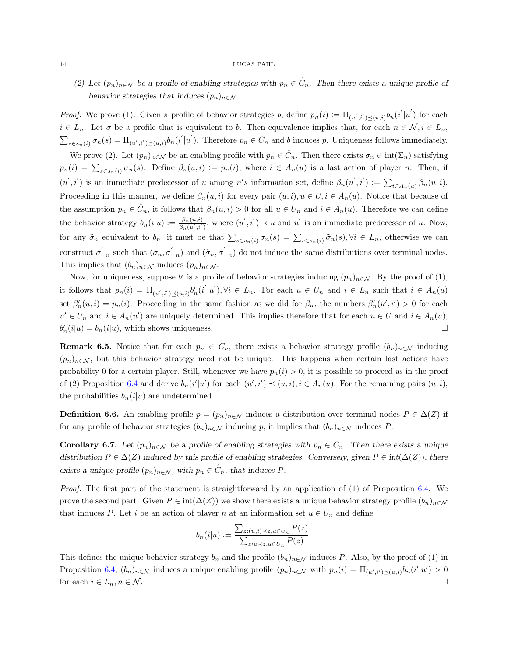#### 14 LUCAS PAHL

(2) Let  $(p_n)_{n\in\mathcal{N}}$  be a profile of enabling strategies with  $p_n \in C_n$ . Then there exists a unique profile of behavior strategies that induces  $(p_n)_{n \in \mathcal{N}}$ .

*Proof.* We prove (1). Given a profile of behavior strategies b, define  $p_n(i) := \prod_{(u',i') \preceq (u,i)} b_n(i'|u')$  for each  $i \in L_n$ . Let  $\sigma$  be a profile that is equivalent to b. Then equivalence implies that, for each  $n \in \mathcal{N}, i \in L_n$ ,  $\sum_{s \in s_n(i)} \sigma_n(s) = \Pi_{(u',i') \preceq (u,i)} b_n(i'|u').$  Therefore  $p_n \in C_n$  and b induces p. Uniqueness follows immediately.

We prove (2). Let  $(p_n)_{n\in\mathcal{N}}$  be an enabling profile with  $p_n \in \mathring{C}_n$ . Then there exists  $\sigma_n \in \text{int}(\Sigma_n)$  satisfying  $p_n(i) = \sum_{s \in s_n(i)} \sigma_n(s)$ . Define  $\beta_n(u, i) := p_n(i)$ , where  $i \in A_n(u)$  is a last action of player n. Then, if  $(u', i')$  is an immediate predecessor of u among n's information set, define  $\beta_n(u', i') := \sum_{i \in A_n(u)} \beta_n(u, i)$ . Proceeding in this manner, we define  $\beta_n(u, i)$  for every pair  $(u, i), u \in U, i \in A_n(u)$ . Notice that because of the assumption  $p_n \in \mathring{C}_n$ , it follows that  $\beta_n(u, i) > 0$  for all  $u \in U_n$  and  $i \in A_n(u)$ . Therefore we can define the behavior strategy  $b_n(i|u) := \frac{\beta_n(u,i)}{\beta_n(u',i')}$  $\frac{\beta_n(u,i)}{\beta_n(u',i')}$ , where  $(u',i') \prec u$  and u' is an immediate predecessor of u. Now, for any  $\tilde{\sigma}_n$  equivalent to  $b_n$ , it must be that  $\sum_{s \in s_n(i)} \sigma_n(s) = \sum_{s \in s_n(i)} \tilde{\sigma}_n(s)$ ,  $\forall i \in L_n$ , otherwise we can construct  $\sigma'_{-n}$  such that  $(\sigma_n, \sigma'_{-n})$  and  $(\tilde{\sigma}_n, \sigma'_{-n})$  do not induce the same distributions over terminal nodes. This implies that  $(b_n)_{n \in \mathcal{N}}$  induces  $(p_n)_{n \in \mathcal{N}}$ .

Now, for uniqueness, suppose b' is a profile of behavior strategies inducing  $(p_n)_{n \in \mathcal{N}}$ . By the proof of (1), it follows that  $p_n(i) = \prod_{(u',i') \preceq (u,i)} b'_n(i'|u'), \forall i \in L_n$ . For each  $u \in U_n$  and  $i \in L_n$  such that  $i \in A_n(u)$ set  $\beta'_n(u, i) = p_n(i)$ . Proceeding in the same fashion as we did for  $\beta_n$ , the numbers  $\beta'_n(u', i') > 0$  for each  $u' \in U_n$  and  $i \in A_n(u')$  are uniquely determined. This implies therefore that for each  $u \in U$  and  $i \in A_n(u)$ ,  $b'_n(i|u) = b_n(i|u)$ , which shows uniqueness.

**Remark 6.5.** Notice that for each  $p_n \in C_n$ , there exists a behavior strategy profile  $(b_n)_{n \in \mathcal{N}}$  inducing  $(p_n)_{n\in\mathcal{N}}$ , but this behavior strategy need not be unique. This happens when certain last actions have probability 0 for a certain player. Still, whenever we have  $p_n(i) > 0$ , it is possible to proceed as in the proof of (2) Proposition [6.4](#page-12-1) and derive  $b_n(i'|u')$  for each  $(u',i') \preceq (u,i), i \in A_n(u)$ . For the remaining pairs  $(u,i)$ , the probabilities  $b_n(i|u)$  are undetermined.

**Definition 6.6.** An enabling profile  $p = (p_n)_{n \in \mathcal{N}}$  induces a distribution over terminal nodes  $P \in \Delta(Z)$  if for any profile of behavior strategies  $(b_n)_{n\in\mathcal{N}}$  inducing p, it implies that  $(b_n)_{n\in\mathcal{N}}$  induces P.

Corollary 6.7. Let  $(p_n)_{n\in\mathcal{N}}$  be a profile of enabling strategies with  $p_n \in C_n$ . Then there exists a unique distribution  $P \in \Delta(Z)$  induced by this profile of enabling strategies. Conversely, given  $P \in \text{int}(\Delta(Z))$ , there exists a unique profile  $(p_n)_{n \in \mathcal{N}}$ , with  $p_n \in C_n$ , that induces P.

Proof. The first part of the statement is straightforward by an application of (1) of Proposition [6.4.](#page-12-1) We prove the second part. Given  $P \in \text{int}(\Delta(Z))$  we show there exists a unique behavior strategy profile  $(b_n)_{n \in \mathcal{N}}$ that induces P. Let i be an action of player n at an information set  $u \in U_n$  and define

$$
b_n(i|u) := \frac{\sum_{z:(u,i)\prec z, u \in U_n} P(z)}{\sum_{z:u\prec z, u \in U_n} P(z)}.
$$

This defines the unique behavior strategy  $b_n$  and the profile  $(b_n)_{n\in\mathcal{N}}$  induces P. Also, by the proof of (1) in Proposition [6.4,](#page-12-1)  $(b_n)_{n \in \mathcal{N}}$  induces a unique enabling profile  $(p_n)_{n \in \mathcal{N}}$  with  $p_n(i) = \prod_{(u',i') \preceq (u,i)} b_n(i'|u') > 0$ for each  $i \in L_n, n \in \mathcal{N}$ .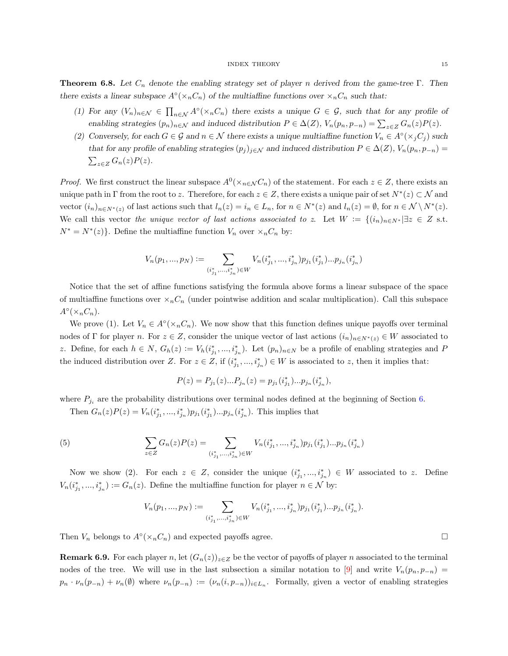<span id="page-14-0"></span>**Theorem 6.8.** Let  $C_n$  denote the enabling strategy set of player n derived from the game-tree Γ. Then there exists a linear subspace  $A^{\circ}(\times_n C_n)$  of the multiaffine functions over  $\times_n C_n$  such that:

- (1) For any  $(V_n)_{n\in\mathcal{N}}\in\prod_{n\in\mathcal{N}}A^{\circ}(\times_nC_n)$  there exists a unique  $G\in\mathcal{G}$ , such that for any profile of enabling strategies  $(p_n)_{n \in \mathcal{N}}$  and induced distribution  $P \in \Delta(Z)$ ,  $V_n(p_n, p_{-n}) = \sum_{z \in Z} G_n(z)P(z)$ .
- (2) Conversely, for each  $G \in \mathcal{G}$  and  $n \in \mathcal{N}$  there exists a unique multiaffine function  $V_n \in A^\circ(\times_j C_j)$  such that for any profile of enabling strategies  $(p_j)_{j\in\mathcal{N}}$  and induced distribution  $P\in\Delta(Z)$ ,  $V_n(p_n, p_{-n})=$  $\sum_{z\in Z} G_n(z) P(z).$

*Proof.* We first construct the linear subspace  $A^0(\times_{n\in\mathcal{N}} C_n)$  of the statement. For each  $z \in Z$ , there exists an unique path in  $\Gamma$  from the root to z. Therefore, for each  $z \in Z$ , there exists a unique pair of set  $N^*(z) \subset \mathcal{N}$  and vector  $(i_n)_{n \in N^*(z)}$  of last actions such that  $l_n(z) = i_n \in L_n$ , for  $n \in N^*(z)$  and  $l_n(z) = \emptyset$ , for  $n \in \mathcal{N} \setminus N^*(z)$ . We call this vector the unique vector of last actions associated to z. Let  $W := \{(i_n)_{n \in N^*} | \exists z \in Z \text{ s.t.}\}$  $N^* = N^*(z)$ . Define the multiaffine function  $V_n$  over  $\langle X_n, C_n \rangle$  by:

$$
V_n(p_1, ..., p_N) := \sum_{(i_{j_1}^*, ..., i_{j_n}^*) \in W} V_n(i_{j_1}^*, ..., i_{j_n}^*) p_{j_1}(i_{j_1}^*) ... p_{j_n}(i_{j_n}^*)
$$

Notice that the set of affine functions satisfying the formula above forms a linear subspace of the space of multiaffine functions over  $\times_n C_n$  (under pointwise addition and scalar multiplication). Call this subspace  $A^{\circ}(\times_n C_n).$ 

We prove (1). Let  $V_n \in A^\circ(\times_n C_n)$ . We now show that this function defines unique payoffs over terminal nodes of Γ for player n. For  $z \in Z$ , consider the unique vector of last actions  $(i_n)_{n \in N^*(z)} \in W$  associated to z. Define, for each  $h \in N$ ,  $G_h(z) := V_h(i_{j_1}^*,...,i_{j_n}^*)$ . Let  $(p_n)_{n \in N}$  be a profile of enabling strategies and P the induced distribution over Z. For  $z \in Z$ , if  $(i^*_{j_1},...,i^*_{j_n}) \in W$  is associated to z, then it implies that:

$$
P(z) = P_{j_1}(z)...P_{j_n}(z) = p_{j_1}(i_{j_1}^*)...p_{j_n}(i_{j_n}^*),
$$

where  $P_{j_i}$  are the probability distributions over terminal nodes defined at the beginning of Section [6.](#page-10-1)

Then  $G_n(z)P(z) = V_n(i_{j_1}^*,...,i_{j_n}^*)p_{j_1}(i_{j_1}^*)...p_{j_n}(i_{j_n}^*)$ . This implies that

(5) 
$$
\sum_{z \in Z} G_n(z)P(z) = \sum_{(i_{j_1}^*,...,i_{j_n}^*) \in W} V_n(i_{j_1}^*,...,i_{j_n}^*)p_{j_1}(i_{j_1}^*)...p_{j_n}(i_{j_n}^*)
$$

Now we show (2). For each  $z \in Z$ , consider the unique  $(i^*_{j_1},...,i^*_{j_n}) \in W$  associated to z. Define  $V_n(i_{j_1}^*,...,i_{j_n}^*) := G_n(z)$ . Define the multiaffine function for player  $n \in \mathcal{N}$  by:

$$
V_n(p_1,...,p_N):=\sum_{(i_{j_1}^*,...,i_{j_n}^*)\in W}V_n(i_{j_1}^*,...,i_{j_n}^*)p_{j_1}(i_{j_1}^*)...p_{j_n}(i_{j_n}^*).
$$

Then  $V_n$  belongs to  $A^{\circ}(\times_n C_n)$  and expected payoffs agree.

<span id="page-14-1"></span>**Remark 6.9.** For each player n, let  $(G_n(z))_{z\in Z}$  be the vector of payoffs of player n associated to the terminal nodes of the tree. We will use in the last subsection a similar notation to [\[9\]](#page-22-3) and write  $V_n(p_n, p_{-n})$  $p_n \cdot \nu_n(p_{-n}) + \nu_n(\emptyset)$  where  $\nu_n(p_{-n}) := (\nu_n(i, p_{-n}))_{i \in L_n}$ . Formally, given a vector of enabling strategies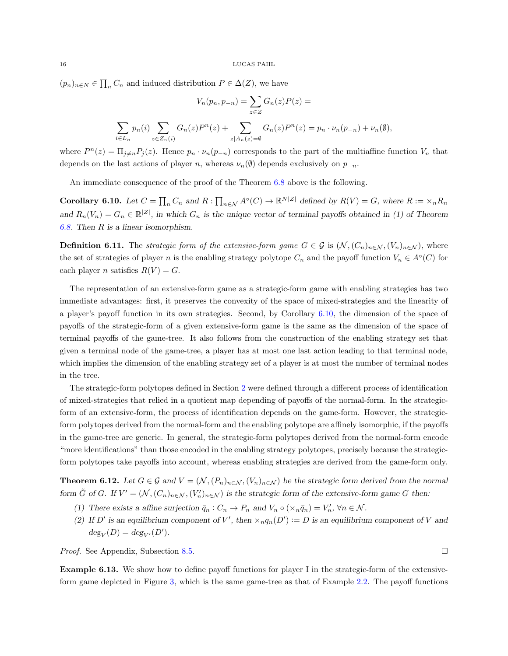$(p_n)_{n \in \mathbb{N}} \in \prod_n C_n$  and induced distribution  $P \in \Delta(Z)$ , we have

$$
V_n(p_n, p_{-n}) = \sum_{z \in Z} G_n(z)P(z) =
$$
  

$$
\sum_{i \in L_n} p_n(i) \sum_{z \in Z_n(i)} G_n(z)P^n(z) + \sum_{z \mid A_n(z) = \emptyset} G_n(z)P^n(z) = p_n \cdot \nu_n(p_{-n}) + \nu_n(\emptyset),
$$

where  $P^{n}(z) = \prod_{j\neq n} P_{j}(z)$ . Hence  $p_{n} \cdot \nu_{n}(p_{-n})$  corresponds to the part of the multiaffine function  $V_{n}$  that depends on the last actions of player n, whereas  $\nu_n(\emptyset)$  depends exclusively on  $p_{-n}$ .

An immediate consequence of the proof of the Theorem [6.8](#page-14-0) above is the following.

<span id="page-15-0"></span>**Corollary 6.10.** Let  $C = \prod_n C_n$  and  $R: \prod_{n \in \mathcal{N}} A^{\circ}(C) \to \mathbb{R}^{N|Z|}$  defined by  $R(V) = G$ , where  $R := \times_n R_n$ and  $R_n(V_n) = G_n \in \mathbb{R}^{|Z|}$ , in which  $G_n$  is the unique vector of terminal payoffs obtained in (1) of Theorem [6.8.](#page-14-0) Then R is a linear isomorphism.

**Definition 6.11.** The strategic form of the extensive-form game  $G \in \mathcal{G}$  is  $(\mathcal{N}, (C_n)_{n \in \mathcal{N}}, (V_n)_{n \in \mathcal{N}})$ , where the set of strategies of player n is the enabling strategy polytope  $C_n$  and the payoff function  $V_n \in A<sup>°</sup>(C)$  for each player *n* satisfies  $R(V) = G$ .

The representation of an extensive-form game as a strategic-form game with enabling strategies has two immediate advantages: first, it preserves the convexity of the space of mixed-strategies and the linearity of a player's payoff function in its own strategies. Second, by Corollary [6.10,](#page-15-0) the dimension of the space of payoffs of the strategic-form of a given extensive-form game is the same as the dimension of the space of terminal payoffs of the game-tree. It also follows from the construction of the enabling strategy set that given a terminal node of the game-tree, a player has at most one last action leading to that terminal node, which implies the dimension of the enabling strategy set of a player is at most the number of terminal nodes in the tree.

The strategic-form polytopes defined in Section [2](#page-2-0) were defined through a different process of identification of mixed-strategies that relied in a quotient map depending of payoffs of the normal-form. In the strategicform of an extensive-form, the process of identification depends on the game-form. However, the strategicform polytopes derived from the normal-form and the enabling polytope are affinely isomorphic, if the payoffs in the game-tree are generic. In general, the strategic-form polytopes derived from the normal-form encode "more identifications" than those encoded in the enabling strategy polytopes, precisely because the strategicform polytopes take payoffs into account, whereas enabling strategies are derived from the game-form only.

<span id="page-15-1"></span>**Theorem 6.12.** Let  $G \in \mathcal{G}$  and  $V = (\mathcal{N}, (P_n)_{n \in \mathcal{N}}, (V_n)_{n \in \mathcal{N}})$  be the strategic form derived from the normal form  $\tilde{G}$  of G. If  $V' = (N, (C_n)_{n \in \mathcal{N}}, (V'_n)_{n \in \mathcal{N}})$  is the strategic form of the extensive-form game G then:

- (1) There exists a affine surjection  $\bar{q}_n : C_n \to P_n$  and  $V_n \circ (\times_n \bar{q}_n) = V'_n, \forall n \in \mathcal{N}$ .
- (2) If D' is an equilibrium component of V', then  $\times_n q_n(D') := D$  is an equilibrium component of V and  $deg_V(D) = deg_{V'}(D').$

*Proof.* See Appendix, Subsection [8.5.](#page-33-0) □

Example 6.13. We show how to define payoff functions for player I in the strategic-form of the extensiveform game depicted in Figure [3,](#page-16-0) which is the same game-tree as that of Example [2.2.](#page-3-2) The payoff functions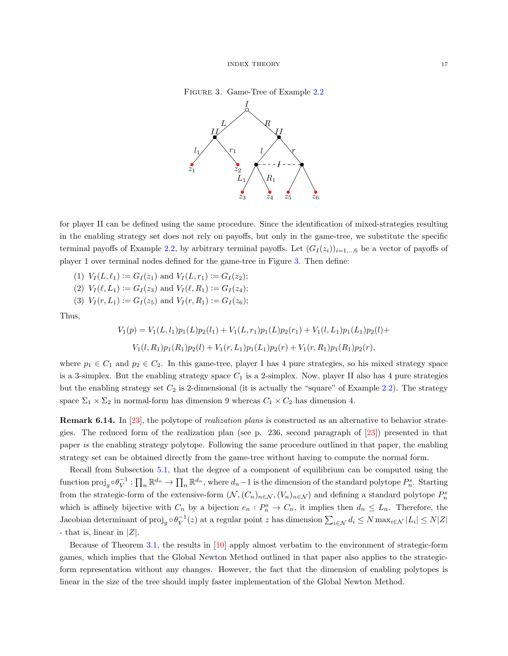#### Figure 3. Game-Tree of Example [2.2](#page-3-2)

<span id="page-16-0"></span>

for player II can be defined using the same procedure. Since the identification of mixed-strategies resulting in the enabling strategy set does not rely on payoffs, but only in the game-tree, we substitute the specific terminal payoffs of Example [2.2,](#page-3-2) by arbitrary terminal payoffs. Let  $(G_I(z_i))_{i=1,\dots,6}$  be a vector of payoffs of player 1 over terminal nodes defined for the game-tree in Figure [3.](#page-16-0) Then define:

- (1)  $V_I(L, \ell_1) := G_I(z_1)$  and  $V_I(L, r_1) := G_I(z_2);$
- (2)  $V_I(\ell, L_1) := G_I(z_3)$  and  $V_I(\ell, R_1) := G_I(z_4);$
- (3)  $V_I(r, L_1) := G_I(z_5)$  and  $V_I(r, R_1) := G_I(z_6);$

Thus,

$$
V_1(p) = V_1(L, l_1)p_1(L)p_2(l_1) + V_1(L, r_1)p_1(L)p_2(r_1) + V_1(l, L_1)p_1(L_1)p_2(l) + V_1(l, R_1)p_1(R_1)p_2(l) + V_1(r, L_1)p_1(L_1)p_2(r) + V_1(r, R_1)p_1(R_1)p_2(r),
$$

where  $p_1 \in C_1$  and  $p_2 \in C_2$ . In this game-tree, player I has 4 pure strategies, so his mixed strategy space is a 3-simplex. But the enabling strategy space  $C_1$  is a 2-simplex. Now, player II also has 4 pure strategies but the enabling strategy set  $C_2$  is 2-dimensional (it is actually the "square" of Example [2.2\)](#page-3-2). The strategy space  $\Sigma_1 \times \Sigma_2$  in normal-form has dimension 9 whereas  $C_1 \times C_2$  has dimension 4.

Remark 6.14. In [\[23\]](#page-23-4), the polytope of realization plans is constructed as an alternative to behavior strategies. The reduced form of the realization plan (see p. 236, second paragraph of [\[23\]](#page-23-4)) presented in that paper is the enabling strategy polytope. Following the same procedure outlined in that paper, the enabling strategy set can be obtained directly from the game-tree without having to compute the normal form.

Recall from Subsection [5.1,](#page-9-0) that the degree of a component of equilibrium can be computed using the function  $\text{proj}_g \circ \theta_V^{-1} : \prod_n \mathbb{R}^{d_n} \to \prod_n \mathbb{R}^{d_n}$ , where  $d_n - 1$  is the dimension of the standard polytope  $P_n^s$ . Starting from the strategic-form of the extensive-form  $(\mathcal{N}, (C_n)_{n \in \mathcal{N}}, (V_n)_{n \in \mathcal{N}})$  and defining a standard polytope  $P_n^s$ which is affinely bijective with  $C_n$  by a bijection  $e_n: P_n^s \to C_n$ , it implies then  $d_n \leq L_n$ . Therefore, the Jacobian determinant of  $proj_g \circ \theta_V^{-1}(z)$  at a regular point z has dimension  $\sum_{i \in \mathcal{N}} d_i \leq N \max_{i \in \mathcal{N}} |L_i| \leq N |Z|$ - that is, linear in  $|Z|$ .

Because of Theorem [3.1,](#page-4-3) the results in [\[10\]](#page-23-14) apply almost verbatim to the environment of strategic-form games, which implies that the Global Newton Method outlined in that paper also applies to the strategicform representation without any changes. However, the fact that the dimension of enabling polytopes is linear in the size of the tree should imply faster implementation of the Global Newton Method.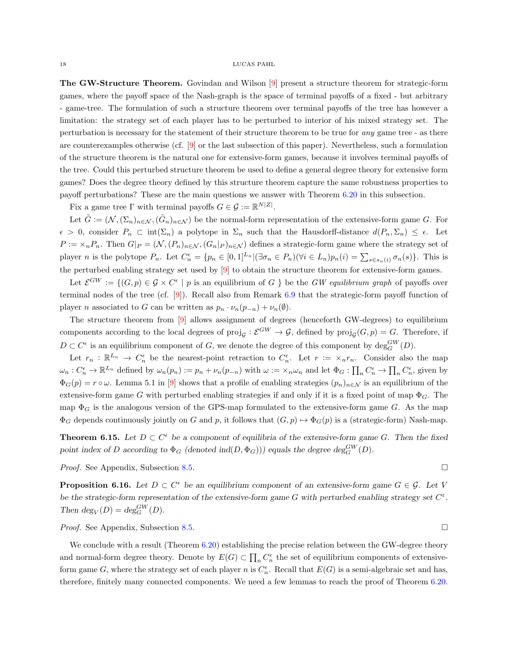The GW-Structure Theorem. Govindan and Wilson [\[9\]](#page-22-3) present a structure theorem for strategic-form games, where the payoff space of the Nash-graph is the space of terminal payoffs of a fixed - but arbitrary - game-tree. The formulation of such a structure theorem over terminal payoffs of the tree has however a limitation: the strategy set of each player has to be perturbed to interior of his mixed strategy set. The perturbation is necessary for the statement of their structure theorem to be true for any game tree - as there are counterexamples otherwise (cf. [\[9\]](#page-22-3) or the last subsection of this paper). Nevertheless, such a formulation of the structure theorem is the natural one for extensive-form games, because it involves terminal payoffs of the tree. Could this perturbed structure theorem be used to define a general degree theory for extensive form games? Does the degree theory defined by this structure theorem capture the same robustness properties to payoff perturbations? These are the main questions we answer with Theorem [6.20](#page-19-0) in this subsection.

Fix a game tree  $\Gamma$  with terminal payoffs  $G \in \mathcal{G} := \mathbb{R}^{N|Z|}$ .

Let  $\tilde{G} := (\mathcal{N}, (\Sigma_n)_{n \in \mathcal{N}}, (\tilde{G}_n)_{n \in \mathcal{N}})$  be the normal-form representation of the extensive-form game G. For  $\epsilon > 0$ , consider  $P_n \subset \text{int}(\Sigma_n)$  a polytope in  $\Sigma_n$  such that the Hausdorff-distance  $d(P_n, \Sigma_n) \leq \epsilon$ . Let  $P := \{A \cap P_n\}$ . Then  $G|_P = (\mathcal{N}, (P_n)_{n \in \mathcal{N}}, (G_n|_P)_{n \in \mathcal{N}})$  defines a strategic-form game where the strategy set of player *n* is the polytope  $P_n$ . Let  $C_n^{\epsilon} = \{p_n \in [0,1]^{L_n} | (\exists \sigma_n \in P_n)(\forall i \in L_n)p_n(i) = \sum_{s \in s_n(i)} \sigma_n(s)\}.$  This is the perturbed enabling strategy set used by [\[9\]](#page-22-3) to obtain the structure theorem for extensive-form games.

Let  $\mathcal{E}^{GW} := \{(G, p) \in \mathcal{G} \times C^{\epsilon} \mid p \text{ is an equilibrium of } G \}$  be the GW equilibrium graph of payoffs over terminal nodes of the tree (cf. [\[9\]](#page-22-3)). Recall also from Remark [6.9](#page-14-1) that the strategic-form payoff function of player n associated to G can be written as  $p_n \cdot \nu_n(p_{-n}) + \nu_n(\emptyset)$ .

The structure theorem from [\[9\]](#page-22-3) allows assignment of degrees (henceforth GW-degrees) to equilibrium components according to the local degrees of  $proj_{\mathcal{G}} : \mathcal{E}^{GW} \to \mathcal{G}$ , defined by  $proj_{\mathcal{G}}(G, p) = G$ . Therefore, if  $D \subset C^{\epsilon}$  is an equilibrium component of G, we denote the degree of this component by  $\deg_G^{GW}(D)$ .

Let  $r_n : \mathbb{R}^{L_n} \to C_n^{\epsilon}$  be the nearest-point retraction to  $C_n^{\epsilon}$ . Let  $r := \times_n r_n$ . Consider also the map  $\omega_n: C_n^{\epsilon} \to \mathbb{R}^{L_n}$  defined by  $\omega_n(p_n) := p_n + \nu_n(p_{-n})$  with  $\omega := \times_n \omega_n$  and let  $\Phi_G: \prod_n C_n^{\epsilon} \to \prod_n C_n^{\epsilon}$ , given by  $\Phi_G(p) = r \circ \omega$ . Lemma 5.1 in [\[9\]](#page-22-3) shows that a profile of enabling strategies  $(p_n)_{n \in \mathcal{N}}$  is an equilibrium of the extensive-form game G with perturbed enabling strategies if and only if it is a fixed point of map  $\Phi_G$ . The map  $\Phi_G$  is the analogous version of the GPS-map formulated to the extensive-form game G. As the map  $\Phi_G$  depends continuously jointly on G and p, it follows that  $(G, p) \mapsto \Phi_G(p)$  is a (strategic-form) Nash-map.

<span id="page-17-1"></span>**Theorem 6.15.** Let  $D \subset C^{\epsilon}$  be a component of equilibria of the extensive-form game G. Then the fixed point index of D according to  $\Phi_G$  (denoted ind $(D, \Phi_G))$ ) equals the degree  $\deg_G^{GW}(D)$ .

*Proof.* See Appendix, Subsection [8.5.](#page-33-0) □

<span id="page-17-0"></span>**Proposition 6.16.** Let  $D \subset C^{\epsilon}$  be an equilibrium component of an extensive-form game  $G \in \mathcal{G}$ . Let V be the strategic-form representation of the extensive-form game G with perturbed enabling strategy set  $C^{\varepsilon}$ . Then  $deg_V(D) = deg_G^{GW}(D)$ .

*Proof.* See Appendix, Subsection [8.5.](#page-33-0) □

We conclude with a result (Theorem [6.20\)](#page-19-0) establishing the precise relation between the GW-degree theory and normal-form degree theory. Denote by  $E(G) \subset \prod_n C_n^{\epsilon}$  the set of equilibrium components of extensiveform game G, where the strategy set of each player n is  $C_n^{\epsilon}$ . Recall that  $E(G)$  is a semi-algebraic set and has, therefore, finitely many connected components. We need a few lemmas to reach the proof of Theorem [6.20.](#page-19-0)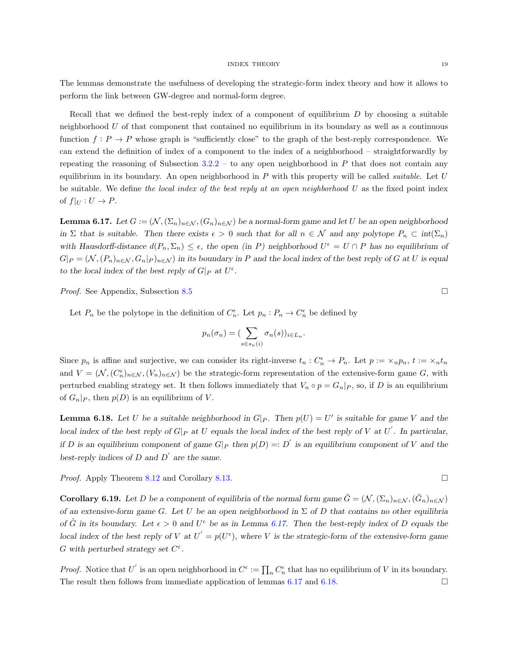The lemmas demonstrate the usefulness of developing the strategic-form index theory and how it allows to perform the link between GW-degree and normal-form degree.

Recall that we defined the best-reply index of a component of equilibrium  $D$  by choosing a suitable neighborhood  $U$  of that component that contained no equilibrium in its boundary as well as a continuous function  $f: P \to P$  whose graph is "sufficiently close" to the graph of the best-reply correspondence. We can extend the definition of index of a component to the index of a neighborhood – straightforwardly by repeating the reasoning of Subsection  $3.2.2$  – to any open neighborhood in P that does not contain any equilibrium in its boundary. An open neighborhood in  $P$  with this property will be called *suitable*. Let  $U$ be suitable. We define the local index of the best reply at an open neighborhood  $U$  as the fixed point index of  $f|_U: U \to P$ .

<span id="page-18-0"></span>**Lemma 6.17.** Let  $G := (\mathcal{N}, (\Sigma_n)_{n \in \mathcal{N}}, (G_n)_{n \in \mathcal{N}})$  be a normal-form game and let U be an open neighborhood in Σ that is suitable. Then there exists  $\epsilon > 0$  such that for all  $n \in \mathcal{N}$  and any polytope  $P_n \subset \text{int}(\Sigma_n)$ with Hausdorff-distance  $d(P_n, \Sigma_n) \leq \epsilon$ , the open (in P) neighborhood  $U^{\epsilon} = U \cap P$  has no equilibrium of  $G|_P = (\mathcal{N}, (P_n)_{n \in \mathcal{N}}, G_n|_P)_{n \in \mathcal{N}})$  in its boundary in P and the local index of the best reply of G at U is equal to the local index of the best reply of  $G|_P$  at  $U^{\epsilon}$ .

*Proof.* See Appendix, Subsection [8.5](#page-33-0) □

Let  $P_n$  be the polytope in the definition of  $C_n^{\epsilon}$ . Let  $p_n : P_n \to C_n^{\epsilon}$  be defined by

$$
p_n(\sigma_n) = (\sum_{s \in s_n(i)} \sigma_n(s))_{i \in L_n}.
$$

Since  $p_n$  is affine and surjective, we can consider its right-inverse  $t_n: C_n^{\epsilon} \to P_n$ . Let  $p := \times_n p_n$ ,  $t := \times_n t_n$ and  $V = (\mathcal{N}, (C_n^{\epsilon})_{n \in \mathcal{N}}, (V_n)_{n \in \mathcal{N}})$  be the strategic-form representation of the extensive-form game G, with perturbed enabling strategy set. It then follows immediately that  $V_n \circ p = G_n|_P$ , so, if D is an equilibrium of  $G_n|_P$ , then  $p(D)$  is an equilibrium of V.

<span id="page-18-1"></span>**Lemma 6.18.** Let U be a suitable neighborhood in  $G|_P$ . Then  $p(U) = U'$  is suitable for game V and the local index of the best reply of  $G|_P$  at U equals the local index of the best reply of V at U'. In particular, if D is an equilibrium component of game  $G|_P$  then  $p(D) =: D'$  is an equilibrium component of V and the best-reply indices of  $D$  and  $D'$  are the same.

*Proof.* Apply Theorem [8.12](#page-32-0) and Corollary [8.13.](#page-32-1) □

<span id="page-18-2"></span>**Corollary 6.19.** Let D be a component of equilibria of the normal form game  $\tilde{G} = (\mathcal{N}, (\Sigma_n)_{n \in \mathcal{N}}, (\tilde{G}_n)_{n \in \mathcal{N}})$ of an extensive-form game G. Let U be an open neighborhood in  $\Sigma$  of D that contains no other equilibria of  $\tilde{G}$  in its boundary. Let  $\epsilon > 0$  and  $U^{\epsilon}$  be as in Lemma [6.17.](#page-18-0) Then the best-reply index of D equals the local index of the best reply of V at  $U^{'} = p(U^{\epsilon})$ , where V is the strategic-form of the extensive-form game G with perturbed strategy set  $C^{\varepsilon}$ .

*Proof.* Notice that U' is an open neighborhood in  $C^{\epsilon} := \prod_n C_n^{\epsilon}$  that has no equilibrium of V in its boundary. The result then follows from immediate application of lemmas [6.17](#page-18-0) and [6.18.](#page-18-1)

$$
f_{\rm{max}}
$$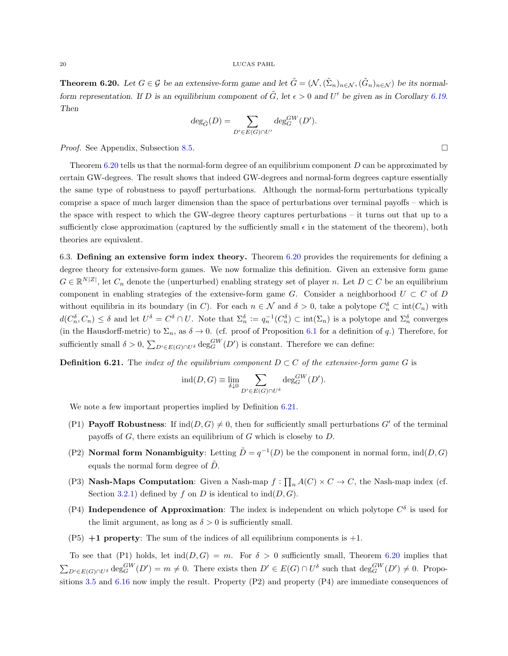#### $20\,$   $\,$  LUCAS PAHL

<span id="page-19-0"></span>**Theorem 6.20.** Let  $G \in \mathcal{G}$  be an extensive-form game and let  $\tilde{G} = (\mathcal{N}, (\tilde{\Sigma}_n)_{n \in \mathcal{N}}, (\tilde{G}_n)_{n \in \mathcal{N}})$  be its normalform representation. If D is an equilibrium component of  $\tilde{G}$ , let  $\epsilon > 0$  and U' be given as in Corollary [6.19.](#page-18-2) Then

$$
\deg_{\tilde{G}}(D) = \sum_{D' \in E(G) \cap U'} \deg_G^{GW}(D').
$$

*Proof.* See Appendix, Subsection [8.5.](#page-33-0)

Theorem [6.20](#page-19-0) tells us that the normal-form degree of an equilibrium component D can be approximated by certain GW-degrees. The result shows that indeed GW-degrees and normal-form degrees capture essentially the same type of robustness to payoff perturbations. Although the normal-form perturbations typically comprise a space of much larger dimension than the space of perturbations over terminal payoffs – which is the space with respect to which the GW-degree theory captures perturbations – it turns out that up to a sufficiently close approximation (captured by the sufficiently small  $\epsilon$  in the statement of the theorem), both theories are equivalent.

6.3. Defining an extensive form index theory. Theorem [6.20](#page-19-0) provides the requirements for defining a degree theory for extensive-form games. We now formalize this definition. Given an extensive form game  $G \in \mathbb{R}^{N|Z|}$ , let  $C_n$  denote the (unperturbed) enabling strategy set of player n. Let  $D \subset C$  be an equilibrium component in enabling strategies of the extensive-form game G. Consider a neighborhood  $U \subset C$  of D without equilibria in its boundary (in C). For each  $n \in \mathcal{N}$  and  $\delta > 0$ , take a polytope  $C_n^{\delta} \subset \text{int}(C_n)$  with  $d(C_n^{\delta}, C_n) \leq \delta$  and let  $U^{\delta} = C^{\delta} \cap U$ . Note that  $\Sigma_n^{\delta} := q_n^{-1}(C_n^{\delta}) \subset \text{int}(\Sigma_n)$  is a polytope and  $\Sigma_n^{\delta}$  converges (in the Hausdorff-metric) to  $\Sigma_n$ , as  $\delta \to 0$ . (cf. proof of Proposition [6.1](#page-12-2) for a definition of q.) Therefore, for sufficiently small  $\delta > 0$ ,  $\sum_{D' \in E(G) \cap U^{\delta}} \deg_G^{GW}(D')$  is constant. Therefore we can define:

<span id="page-19-1"></span>**Definition 6.21.** The index of the equilibrium component  $D \subset C$  of the extensive-form game G is

$$
ind(D, G) \equiv \lim_{\delta \downarrow 0} \sum_{D' \in E(G) \cap U^{\delta}} deg_G^{GW}(D').
$$

We note a few important properties implied by Definition  $6.21$ .

- (P1) **Payoff Robustness:** If  $ind(D, G) \neq 0$ , then for sufficiently small perturbations G' of the terminal payoffs of  $G$ , there exists an equilibrium of  $G$  which is closeby to  $D$ .
- (P2) **Normal form Nonambiguity**: Letting  $\tilde{D} = q^{-1}(D)$  be the component in normal form,  $ind(D, G)$ equals the normal form degree of  $\tilde{D}$ .
- (P3) **Nash-Maps Computation**: Given a Nash-map  $f : \prod_n A(C) \times C \to C$ , the Nash-map index (cf. Section [3.2.1\)](#page-5-2) defined by f on D is identical to  $\text{ind}(D, G)$ .
- (P4) Independence of Approximation: The index is independent on which polytope  $C^{\delta}$  is used for the limit argument, as long as  $\delta > 0$  is sufficiently small.
- $(P5) +1$  property: The sum of the indices of all equilibrium components is  $+1$ .

To see that (P1) holds, let  $\text{ind}(D, G) = m$ . For  $\delta > 0$  sufficiently small, Theorem [6.20](#page-19-0) implies that  $\sum_{D' \in E(G) \cap U^{\delta}} \deg_G^{GW}(D') = m \neq 0$ . There exists then  $D' \in E(G) \cap U^{\delta}$  such that  $\deg_G^{GW}(D') \neq 0$ . Propositions [3.5](#page-5-0) and [6.16](#page-17-0) now imply the result. Property (P2) and property (P4) are immediate consequences of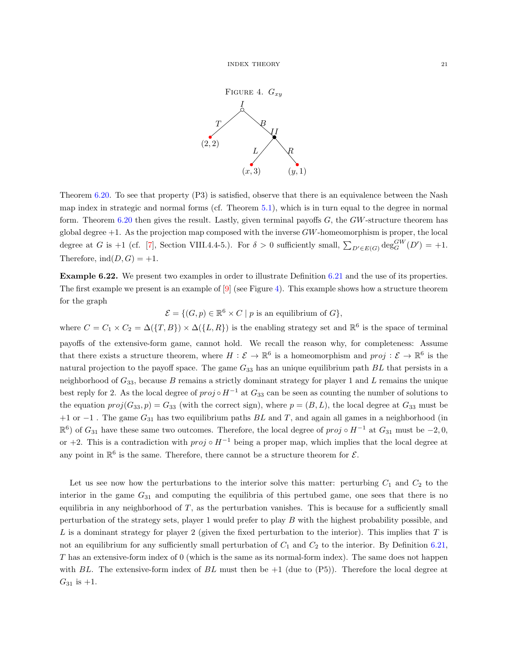

<span id="page-20-0"></span>Theorem [6.20.](#page-19-0) To see that property (P3) is satisfied, observe that there is an equivalence between the Nash map index in strategic and normal forms (cf. Theorem [5.1\)](#page-8-3), which is in turn equal to the degree in normal form. Theorem [6.20](#page-19-0) then gives the result. Lastly, given terminal payoffs  $G$ , the  $GW$ -structure theorem has global degree  $+1$ . As the projection map composed with the inverse  $GW$ -homeomorphism is proper, the local degree at G is +1 (cf. [\[7\]](#page-22-5), Section VIII.4.4-5.). For  $\delta > 0$  sufficiently small,  $\sum_{D' \in E(G)} \deg_G^{GW}(D') = +1$ . Therefore,  $\text{ind}(D, G) = +1$ .

<span id="page-20-1"></span>Example 6.22. We present two examples in order to illustrate Definition [6.21](#page-19-1) and the use of its properties. The first example we present is an example of  $[9]$  (see Figure [4\)](#page-20-0). This example shows how a structure theorem for the graph

 $\mathcal{E} = \{ (G, p) \in \mathbb{R}^6 \times C \mid p \text{ is an equilibrium of } G \},\$ 

where  $C = C_1 \times C_2 = \Delta(\{T, B\}) \times \Delta(\{L, R\})$  is the enabling strategy set and  $\mathbb{R}^6$  is the space of terminal payoffs of the extensive-form game, cannot hold. We recall the reason why, for completeness: Assume that there exists a structure theorem, where  $H: \mathcal{E} \to \mathbb{R}^6$  is a homeomorphism and  $proj: \mathcal{E} \to \mathbb{R}^6$  is the natural projection to the payoff space. The game  $G_{33}$  has an unique equilibrium path  $BL$  that persists in a neighborhood of  $G_{33}$ , because B remains a strictly dominant strategy for player 1 and L remains the unique best reply for 2. As the local degree of  $proj \circ H^{-1}$  at  $G_{33}$  can be seen as counting the number of solutions to the equation  $proj(G_{33}, p) = G_{33}$  (with the correct sign), where  $p = (B, L)$ , the local degree at  $G_{33}$  must be +1 or  $-1$ . The game  $G_{31}$  has two equilibrium paths BL and T, and again all games in a neighborhood (in  $\mathbb{R}^6$ ) of  $G_{31}$  have these same two outcomes. Therefore, the local degree of  $proj \circ H^{-1}$  at  $G_{31}$  must be  $-2, 0$ , or +2. This is a contradiction with  $proj \circ H^{-1}$  being a proper map, which implies that the local degree at any point in  $\mathbb{R}^6$  is the same. Therefore, there cannot be a structure theorem for  $\mathcal{E}$ .

Let us see now how the perturbations to the interior solve this matter: perturbing  $C_1$  and  $C_2$  to the interior in the game  $G_{31}$  and computing the equilibria of this pertubed game, one sees that there is no equilibria in any neighborhood of T, as the perturbation vanishes. This is because for a sufficiently small perturbation of the strategy sets, player 1 would prefer to play B with the highest probability possible, and  $L$  is a dominant strategy for player 2 (given the fixed perturbation to the interior). This implies that  $T$  is not an equilibrium for any sufficiently small perturbation of  $C_1$  and  $C_2$  to the interior. By Definition [6.21,](#page-19-1) T has an extensive-form index of 0 (which is the same as its normal-form index). The same does not happen with BL. The extensive-form index of BL must then be  $+1$  (due to  $(P5)$ ). Therefore the local degree at  $G_{31}$  is  $+1$ .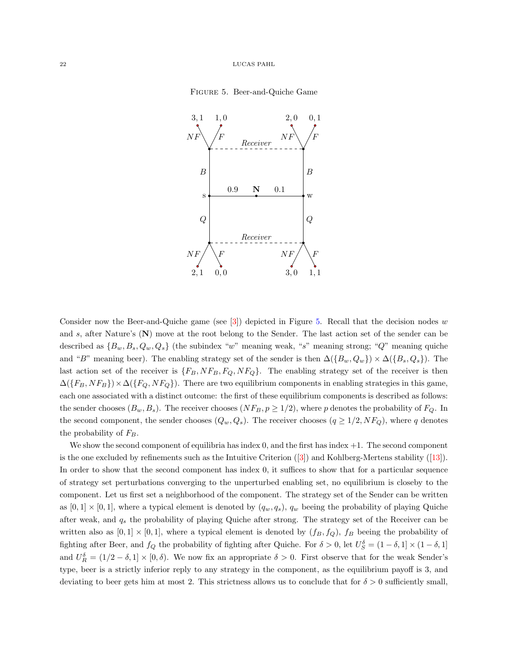

<span id="page-21-0"></span>

Consider now the Beer-and-Quiche game (see  $\vert 3 \vert$ ) depicted in Figure [5.](#page-21-0) Recall that the decision nodes w and s, after Nature's (N) move at the root belong to the Sender. The last action set of the sender can be described as  $\{B_w, B_s, Q_w, Q_s\}$  (the subindex "w" meaning weak, "s" meaning strong; "Q" meaning quiche and "B" meaning beer). The enabling strategy set of the sender is then  $\Delta({B_w, Q_w}) \times \Delta({B_s, Q_s})$ . The last action set of the receiver is  $\{F_B, NF_B, F_Q, NF_Q\}$ . The enabling strategy set of the receiver is then  $\Delta({F_B, NF_B})\times \Delta({F_Q, NF_Q})$ . There are two equilibrium components in enabling strategies in this game, each one associated with a distinct outcome: the first of these equilibrium components is described as follows: the sender chooses  $(B_w, B_s)$ . The receiver chooses  $(NF_B, p \ge 1/2)$ , where p denotes the probability of  $F_Q$ . In the second component, the sender chooses  $(Q_w, Q_s)$ . The receiver chooses  $(q \geq 1/2, NF_Q)$ , where q denotes the probability of  $F_B$ .

We show the second component of equilibria has index  $0$ , and the first has index  $+1$ . The second component is the one excluded by refinements such as the Intuitive Criterion([\[3\]](#page-22-6)) and Kohlberg-Mertens stability ([\[13\]](#page-23-2)). In order to show that the second component has index 0, it suffices to show that for a particular sequence of strategy set perturbations converging to the unperturbed enabling set, no equilibrium is closeby to the component. Let us first set a neighborhood of the component. The strategy set of the Sender can be written as  $[0, 1] \times [0, 1]$ , where a typical element is denoted by  $(q_w, q_s)$ ,  $q_w$  beeing the probability of playing Quiche after weak, and  $q_s$  the probability of playing Quiche after strong. The strategy set of the Receiver can be written also as  $[0,1] \times [0,1]$ , where a typical element is denoted by  $(f_B, f_Q)$ ,  $f_B$  beeing the probability of fighting after Beer, and  $f_Q$  the probability of fighting after Quiche. For  $\delta > 0$ , let  $U_S^{\delta} = (1 - \delta, 1] \times (1 - \delta, 1]$ and  $U_R^{\delta} = (1/2 - \delta, 1] \times [0, \delta)$ . We now fix an appropriate  $\delta > 0$ . First observe that for the weak Sender's type, beer is a strictly inferior reply to any strategy in the component, as the equilibrium payoff is 3, and deviating to beer gets him at most 2. This strictness allows us to conclude that for  $\delta > 0$  sufficiently small,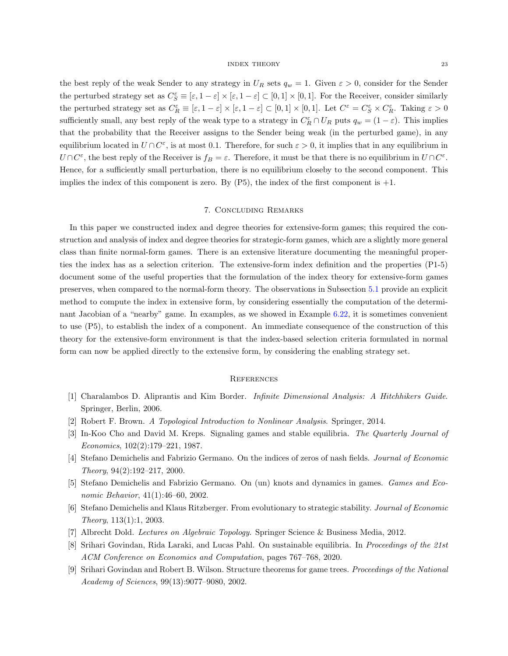the best reply of the weak Sender to any strategy in  $U_R$  sets  $q_w = 1$ . Given  $\varepsilon > 0$ , consider for the Sender the perturbed strategy set as  $C_S^{\varepsilon} \equiv [\varepsilon, 1-\varepsilon] \times [\varepsilon, 1-\varepsilon] \subset [0, 1] \times [0, 1]$ . For the Receiver, consider similarly the perturbed strategy set as  $C_R^{\varepsilon} \equiv [\varepsilon, 1-\varepsilon] \times [\varepsilon, 1-\varepsilon] \subset [0,1] \times [0,1]$ . Let  $C^{\varepsilon} = C_S^{\varepsilon} \times C_R^{\varepsilon}$ . Taking  $\varepsilon > 0$ sufficiently small, any best reply of the weak type to a strategy in  $C_R^{\varepsilon} \cap U_R$  puts  $q_w = (1 - \varepsilon)$ . This implies that the probability that the Receiver assigns to the Sender being weak (in the perturbed game), in any equilibrium located in  $U \cap C^{\varepsilon}$ , is at most 0.1. Therefore, for such  $\varepsilon > 0$ , it implies that in any equilibrium in  $U \cap C^{\varepsilon}$ , the best reply of the Receiver is  $f_B = \varepsilon$ . Therefore, it must be that there is no equilibrium in  $U \cap C^{\varepsilon}$ . Hence, for a sufficiently small perturbation, there is no equilibrium closeby to the second component. This implies the index of this component is zero. By  $(P5)$ , the index of the first component is  $+1$ .

# 7. Concluding Remarks

In this paper we constructed index and degree theories for extensive-form games; this required the construction and analysis of index and degree theories for strategic-form games, which are a slightly more general class than finite normal-form games. There is an extensive literature documenting the meaningful properties the index has as a selection criterion. The extensive-form index definition and the properties (P1-5) document some of the useful properties that the formulation of the index theory for extensive-form games preserves, when compared to the normal-form theory. The observations in Subsection [5.1](#page-9-0) provide an explicit method to compute the index in extensive form, by considering essentially the computation of the determinant Jacobian of a "nearby" game. In examples, as we showed in Example [6.22,](#page-20-1) it is sometimes convenient to use (P5), to establish the index of a component. An immediate consequence of the construction of this theory for the extensive-form environment is that the index-based selection criteria formulated in normal form can now be applied directly to the extensive form, by considering the enabling strategy set.

### **REFERENCES**

- <span id="page-22-8"></span>[1] Charalambos D. Aliprantis and Kim Border. Infinite Dimensional Analysis: A Hitchhikers Guide. Springer, Berlin, 2006.
- <span id="page-22-7"></span><span id="page-22-6"></span>[2] Robert F. Brown. A Topological Introduction to Nonlinear Analysis. Springer, 2014.
- [3] In-Koo Cho and David M. Kreps. Signaling games and stable equilibria. The Quarterly Journal of Economics, 102(2):179–221, 1987.
- <span id="page-22-0"></span>[4] Stefano Demichelis and Fabrizio Germano. On the indices of zeros of nash fields. Journal of Economic Theory, 94(2):192–217, 2000.
- <span id="page-22-4"></span>[5] Stefano Demichelis and Fabrizio Germano. On (un) knots and dynamics in games. Games and Economic Behavior, 41(1):46–60, 2002.
- <span id="page-22-2"></span>[6] Stefano Demichelis and Klaus Ritzberger. From evolutionary to strategic stability. Journal of Economic Theory, 113(1):1, 2003.
- <span id="page-22-5"></span><span id="page-22-1"></span>[7] Albrecht Dold. Lectures on Algebraic Topology. Springer Science & Business Media, 2012.
- [8] Srihari Govindan, Rida Laraki, and Lucas Pahl. On sustainable equilibria. In Proceedings of the 21st ACM Conference on Economics and Computation, pages 767–768, 2020.
- <span id="page-22-3"></span>[9] Srihari Govindan and Robert B. Wilson. Structure theorems for game trees. Proceedings of the National Academy of Sciences, 99(13):9077–9080, 2002.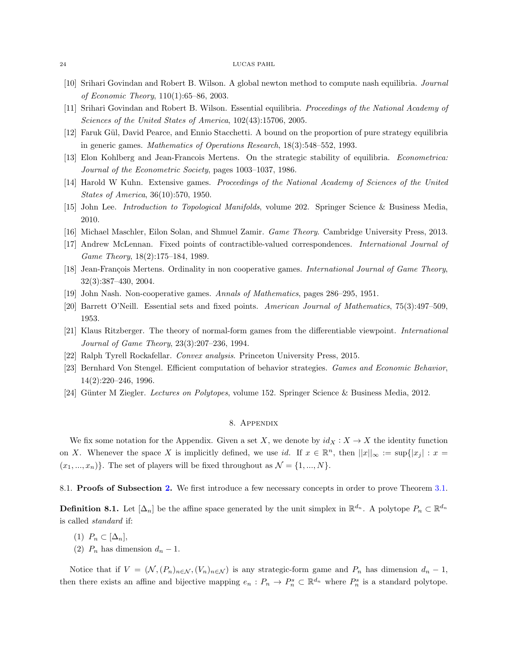#### 24 LUCAS PAHL

- <span id="page-23-14"></span>[10] Srihari Govindan and Robert B. Wilson. A global newton method to compute nash equilibria. Journal of Economic Theory, 110(1):65–86, 2003.
- <span id="page-23-1"></span>[11] Srihari Govindan and Robert B. Wilson. Essential equilibria. Proceedings of the National Academy of Sciences of the United States of America, 102(43):15706, 2005.
- <span id="page-23-8"></span>[12] Faruk G¨ul, David Pearce, and Ennio Stacchetti. A bound on the proportion of pure strategy equilibria in generic games. Mathematics of Operations Research, 18(3):548–552, 1993.
- <span id="page-23-2"></span>[13] Elon Kohlberg and Jean-Francois Mertens. On the strategic stability of equilibria. Econometrica: Journal of the Econometric Society, pages 1003–1037, 1986.
- <span id="page-23-11"></span>[14] Harold W Kuhn. Extensive games. Proceedings of the National Academy of Sciences of the United States of America, 36(10):570, 1950.
- <span id="page-23-12"></span>[15] John Lee. Introduction to Topological Manifolds, volume 202. Springer Science & Business Media, 2010.
- <span id="page-23-13"></span><span id="page-23-10"></span>[16] Michael Maschler, Eilon Solan, and Shmuel Zamir. Game Theory. Cambridge University Press, 2013.
- [17] Andrew McLennan. Fixed points of contractible-valued correspondences. International Journal of Game Theory, 18(2):175–184, 1989.
- <span id="page-23-3"></span>[18] Jean-François Mertens. Ordinality in non cooperative games. International Journal of Game Theory, 32(3):387–430, 2004.
- <span id="page-23-9"></span><span id="page-23-7"></span>[19] John Nash. Non-cooperative games. Annals of Mathematics, pages 286–295, 1951.
- [20] Barrett O'Neill. Essential sets and fixed points. American Journal of Mathematics, 75(3):497–509, 1953.
- <span id="page-23-0"></span>[21] Klaus Ritzberger. The theory of normal-form games from the differentiable viewpoint. International Journal of Game Theory, 23(3):207–236, 1994.
- <span id="page-23-6"></span><span id="page-23-4"></span>[22] Ralph Tyrell Rockafellar. Convex analysis. Princeton University Press, 2015.
- [23] Bernhard Von Stengel. Efficient computation of behavior strategies. Games and Economic Behavior, 14(2):220–246, 1996.
- <span id="page-23-16"></span>[24] Günter M Ziegler. Lectures on Polytopes, volume 152. Springer Science & Business Media, 2012.

# 8. Appendix

We fix some notation for the Appendix. Given a set X, we denote by  $id_X : X \to X$  the identity function on X. Whenever the space X is implicitly defined, we use id. If  $x \in \mathbb{R}^n$ , then  $||x||_{\infty} := \sup\{|x_j| : x =$  $(x_1, ..., x_n)$ . The set of players will be fixed throughout as  $\mathcal{N} = \{1, ..., N\}$ .

<span id="page-23-5"></span>8.1. Proofs of Subsection [2.](#page-2-0) We first introduce a few necessary concepts in order to prove Theorem [3.1.](#page-4-3)

<span id="page-23-15"></span>**Definition 8.1.** Let  $[\Delta_n]$  be the affine space generated by the unit simplex in  $\mathbb{R}^{d_n}$ . A polytope  $P_n \subset \mathbb{R}^{d_n}$ is called standard if:

- (1)  $P_n \subset [\Delta_n],$
- (2)  $P_n$  has dimension  $d_n 1$ .

Notice that if  $V = (\mathcal{N}, (P_n)_{n \in \mathcal{N}}, (V_n)_{n \in \mathcal{N}})$  is any strategic-form game and  $P_n$  has dimension  $d_n - 1$ , then there exists an affine and bijective mapping  $e_n$ :  $P_n \to P_n^s \subset \mathbb{R}^{d_n}$  where  $P_n^s$  is a standard polytope.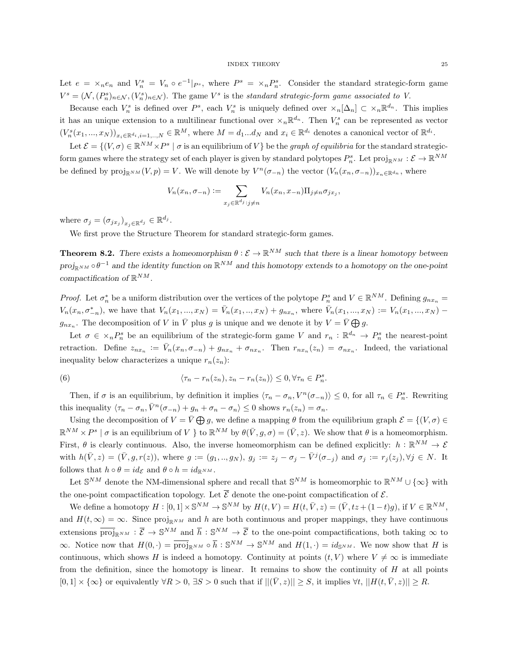Let  $e = \times_n e_n$  and  $V_n^s = V_n \circ e^{-1}|_{P^s}$ , where  $P^s = \times_n P_n^s$ . Consider the standard strategic-form game  $V^s = (\mathcal{N}, (P^s_n)_{n \in \mathcal{N}}, (V^s_n)_{n \in \mathcal{N}})$ . The game  $V^s$  is the standard strategic-form game associated to V.

Because each  $V_n^s$  is defined over  $P^s$ , each  $V_n^s$  is uniquely defined over  $\langle \nabla_n | \Delta_n | \subset \langle \nabla_n | \mathbb{R}^{d_n} \rangle$ . This implies it has an unique extension to a multilinear functional over  $\times_n \mathbb{R}^{d_n}$ . Then  $V_n^s$  can be represented as vector  $(V_n^s(x_1,...,x_N))_{x_i\in\mathbb{R}^{d_i},i=1,..,N}\in\mathbb{R}^M$ , where  $M=d_1...d_N$  and  $x_i\in\mathbb{R}^{d_i}$  denotes a canonical vector of  $\mathbb{R}^{d_i}$ .

Let  $\mathcal{E} = \{(V, \sigma) \in \mathbb{R}^{NM} \times P^s \mid \sigma \text{ is an equilibrium of } V\}$  be the *graph of equilibria* for the standard strategicform games where the strategy set of each player is given by standard polytopes  $P_n^s$ . Let  $\text{proj}_{\mathbb{R}^{NM}} : \mathcal{E} \to \mathbb{R}^{NM}$ be defined by  $\text{proj}_{\mathbb{R}^{NM}}(V,p) = V$ . We will denote by  $V^n(\sigma_{-n})$  the vector  $(V_n(x_n, \sigma_{-n}))_{x_n \in \mathbb{R}^{d_n}}$ , where

$$
V_n(x_n, \sigma_{-n}) := \sum_{x_j \in \mathbb{R}^{d_j} : j \neq n} V_n(x_n, x_{-n}) \Pi_{j \neq n} \sigma_{j x_j},
$$

where  $\sigma_j = (\sigma_{jx_j})_{x_j \in \mathbb{R}^{d_j}} \in \mathbb{R}^{d_j}$ .

We first prove the Structure Theorem for standard strategic-form games.

<span id="page-24-0"></span>**Theorem 8.2.** There exists a homeomorphism  $\theta : \mathcal{E} \to \mathbb{R}^{NM}$  such that there is a linear homotopy between  $proj_{\mathbb{R}^{NM}} \circ \theta^{-1}$  and the identity function on  $\mathbb{R}^{NM}$  and this homotopy extends to a homotopy on the one-point compactification of  $\mathbb{R}^{NM}$ .

*Proof.* Let  $\sigma_n^*$  be a uniform distribution over the vertices of the polytope  $P_n^s$  and  $V \in \mathbb{R}^{NM}$ . Defining  $g_{nx_n} =$  $V_n(x_n, \sigma_{-n}^*)$ , we have that  $V_n(x_1, ..., x_N) = \bar{V}_n(x_1, ..., x_N) + g_{nx_n}$ , where  $\bar{V}_n(x_1, ..., x_N) := V_n(x_1, ..., x_N)$  $g_{nx_n}$ . The decomposition of V in  $\overline{V}$  plus g is unique and we denote it by  $V = \overline{V} \bigoplus g$ .

Let  $\sigma \in \times_n P_n^s$  be an equilibrium of the strategic-form game V and  $r_n : \mathbb{R}^{d_n} \to P_n^s$  the nearest-point retraction. Define  $z_{nx_n} := \bar{V}_n(x_n, \sigma_{-n}) + g_{nx_n} + \sigma_{nx_n}$ . Then  $r_{nx_n}(z_n) = \sigma_{nx_n}$ . Indeed, the variational inequality below characterizes a unique  $r_n(z_n)$ :

<span id="page-24-1"></span>(6) 
$$
\langle \tau_n - r_n(z_n), z_n - r_n(z_n) \rangle \leq 0, \forall \tau_n \in P_n^s.
$$

Then, if  $\sigma$  is an equilibrium, by definition it implies  $\langle \tau_n - \sigma_n, V^n(\sigma_{-n}) \rangle \leq 0$ , for all  $\tau_n \in P_n^s$ . Rewriting this inequality  $\langle \tau_n - \sigma_n, \overline{V}^n(\sigma_{-n}) + g_n + \sigma_n - \sigma_n \rangle \leq 0$  shows  $r_n(z_n) = \sigma_n$ .

Using the decomposition of  $V = \overline{V} \bigoplus g$ , we define a mapping  $\theta$  from the equilibrium graph  $\mathcal{E} = \{(V, \sigma) \in$  $\mathbb{R}^{NM} \times P^s \mid \sigma$  is an equilibrium of V } to  $\mathbb{R}^{NM}$  by  $\theta(\bar{V}, g, \sigma) = (\bar{V}, z)$ . We show that  $\theta$  is a homeomorphism. First,  $\theta$  is clearly continuous. Also, the inverse homeomorphism can be defined explicitly:  $h : \mathbb{R}^{NM} \to \mathcal{E}$ with  $h(\bar{V}, z) = (\bar{V}, g, r(z))$ , where  $g := (g_1, ..., g_N)$ ,  $g_j := z_j - \sigma_j - \bar{V}^j(\sigma_{-j})$  and  $\sigma_j := r_j(z_j)$ ,  $\forall j \in N$ . It follows that  $h \circ \theta = id_{\mathcal{E}}$  and  $\theta \circ h = id_{\mathbb{R}^{NM}}$ .

Let  $\mathbb{S}^{NM}$  denote the NM-dimensional sphere and recall that  $\mathbb{S}^{NM}$  is homeomorphic to  $\mathbb{R}^{NM} \cup \{\infty\}$  with the one-point compactification topology. Let  $\overline{\mathcal{E}}$  denote the one-point compactification of  $\mathcal{E}$ .

We define a homotopy  $H : [0,1] \times \mathbb{S}^{NM} \to \mathbb{S}^{NM}$  by  $H(t,V) = H(t,\bar{V},z) = (\bar{V},tz+(1-t)g), \text{ if } V \in \mathbb{R}^{NM}$ , and  $H(t,\infty) = \infty$ . Since proj<sub>RNM</sub> and h are both continuous and proper mappings, they have continuous extensions  $\overline{\text{proj}}_{\mathbb{R}^{NM}} : \overline{\mathcal{E}} \to \mathbb{S}^{NM}$  and  $\overline{h} : \mathbb{S}^{NM} \to \overline{\mathcal{E}}$  to the one-point compactifications, both taking  $\infty$  to  $\infty$ . Notice now that  $H(0, \cdot) = \overline{\text{proj}}_{\mathbb{R}^{NM}} \circ \overline{h} : \mathbb{S}^{NM} \to \mathbb{S}^{NM}$  and  $H(1, \cdot) = id_{\mathbb{S}^{NM}}$ . We now show that H is continuous, which shows H is indeed a homotopy. Continuity at points  $(t, V)$  where  $V \neq \infty$  is immediate from the definition, since the homotopy is linear. It remains to show the continuity of  $H$  at all points  $[0,1] \times \{\infty\}$  or equivalently  $\forall R > 0$ ,  $\exists S > 0$  such that if  $||(\bar{V}, z)|| \geq S$ , it implies  $\forall t, ||H(t, \bar{V}, z)|| \geq R$ .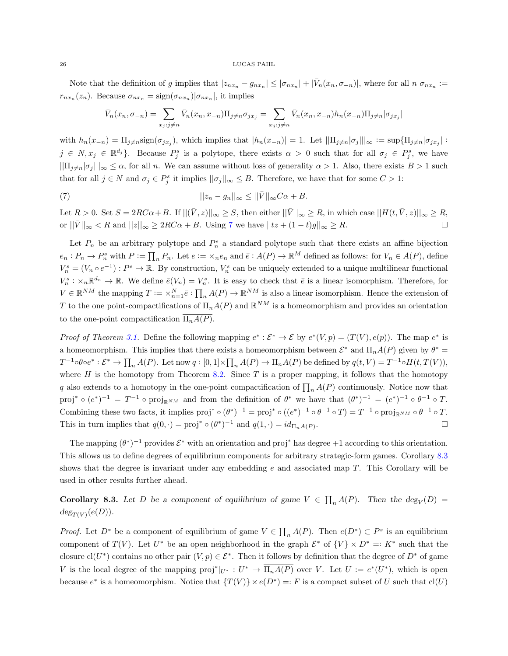#### 26 LUCAS PAHL

Note that the definition of g implies that  $|z_{nx_n} - g_{nx_n}| \leq |\sigma_{nx_n}| + |\bar{V}_n(x_n, \sigma_{-n})|$ , where for all  $n \sigma_{nx_n} :=$  $r_{nx_n}(z_n)$ . Because  $\sigma_{nx_n} = \text{sign}(\sigma_{nx_n}) |\sigma_{nx_n}|$ , it implies

<span id="page-25-0"></span>
$$
\bar{V}_n(x_n, \sigma_{-n}) = \sum_{x_j : j \neq n} \bar{V}_n(x_n, x_{-n}) \Pi_{j \neq n} \sigma_{j x_j} = \sum_{x_j : j \neq n} \bar{V}_n(x_n, x_{-n}) h_n(x_{-n}) \Pi_{j \neq n} |\sigma_{j x_j}|
$$

with  $h_n(x_{-n}) = \prod_{j \neq n} \text{sign}(\sigma_{jx_j})$ , which implies that  $|h_n(x_{-n})| = 1$ . Let  $||\prod_{j \neq n} |\sigma_j||_{\infty} := \text{sup}\{\prod_{j \neq n} |\sigma_{jx_j}| :$  $j \in N, x_j \in \mathbb{R}^{d_j}$ . Because  $P_j^s$  is a polytope, there exists  $\alpha > 0$  such that for all  $\sigma_j \in P_j^s$ , we have  $||\Pi_{j\neq n}|\sigma_j||_{\infty} \leq \alpha$ , for all n. We can assume without loss of generality  $\alpha > 1$ . Also, there exists  $B > 1$  such that for all  $j \in N$  and  $\sigma_j \in P_j^s$  it implies  $||\sigma_j||_{\infty} \leq B$ . Therefore, we have that for some  $C > 1$ :

(7) 
$$
||z_n - g_n||_{\infty} \le ||\bar{V}||_{\infty} C\alpha + B.
$$

Let  $R > 0$ . Set  $S = 2RC\alpha + B$ . If  $||(\bar{V}, z)||_{\infty} \geq S$ , then either  $||\bar{V}||_{\infty} \geq R$ , in which case  $||H(t, \bar{V}, z)||_{\infty} \geq R$ , or  $||\bar{V}||_{\infty} < R$  and  $||z||_{\infty} \geq 2RC\alpha + B$ . Using [7](#page-25-0) we have  $||tz + (1-t)g||_{\infty} \geq R$ .

Let  $P_n$  be an arbitrary polytope and  $P_n^s$  a standard polytope such that there exists an affine bijection  $e_n: P_n \to P_n^s$  with  $P := \prod_n P_n$ . Let  $e := \times_n e_n$  and  $\overline{e}: A(P) \to \mathbb{R}^M$  defined as follows: for  $V_n \in A(P)$ , define  $V_n^s = (V_n \circ e^{-1}) : P^s \to \mathbb{R}$ . By construction,  $V_n^s$  can be uniquely extended to a unique multilinear functional  $V_n^s : \times_n \mathbb{R}^{d_n} \to \mathbb{R}$ . We define  $\bar{e}(V_n) = V_n^s$ . It is easy to check that  $\bar{e}$  is a linear isomorphism. Therefore, for  $V \in \mathbb{R}^{NM}$  the mapping  $T := \times_{n=1}^N \bar{e} : \prod_n A(P) \to \mathbb{R}^{NM}$  is also a linear isomorphism. Hence the extension of T to the one point-compactifications of  $\Pi_n A(P)$  and  $\mathbb{R}^{NM}$  is a homeomorphism and provides an orientation to the one-point compactification  $\overline{\Pi_nA(P)}$ .

*Proof of Theorem [3.1.](#page-4-3)* Define the following mapping  $e^*: \mathcal{E}^* \to \mathcal{E}$  by  $e^*(V, p) = (T(V), e(p))$ . The map  $e^*$  is a homeomorphism. This implies that there exists a homeomorphism between  $\mathcal{E}^*$  and  $\Pi_nA(P)$  given by  $\theta^* =$  $T^{-1} \circ \theta \circ e^* : \mathcal{E}^* \to \prod_n A(P)$ . Let now  $q: [0,1] \times \prod_n A(P) \to \Pi_n A(P)$  be defined by  $q(t, V) = T^{-1} \circ H(t, T(V)),$ where  $H$  is the homotopy from Theorem [8.2.](#page-24-0) Since  $T$  is a proper mapping, it follows that the homotopy q also extends to a homotopy in the one-point compactification of  $\prod_n A(P)$  continuously. Notice now that proj<sup>\*</sup>  $\circ$   $(e^*)^{-1} = T^{-1} \circ \text{proj}_{\mathbb{R}^{NM}}$  and from the definition of  $\theta^*$  we have that  $(\theta^*)^{-1} = (e^*)^{-1} \circ \theta^{-1} \circ T$ . Combining these two facts, it implies  $proj^* \circ (\theta^*)^{-1} = proj^* \circ ((e^*)^{-1} \circ \theta^{-1} \circ T) = T^{-1} \circ proj_{\mathbb{R}^{NM}} \circ \theta^{-1} \circ T$ . This in turn implies that  $q(0, \cdot) = \text{proj}^* \circ (\theta^*)^{-1}$  and  $q(1, \cdot) = id_{\Pi_n A(P)}$ . — Первый процесс в серверності процесс в серверності процесс в серверності процесс в серверності процесс в с<br>Первої в серверності процесс в серверності процесс в серверності процесс в серверності процесс в серверності п

The mapping  $(\theta^*)^{-1}$  provides  $\mathcal{E}^*$  with an orientation and proj<sup>\*</sup> has degree +1 according to this orientation. This allows us to define degrees of equilibrium components for arbitrary strategic-form games. Corollary [8.3](#page-25-1) shows that the degree is invariant under any embedding  $e$  and associated map  $T$ . This Corollary will be used in other results further ahead.

<span id="page-25-1"></span>**Corollary 8.3.** Let D be a component of equilibrium of game  $V \in \prod_n A(P)$ . Then the  $\deg_V(D)$  $deg_{T(V)}(e(D)).$ 

*Proof.* Let  $D^*$  be a component of equilibrium of game  $V \in \prod_n A(P)$ . Then  $e(D^*) \subset P^s$  is an equilibrium component of  $T(V)$ . Let  $U^*$  be an open neighborhood in the graph  $\mathcal{E}^*$  of  $\{V\} \times D^* =: K^*$  such that the closure cl(U<sup>\*</sup>) contains no other pair  $(V, p) \in \mathcal{E}^*$ . Then it follows by definition that the degree of  $D^*$  of game V is the local degree of the mapping  $proj^*|_{U^*}: U^* \to \overline{\Pi_n A(P)}$  over V. Let  $U := e^*(U^*)$ , which is open because  $e^*$  is a homeomorphism. Notice that  $\{T(V)\}\times e(D^*) = F$  is a compact subset of U such that  $cl(U)$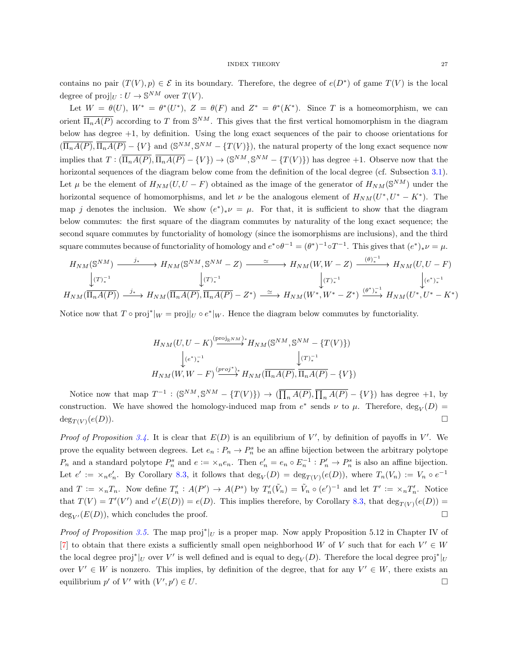contains no pair  $(T(V), p) \in \mathcal{E}$  in its boundary. Therefore, the degree of  $e(D^*)$  of game  $T(V)$  is the local degree of  $proj|_{U}: U \to \mathbb{S}^{NM}$  over  $T(V)$ .

Let  $W = \theta(U)$ ,  $W^* = \theta^*(U^*)$ ,  $Z = \theta(F)$  and  $Z^* = \theta^*(K^*)$ . Since T is a homeomorphism, we can orient  $\overline{\Pi_nA(P)}$  according to T from  $\mathbb{S}^{NM}$ . This gives that the first vertical homomorphism in the diagram below has degree +1, by definition. Using the long exact sequences of the pair to choose orientations for  $(\overline{\Pi_nA(P)}, \overline{\Pi_nA(P)} - \{V\}$  and  $(\mathbb{S}^{NM}, \mathbb{S}^{NM} - \{T(V)\})$ , the natural property of the long exact sequence now implies that  $T: (\overline{\Pi_n A(P)}, \overline{\Pi_n A(P)} - \{V\}) \to (\mathbb{S}^{NM}, \mathbb{S}^{NM} - \{T(V)\})$  has degree +1. Observe now that the horizontal sequences of the diagram below come from the definition of the local degree (cf. Subsection [3.1\)](#page-4-0). Let  $\mu$  be the element of  $H_{NM}(U, U - F)$  obtained as the image of the generator of  $H_{NM}(\mathbb{S}^{NM})$  under the horizontal sequence of homomorphisms, and let  $\nu$  be the analogous element of  $H_{NM}(U^*,U^*-K^*)$ . The map j denotes the inclusion. We show  $(e^*)_*\nu = \mu$ . For that, it is sufficient to show that the diagram below commutes: the first square of the diagram commutes by naturality of the long exact sequence; the second square commutes by functoriality of homology (since the isomorphisms are inclusions), and the third square commutes because of functoriality of homology and  $e^* \circ \theta^{-1} = (\theta^*)^{-1} \circ T^{-1}$ . This gives that  $(e^*)_* \nu = \mu$ .

$$
H_{NM}(\mathbb{S}^{NM}) \xrightarrow{\qquad j_*} H_{NM}(\mathbb{S}^{NM}, \mathbb{S}^{NM} - Z) \xrightarrow{\qquad \simeq} H_{NM}(W, W - Z) \xrightarrow{(\theta)_{*}^{-1}} H_{NM}(U, U - F)
$$
  

$$
\downarrow (T)_{*}^{-1} \qquad \qquad \downarrow (T)_{*}^{-1} \qquad \qquad \downarrow (T)_{*}^{-1}
$$
  

$$
H_{NM}(\overline{\Pi_n A(P)}) \xrightarrow{j_*} H_{NM}(\overline{\Pi_n A(P)}, \overline{\Pi_n A(P)} - Z^*) \xrightarrow{\simeq} H_{NM}(W^*, W^* - Z^*) \xrightarrow{(\theta^*)_{*}^{-1}} H_{NM}(U^*, U^* - K^*)
$$

Notice now that  $T \circ \text{proj}^*|_{W} = \text{proj}|_{U} \circ e^*|_{W}$ . Hence the diagram below commutes by functoriality.

$$
H_{NM}(U, U - K) \xrightarrow{\text{(proj}_{\mathbb{R}^{NM}})} H_{NM}(\mathbb{S}^{NM}, \mathbb{S}^{NM} - \{T(V)\})
$$

$$
\downarrow_{(e^*)_*^{-1}} \qquad \qquad \downarrow (T)_*^{-1}
$$

$$
H_{NM}(W, W - F) \xrightarrow{\text{(proj^*)*}} H_{NM}(\overline{\Pi_n A(P)}, \overline{\Pi_n A(P)} - \{V\})
$$

Notice now that map  $T^{-1} : (\mathbb{S}^{NM}, \mathbb{S}^{NM} - \{T(V)\}) \to (\overline{\prod_n A(P)}, \overline{\prod_n A(P)} - \{V\})$  has degree +1, by construction. We have showed the homology-induced map from  $e^*$  sends  $\nu$  to  $\mu$ . Therefore,  $\deg_V(D)$  $deg_{T(V)}(e(D)).$  $(e(D)).$ 

Proof of Proposition [3.4.](#page-5-1) It is clear that  $E(D)$  is an equilibrium of V', by definition of payoffs in V'. We prove the equality between degrees. Let  $e_n: P_n \to P_n^s$  be an affine bijection between the arbitrary polytope  $P_n$  and a standard polytope  $P_n^s$  and  $e := \times_n e_n$ . Then  $e'_n = e_n \circ E_n^{-1} : P'_n \to P_n^s$  is also an affine bijection. Let  $e' := \times_n e'_n$ . By Corollary [8.3,](#page-25-1) it follows that  $\deg_V(D) = \deg_{T(V)}(e(D))$ , where  $T_n(V_n) := V_n \circ e^{-1}$ and  $T := \times_n T_n$ . Now define  $T'_n : A(P') \to A(P^s)$  by  $T'_n(\tilde{V}_n) = \tilde{V}_n \circ (e')^{-1}$  and let  $T' := \times_n T'_n$ . Notice that  $T(V) = T'(V')$  and  $e'(E(D)) = e(D)$ . This implies therefore, by Corollary [8.3,](#page-25-1) that  $\deg_{T(V)}(e(D)) =$  $deg_{V'}(E(D))$ , which concludes the proof.

*Proof of Proposition [3.5.](#page-5-0)* The map  $proj^*|_U$  is a proper map. Now apply Proposition 5.12 in Chapter IV of [\[7\]](#page-22-5) to obtain that there exists a sufficiently small open neighborhood W of V such that for each  $V' \in W$ the local degree proj<sup>\*</sup>|<sub>U</sub> over V' is well defined and is equal to  $\deg_V(D)$ . Therefore the local degree proj<sup>\*</sup>|<sub>U</sub> over  $V' \in W$  is nonzero. This implies, by definition of the degree, that for any  $V' \in W$ , there exists an equilibrium  $p'$  of  $V'$  with  $(V', p'')$  $\bigcup$   $\in$  U.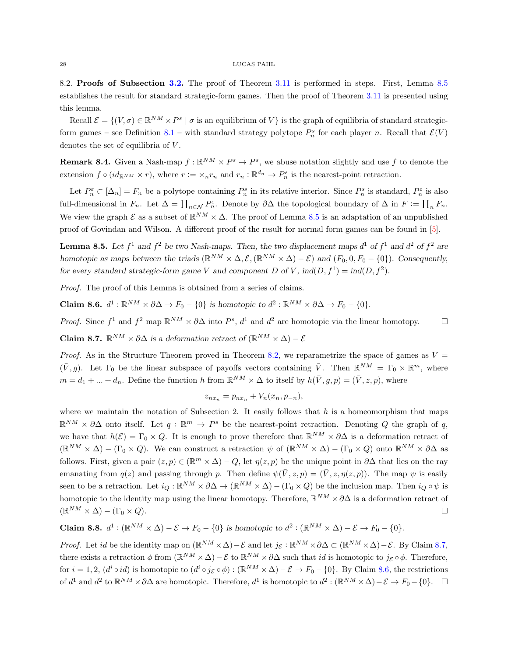#### 28 LUCAS PAHL

<span id="page-27-0"></span>8.2. Proofs of Subsection [3.2.](#page-5-3) The proof of Theorem [3.11](#page-6-1) is performed in steps. First, Lemma [8.5](#page-27-1) establishes the result for standard strategic-form games. Then the proof of Theorem [3.11](#page-6-1) is presented using this lemma.

Recall  $\mathcal{E} = \{(V, \sigma) \in \mathbb{R}^{NM} \times P^s \mid \sigma \text{ is an equilibrium of } V\}$  is the graph of equilibria of standard strategic-form games – see Definition [8.1](#page-23-15) – with standard strategy polytope  $P_n^s$  for each player n. Recall that  $\mathcal{E}(V)$ denotes the set of equilibria of  $V$ .

**Remark 8.4.** Given a Nash-map  $f : \mathbb{R}^{NM} \times P^s \to P^s$ , we abuse notation slightly and use f to denote the extension  $f \circ (id_{\mathbb{R}^{NM}} \times r)$ , where  $r := \times_n r_n$  and  $r_n : \mathbb{R}^{d_n} \to P_n^s$  is the nearest-point retraction.

Let  $P_n^{\varepsilon} \subset [\Delta_n] = F_n$  be a polytope containing  $P_n^s$  in its relative interior. Since  $P_n^s$  is standard,  $P_n^{\varepsilon}$  is also full-dimensional in  $F_n$ . Let  $\Delta = \prod_{n \in \mathcal{N}} P_n^{\varepsilon}$ . Denote by  $\partial \Delta$  the topological boundary of  $\Delta$  in  $F := \prod_n F_n$ . We view the graph  $\mathcal E$  as a subset of  $\mathbb R^{NM}\times\Delta$ . The proof of Lemma [8.5](#page-27-1) is an adaptation of an unpublished proof of Govindan and Wilson. A different proof of the result for normal form games can be found in [\[5\]](#page-22-4).

<span id="page-27-1"></span>**Lemma 8.5.** Let  $f^1$  and  $f^2$  be two Nash-maps. Then, the two displacement maps  $d^1$  of  $f^1$  and  $d^2$  of  $f^2$  are homotopic as maps between the triads  $(\mathbb{R}^{NM} \times \Delta, \mathcal{E}, (\mathbb{R}^{NM} \times \Delta) - \mathcal{E})$  and  $(F_0, 0, F_0 - \{0\})$ . Consequently, for every standard strategic-form game V and component D of V,  $\text{ind}(D, f^1) = \text{ind}(D, f^2)$ .

Proof. The proof of this Lemma is obtained from a series of claims.

<span id="page-27-3"></span>Claim 8.6.  $d^1: \mathbb{R}^{NM} \times \partial \Delta \to F_0 - \{0\}$  is homotopic to  $d^2: \mathbb{R}^{NM} \times \partial \Delta \to F_0 - \{0\}.$ 

*Proof.* Since  $f^1$  and  $f^2$  map  $\mathbb{R}^{NM} \times \partial \Delta$  into  $P^s$ ,  $d^1$  and  $d^2$  are homotopic via the linear homotopy. □

<span id="page-27-2"></span>Claim 8.7.  $\mathbb{R}^{NM} \times \partial \Delta$  is a deformation retract of  $(\mathbb{R}^{NM} \times \Delta) - \mathcal{E}$ 

*Proof.* As in the Structure Theorem proved in Theorem [8.2,](#page-24-0) we reparametrize the space of games as  $V =$  $(\bar{V}, g)$ . Let  $\Gamma_0$  be the linear subspace of payoffs vectors containing  $\bar{V}$ . Then  $\mathbb{R}^{NM} = \Gamma_0 \times \mathbb{R}^m$ , where  $m = d_1 + ... + d_n$ . Define the function h from  $\mathbb{R}^{NM} \times \Delta$  to itself by  $h(\bar{V}, g, p) = (\bar{V}, z, p)$ , where

$$
z_{nx_n} = p_{nx_n} + V_n(x_n, p_{-n}),
$$

where we maintain the notation of Subsection 2. It easily follows that  $h$  is a homeomorphism that maps  $\mathbb{R}^{NM} \times \partial \Delta$  onto itself. Let  $q : \mathbb{R}^m \to P^s$  be the nearest-point retraction. Denoting Q the graph of q, we have that  $h(\mathcal{E}) = \Gamma_0 \times Q$ . It is enough to prove therefore that  $\mathbb{R}^{NM} \times \partial \Delta$  is a deformation retract of  $(\mathbb{R}^{NM} \times \Delta) - (\Gamma_0 \times Q)$ . We can construct a retraction  $\psi$  of  $(\mathbb{R}^{NM} \times \Delta) - (\Gamma_0 \times Q)$  onto  $\mathbb{R}^{NM} \times \partial \Delta$  as follows. First, given a pair  $(z, p) \in (\mathbb{R}^m \times \Delta) - Q$ , let  $\eta(z, p)$  be the unique point in  $\partial \Delta$  that lies on the ray emanating from  $q(z)$  and passing through p. Then define  $\psi(\bar{V}, z, p) = (\bar{V}, z, \eta(z, p))$ . The map  $\psi$  is easily seen to be a retraction. Let  $i_Q : \mathbb{R}^{NM} \times \partial \Delta \to (\mathbb{R}^{NM} \times \Delta) - (\Gamma_0 \times Q)$  be the inclusion map. Then  $i_Q \circ \psi$  is homotopic to the identity map using the linear homotopy. Therefore,  $\mathbb{R}^{NM} \times \partial \Delta$  is a deformation retract of  $(\mathbb{R}^{NM} \times \Delta) - (\Gamma_0 \times Q).$ 

<span id="page-27-4"></span>Claim 8.8.  $d^1 : (\mathbb{R}^{NM} \times \Delta) - \mathcal{E} \to F_0 - \{0\}$  is homotopic to  $d^2 : (\mathbb{R}^{NM} \times \Delta) - \mathcal{E} \to F_0 - \{0\}.$ 

*Proof.* Let id be the identity map on  $(\mathbb{R}^{NM} \times \Delta) - \mathcal{E}$  and let  $j_{\mathcal{E}} : \mathbb{R}^{NM} \times \partial \Delta \subset (\mathbb{R}^{NM} \times \Delta) - \mathcal{E}$ . By Claim [8.7,](#page-27-2) there exists a retraction  $\phi$  from  $(\mathbb{R}^{NM} \times \Delta) - \mathcal{E}$  to  $\mathbb{R}^{NM} \times \partial \Delta$  such that *id* is homotopic to  $j_{\mathcal{E}} \circ \phi$ . Therefore, for  $i = 1, 2$ ,  $(d^i \circ id)$  is homotopic to  $(d^i \circ j_{\mathcal{E}} \circ \phi) : (\mathbb{R}^{NM} \times \Delta) - \mathcal{E} \to F_0 - \{0\}$ . By Claim [8.6,](#page-27-3) the restrictions of  $d^1$  and  $d^2$  to  $\mathbb{R}^{NM} \times \partial \Delta$  are homotopic. Therefore,  $d^1$  is homotopic to  $d^2: (\mathbb{R}^{NM} \times \Delta) - \mathcal{E} \to F_0 - \{0\}$ .  $\Box$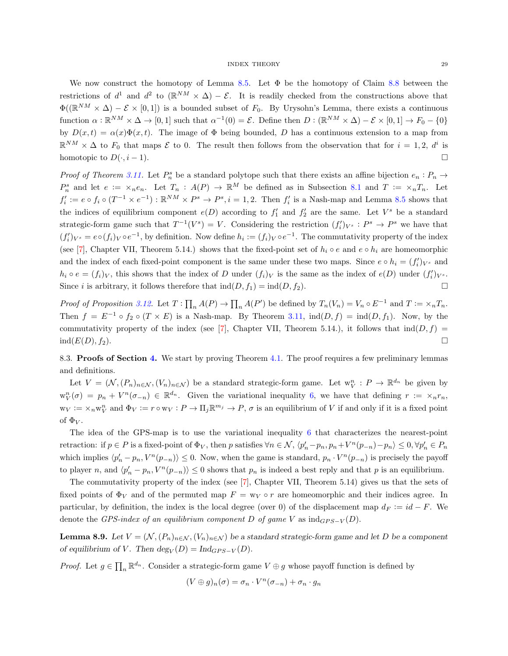We now construct the homotopy of Lemma [8.5.](#page-27-1) Let  $\Phi$  be the homotopy of Claim [8.8](#page-27-4) between the restrictions of  $d^1$  and  $d^2$  to  $(\mathbb{R}^{NM} \times \Delta) - \mathcal{E}$ . It is readily checked from the constructions above that  $\Phi((\mathbb{R}^{NM}\times\Delta)-\mathcal{E}\times[0,1])$  is a bounded subset of  $F_0$ . By Urysohn's Lemma, there exists a continuous function  $\alpha : \mathbb{R}^{NM} \times \Delta \to [0,1]$  such that  $\alpha^{-1}(0) = \mathcal{E}$ . Define then  $D : (\mathbb{R}^{NM} \times \Delta) - \mathcal{E} \times [0,1] \to F_0 - \{0\}$ by  $D(x,t) = \alpha(x)\Phi(x,t)$ . The image of  $\Phi$  being bounded, D has a continuous extension to a map from  $\mathbb{R}^{NM} \times \Delta$  to F<sub>0</sub> that maps E to 0. The result then follows from the observation that for  $i = 1, 2, d^i$  is homotopic to  $D(\cdot, i-1)$ .

Proof of Theorem [3.11.](#page-6-1) Let  $P_n^s$  be a standard polytope such that there exists an affine bijection  $e_n : P_n \to$  $P_n^s$  and let  $e := \times_n e_n$ . Let  $T_n : A(P) \to \mathbb{R}^M$  be defined as in Subsection [8.1](#page-23-5) and  $T := \times_n T_n$ . Let  $f_i' := e \circ f_i \circ (T^{-1} \times e^{-1}) : \mathbb{R}^{NM} \times P^s \to P^s, i = 1, 2$ . Then  $f_i'$  is a Nash-map and Lemma [8.5](#page-27-1) shows that the indices of equilibrium component  $e(D)$  according to  $f'_1$  and  $f'_2$  are the same. Let  $V^s$  be a standard strategic-form game such that  $T^{-1}(V^s) = V$ . Considering the restriction  $(f_i')_{V^s} : P^s \to P^s$  we have that  $(f'_i)_{V^s} = e \circ (f_i)_V \circ e^{-1}$ , by definition. Now define  $h_i := (f_i)_V \circ e^{-1}$ . The commutativity property of the index (see [\[7\]](#page-22-5), Chapter VII, Theorem 5.14.) shows that the fixed-point set of  $h_i \circ e$  and  $e \circ h_i$  are homeomorphic and the index of each fixed-point component is the same under these two maps. Since  $e \circ h_i = (f_i')_{V^s}$  and  $h_i \circ e = (f_i)_V$ , this shows that the index of D under  $(f_i)_V$  is the same as the index of  $e(D)$  under  $(f'_i)_{V^s}$ . Since i is arbitrary, it follows therefore that  $\text{ind}(D, f_1) = \text{ind}(D, f_2)$ .

Proof of Proposition [3.12.](#page-7-0) Let  $T: \prod_n A(P) \to \prod_n A(P')$  be defined by  $T_n(V_n) = V_n \circ E^{-1}$  and  $T := \times_n T_n$ . Then  $f = E^{-1} \circ f_2 \circ (T \times E)$  is a Nash-map. By Theorem [3.11,](#page-6-1)  $\text{ind}(D, f) = \text{ind}(D, f_1)$ . Now, by the commutativity property of the index (see [\[7\]](#page-22-5), Chapter VII, Theorem 5.14.), it follows that  $\text{ind}(D, f)$  =  $\mathrm{ind}(E(D), f_2).$ 

<span id="page-28-0"></span>8.3. Proofs of Section [4.](#page-8-0) We start by proving Theorem [4.1.](#page-8-1) The proof requires a few preliminary lemmas and definitions.

Let  $V = (\mathcal{N}, (P_n)_{n \in \mathcal{N}}, (V_n)_{n \in \mathcal{N}})$  be a standard strategic-form game. Let  $w_V^n : P \to \mathbb{R}^{d_n}$  be given by  $\mathbf{w}_V^n(\sigma) = p_n + V^n(\sigma_{-n}) \in \mathbb{R}^{d_n}$ . Given the variational inequality [6,](#page-24-1) we have that defining  $r := \times_n r_n$ ,  $w_V := \times_n w_V^n$  and  $\Phi_V := r \circ w_V : P \to \Pi_j \mathbb{R}^{m_j} \to P$ ,  $\sigma$  is an equilibrium of V if and only if it is a fixed point of  $\Phi_V$ .

The idea of the GPS-map is to use the variational inequality [6](#page-24-1) that characterizes the nearest-point retraction: if  $p \in P$  is a fixed-point of  $\Phi_V$ , then p satisfies  $\forall n \in \mathcal{N}$ ,  $\langle p'_n - p_n, p_n + V^n(p_{-n}) - p_n \rangle \leq 0$ ,  $\forall p'_n \in P_n$ which implies  $\langle p'_n - p_n, V^n(p_{-n}) \rangle \leq 0$ . Now, when the game is standard,  $p_n \cdot V^n(p_{-n})$  is precisely the payoff to player n, and  $\langle p'_n - p_n, V^n(p_{-n}) \rangle \leq 0$  shows that  $p_n$  is indeed a best reply and that p is an equilibrium.

The commutativity property of the index (see [\[7\]](#page-22-5), Chapter VII, Theorem 5.14) gives us that the sets of fixed points of  $\Phi_V$  and of the permuted map  $F = w_V \circ r$  are homeomorphic and their indices agree. In particular, by definition, the index is the local degree (over 0) of the displacement map  $d_F := id - F$ . We denote the GPS-index of an equilibrium component D of game V as  $ind_{GPS-V}(D)$ .

<span id="page-28-1"></span>**Lemma 8.9.** Let  $V = (\mathcal{N}, (P_n)_{n \in \mathcal{N}}, (V_n)_{n \in \mathcal{N}})$  be a standard strategic-form game and let D be a component of equilibrium of V. Then  $deg_V(D) = Ind_{GPS-V}(D)$ .

*Proof.* Let  $g \in \prod_n \mathbb{R}^{d_n}$ . Consider a strategic-form game  $V \oplus g$  whose payoff function is defined by

$$
(V \oplus g)_n(\sigma) = \sigma_n \cdot V^n(\sigma_{-n}) + \sigma_n \cdot g_n
$$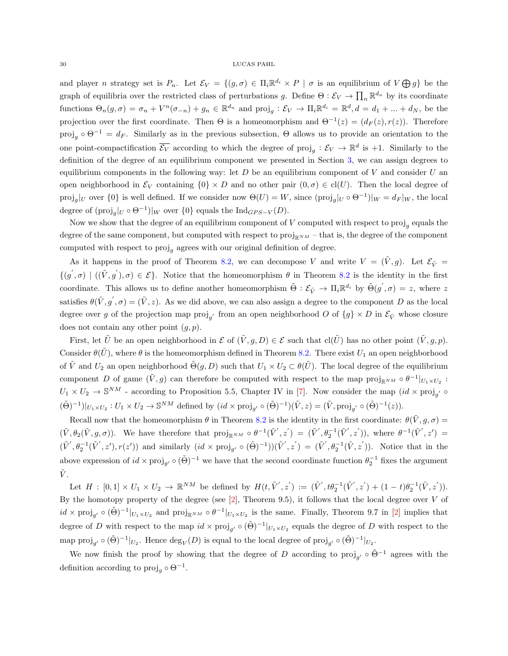#### 30 LUCAS PAHL

and player *n* strategy set is  $P_n$ . Let  $\mathcal{E}_V = \{(g, \sigma) \in \Pi_i \mathbb{R}^{d_i} \times P \mid \sigma \text{ is an equilibrium of } V \bigoplus g\}$  be the graph of equilibria over the restricted class of perturbations g. Define  $\Theta: \mathcal{E}_V \to \prod_n \mathbb{R}^{d_n}$  by its coordinate functions  $\Theta_n(g,\sigma) = \sigma_n + V^n(\sigma_{-n}) + g_n \in \mathbb{R}^{d_n}$  and  $\text{proj}_g : \mathcal{E}_V \to \Pi_i \mathbb{R}^{d_i} = \mathbb{R}^d, d = d_1 + ... + d_N$ , be the projection over the first coordinate. Then  $\Theta$  is a homeomorphism and  $\Theta^{-1}(z) = (d_F(z), r(z))$ . Therefore proj<sub>g</sub> ∘  $\Theta^{-1} = d_F$ . Similarly as in the previous subsection,  $\Theta$  allows us to provide an orientation to the one point-compactification  $\overline{\mathcal{E}_V}$  according to which the degree of  $\text{proj}_g : \mathcal{E}_V \to \mathbb{R}^d$  is +1. Similarly to the definition of the degree of an equilibrium component we presented in Section [3,](#page-4-1) we can assign degrees to equilibrium components in the following way: let  $D$  be an equilibrium component of  $V$  and consider  $U$  and open neighborhood in  $\mathcal{E}_V$  containing  $\{0\} \times D$  and no other pair  $(0, \sigma) \in \text{cl}(U)$ . Then the local degree of proj<sub>g</sub>|<sub>U</sub> over  $\{0\}$  is well defined. If we consider now  $\Theta(U) = W$ , since  $(\text{proj}_g|_U \circ \Theta^{-1})|_W = d_F|_W$ , the local degree of  $(\text{proj}_g|_U \circ \Theta^{-1})|_W$  over  $\{0\}$  equals the  $\text{Ind}_{GPS-V}(D)$ .

Now we show that the degree of an equilibrium component of  $V$  computed with respect to  $proj_g$  equals the degree of the same component, but computed with respect to  $proj_{\mathbb{R}^{NM}}$  – that is, the degree of the component computed with respect to  $proj<sub>g</sub>$  agrees with our original definition of degree.

As it happens in the proof of Theorem [8.2,](#page-24-0) we can decompose V and write  $V = (V, g)$ . Let  $\mathcal{E}_{\tilde{V}} =$  $\{ (g', \sigma) \mid ((\tilde{V}, g'), \sigma) \in \mathcal{E} \}.$  Notice that the homeomorphism  $\theta$  in Theorem [8.2](#page-24-0) is the identity in the first coordinate. This allows us to define another homeomorphism  $\tilde{\Theta}: \mathcal{E}_{\tilde{V}} \to \Pi_i \mathbb{R}^{d_i}$  by  $\tilde{\Theta}(g', \sigma) = z$ , where z satisfies  $\theta(\tilde{V}, g', \sigma) = (\tilde{V}, z)$ . As we did above, we can also assign a degree to the component D as the local degree over g of the projection map  $proj_{g'}$  from an open neighborhood O of  $\{g\} \times D$  in  $\mathcal{E}_{\tilde{V}}$  whose closure does not contain any other point  $(g, p)$ .

First, let  $\tilde{U}$  be an open neighborhood in  $\mathcal{E}$  of  $(\tilde{V}, g, D) \in \mathcal{E}$  such that  $\text{cl}(\tilde{U})$  has no other point  $(\tilde{V}, g, p)$ . Consider  $\theta(\tilde{U})$ , where  $\theta$  is the homeomorphism defined in Theorem [8.2.](#page-24-0) There exist  $U_1$  an open neighborhood of  $\tilde{V}$  and  $U_2$  an open neighborhood  $\tilde{\Theta}(g, D)$  such that  $U_1 \times U_2 \subset \theta(\tilde{U})$ . The local degree of the equilibrium component D of game  $(\tilde{V}, g)$  can therefore be computed with respect to the map  $proj_{\mathbb{R}^{NM}} \circ \theta^{-1}|_{U_1 \times U_2}$ :  $U_1 \times U_2 \to \mathbb{S}^{NM}$  - according to Proposition 5.5, Chapter IV in [\[7\]](#page-22-5). Now consider the map  $(id \times \text{proj}_{g'} \circ$  $(\tilde{\Theta})^{-1} |_{U_1 \times U_2} : U_1 \times U_2 \to \mathbb{S}^{NM}$  defined by  $(id \times \text{proj}_{g'} \circ (\tilde{\Theta})^{-1})(\tilde{V}, z) = (\tilde{V}, \text{proj}_{g'} \circ (\tilde{\Theta})^{-1}(z)).$ 

Recall now that the homeomorphism  $\theta$  in Theorem [8.2](#page-24-0) is the identity in the first coordinate:  $\theta(\tilde{V}, g, \sigma) =$  $(\tilde{V}, \theta_2(\tilde{V}, g, \sigma))$ . We have therefore that  $\text{proj}_{\mathbb{R}^{NM}} \circ \theta^{-1}(\tilde{V}', z') = (\tilde{V}', \theta_2^{-1}(\tilde{V}', z'))$ , where  $\theta^{-1}(\tilde{V}', z') =$  $(\tilde{V}', \theta_2^{-1}(\tilde{V}', z'), r(z'))$  and similarly  $(id \times \text{proj}_{g'} \circ (\tilde{\Theta})^{-1}))(\tilde{V}', z') = (\tilde{V}', \theta_2^{-1}(\tilde{V}, z')).$  Notice that in the above expression of  $id \times \text{proj}_{g'} \circ (\tilde{\Theta})^{-1}$  we have that the second coordinate function  $\theta_2^{-1}$  fixes the argument  $\tilde{V}$ .

Let  $H : [0,1] \times U_1 \times U_2 \to \mathbb{R}^{NM}$  be defined by  $H(t, \tilde{V}', z') := (\tilde{V}', t\theta_2^{-1}(\tilde{V}', z') + (1-t)\theta_2^{-1}(\tilde{V}, z')).$ By the homotopy property of the degree (see  $[2]$ , Theorem 9.5), it follows that the local degree over V of  $id \times \text{proj}_{g'} \circ (\tilde{\Theta})^{-1}|_{U_1 \times U_2}$  and  $\text{proj}_{\mathbb{R}^{NM}} \circ \theta^{-1}|_{U_1 \times U_2}$  is the same. Finally, Theorem 9.7 in [\[2\]](#page-22-7) implies that degree of D with respect to the map  $id \times \text{proj}_{g'} \circ (\tilde{\Theta})^{-1}|_{U_1 \times U_2}$  equals the degree of D with respect to the map proj<sub>g'</sub>  $\circ (\tilde{\Theta})^{-1}|_{U_2}$ . Hence  $\deg_V(D)$  is equal to the local degree of proj<sub>g'</sub>  $\circ (\tilde{\Theta})^{-1}|_{U_2}$ .

We now finish the proof by showing that the degree of D according to  $\text{proj}_{g'} \circ \tilde{\Theta}^{-1}$  agrees with the definition according to  $proj<sub>g</sub> \circ \Theta^{-1}$ .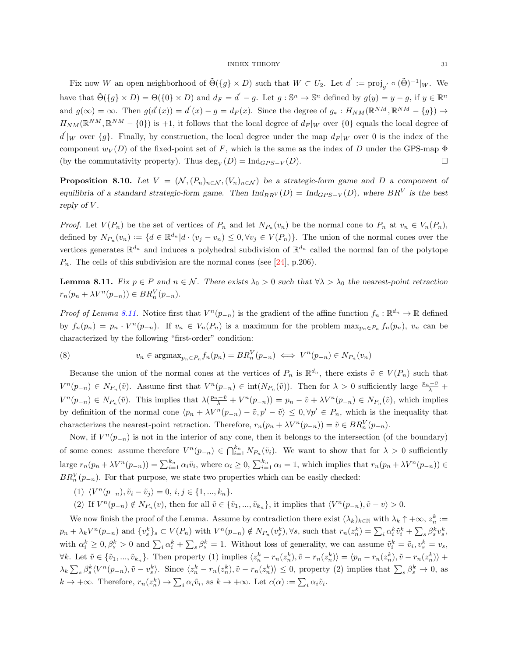Fix now W an open neighborhood of  $\tilde{\Theta}(\{g\} \times D)$  such that  $W \subset U_2$ . Let  $d' := \text{proj}_{g'} \circ (\tilde{\Theta})^{-1}|_W$ . We have that  $\tilde{\Theta}(\{g\} \times D) = \Theta(\{0\} \times D)$  and  $d_F = d' - g$ . Let  $g : \mathbb{S}^n \to \mathbb{S}^n$  defined by  $g(y) = y - g$ , if  $y \in \mathbb{R}^n$ and  $g(\infty) = \infty$ . Then  $g(d'(x)) = d'(x) - g = d_F(x)$ . Since the degree of  $g_* : H_{NM}(\mathbb{R}^{NM}, \mathbb{R}^{NM} - \{g\}) \to$  $H_{NM}(\mathbb{R}^{NM},\mathbb{R}^{NM}-\{0\})$  is +1, it follows that the local degree of  $d_F|_W$  over  $\{0\}$  equals the local degree of  $d' \vert_W$  over  $\{g\}$ . Finally, by construction, the local degree under the map  $d_F \vert_W$  over 0 is the index of the component  $w_V(D)$  of the fixed-point set of F, which is the same as the index of D under the GPS-map  $\Phi$ (by the commutativity property). Thus  $\deg_V(D) = \text{Ind}_{GPS-V}(D)$ .

<span id="page-30-1"></span>**Proposition 8.10.** Let  $V = (\mathcal{N}, (P_n)_{n \in \mathcal{N}}, (V_n)_{n \in \mathcal{N}})$  be a strategic-form game and D a component of equilibria of a standard strategic-form game. Then  $\text{Ind}_{BR}(D) = \text{Ind}_{GPS-V}(D)$ , where  $BR<sup>V</sup>$  is the best reply of V.

*Proof.* Let  $V(P_n)$  be the set of vertices of  $P_n$  and let  $N_{P_n}(v_n)$  be the normal cone to  $P_n$  at  $v_n \in V_n(P_n)$ , defined by  $N_{P_n}(v_n) := \{d \in \mathbb{R}^{d_n} | d \cdot (v_j - v_n) \leq 0, \forall v_j \in V(P_n)\}.$  The union of the normal cones over the vertices generates  $\mathbb{R}^{d_n}$  and induces a polyhedral subdivision of  $\mathbb{R}^{d_n}$  called the normal fan of the polytope  $P_n$ . The cells of this subdivision are the normal cones (see [\[24\]](#page-23-16), p.206).

<span id="page-30-0"></span>**Lemma 8.11.** Fix  $p \in P$  and  $n \in \mathcal{N}$ . There exists  $\lambda_0 > 0$  such that  $\forall \lambda > \lambda_0$  the nearest-point retraction  $r_n(p_n + \lambda V^n(p_{-n})) \in BR_n^V(p_{-n}).$ 

*Proof of Lemma [8.11.](#page-30-0)* Notice first that  $V^n(p_{-n})$  is the gradient of the affine function  $f_n : \mathbb{R}^{d_n} \to \mathbb{R}$  defined by  $f_n(p_n) = p_n \cdot V^n(p_{-n})$ . If  $v_n \in V_n(P_n)$  is a maximum for the problem  $\max_{p_n \in P_n} f_n(p_n)$ ,  $v_n$  can be characterized by the following "first-order" condition:

(8) 
$$
v_n \in \operatorname{argmax}_{p_n \in P_n} f_n(p_n) = BR_n^V(p_{-n}) \iff V^n(p_{-n}) \in N_{P_n}(v_n)
$$

Because the union of the normal cones at the vertices of  $P_n$  is  $\mathbb{R}^{d_n}$ , there exists  $\tilde{v} \in V(P_n)$  such that  $V^{n}(p_{-n}) \in N_{P_n}(\tilde{v})$ . Assume first that  $V^{n}(p_{-n}) \in \text{int}(N_{P_n}(\tilde{v}))$ . Then for  $\lambda > 0$  sufficiently large  $\frac{p_n-\tilde{v}}{\lambda}$  +  $V^{n}(p_{-n}) \in N_{P_n}(\tilde{v})$ . This implies that  $\lambda(\frac{p_n-\tilde{v}}{\lambda}+V^n(p_{-n}))=p_n-\tilde{v}+\lambda V^n(p_{-n})\in N_{P_n}(\tilde{v})$ , which implies by definition of the normal cone  $\langle p_n + \lambda V^n(p_{-n}) - \tilde{v}, p' - \tilde{v} \rangle \leq 0, \forall p' \in P_n$ , which is the inequality that characterizes the nearest-point retraction. Therefore,  $r_n(p_n + \lambda V^n(p_{-n})) = \tilde{v} \in BR_n^V(p_{-n}).$ 

Now, if  $V^{n}(p_{-n})$  is not in the interior of any cone, then it belongs to the intersection (of the boundary) of some cones: assume therefore  $V^n(p_{-n}) \in \bigcap_{i=1}^{k_n} N_{P_n}(\tilde{v}_i)$ . We want to show that for  $\lambda > 0$  sufficiently large  $r_n(p_n + \lambda V^n(p_{-n})) = \sum_{i=1}^{k_n} \alpha_i \tilde{v}_i$ , where  $\alpha_i \geq 0$ ,  $\sum_{i=1}^{k_n} \alpha_i = 1$ , which implies that  $r_n(p_n + \lambda V^n(p_{-n})) \in$  $BR_n^V(p_{-n})$ . For that purpose, we state two properties which can be easily checked:

- (1)  $\langle V^n(p_{-n}), \tilde{v}_i \tilde{v}_j \rangle = 0, i, j \in \{1, ..., k_n\}.$
- (2) If  $V^n(p_{-n}) \notin N_{P_n}(v)$ , then for all  $\tilde{v} \in {\tilde{v}_1, ..., \tilde{v}_{k_n}}$ , it implies that  $\langle V^n(p_{-n}), \tilde{v} v \rangle > 0$ .

We now finish the proof of the Lemma. Assume by contradiction there exist  $(\lambda_k)_{k\in\mathbb{N}}$  with  $\lambda_k \uparrow +\infty$ ,  $z_n^k :=$  $p_n + \lambda_k V^n(p_{-n})$  and  $\{v_s^k\}_s \subset V(P_n)$  with  $V^n(p_{-n}) \notin N_{P_n}(v_s^k), \forall s$ , such that  $r_n(z_n^k) = \sum_i \alpha_i^k \tilde{v}_i^k + \sum_s \beta_s^k v_s^k$ , with  $\alpha_i^k \geq 0$ ,  $\beta_s^k > 0$  and  $\sum_i \alpha_i^k + \sum_s \beta_s^k = 1$ . Without loss of generality, we can assume  $\tilde{v}_i^k = \tilde{v}_i$ ,  $v_s^k = v_s$ ,  $\forall k$ . Let  $\tilde{v} \in {\tilde{v}_1, ..., \tilde{v}_{k_n}}$ . Then property (1) implies  $\langle z_n^k - r_n(z_n^k), \tilde{v} - r_n(z_n^k) \rangle = \langle p_n - r_n(z_n^k), \tilde{v} - r_n(z_n^k) \rangle +$  $\lambda_k \sum_s \beta_s^k \langle V^n(p_{-n}), \tilde{v} - v_s^k \rangle$ . Since  $\langle z_n^k - r_n(z_n^k), \tilde{v} - r_n(z_n^k) \rangle \leq 0$ , property (2) implies that  $\sum_s \beta_s^k \to 0$ , as  $k \to +\infty$ . Therefore,  $r_n(z_n^k) \to \sum_i \alpha_i \tilde{v}_i$ , as  $k \to +\infty$ . Let  $c(\alpha) := \sum_i \alpha_i \tilde{v}_i$ .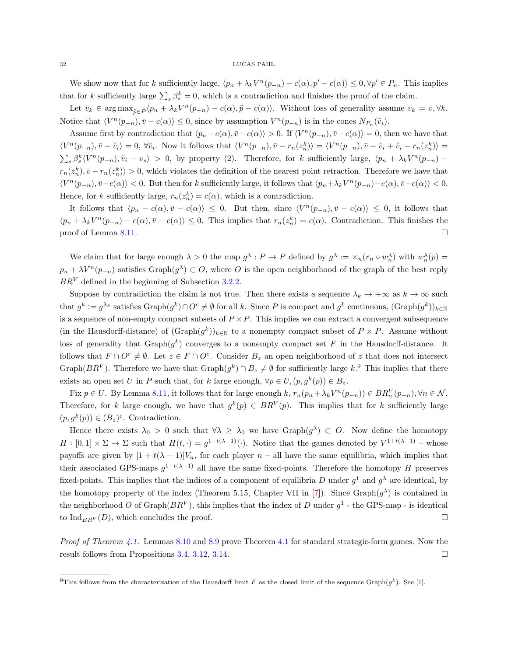#### $32$   $\,$  LUCAS PAHL

We show now that for k sufficiently large,  $\langle p_n + \lambda_k V^n(p_{-n}) - c(\alpha), p' - c(\alpha) \rangle \leq 0, \forall p' \in P_n$ . This implies that for k sufficiently large  $\sum_s \beta_s^k = 0$ , which is a contradiction and finishes the proof of the claim.

Let  $\bar{v}_k \in \arg \max_{\tilde{p} \in \tilde{P}} \langle p_n + \lambda_k V^n(p_{-n}) - c(\alpha), \tilde{p} - c(\alpha) \rangle$ . Without loss of generality assume  $\bar{v}_k = \bar{v}, \forall k$ . Notice that  $\langle V^n(p_{-n}), \bar{v} - c(\alpha) \rangle \leq 0$ , since by assumption  $V^n(p_{-n})$  is in the cones  $N_{P_n}(\tilde{v}_i)$ .

Assume first by contradiction that  $\langle p_n - c(\alpha), \overline{v} - c(\alpha) \rangle > 0$ . If  $\langle V^n(p_{-n}), \overline{v} - c(\alpha) \rangle = 0$ , then we have that  $\langle V^n(p_{-n}), \bar{v} - \tilde{v}_i \rangle = 0, \forall \tilde{v}_i$ . Now it follows that  $\langle V^n(p_{-n}), \bar{v} - r_n(z_n^k) \rangle = \langle V^n(p_{-n}), \bar{v} - \tilde{v}_i + \tilde{v}_i - r_n(z_n^k) \rangle = 0$  $\sum_{s} \beta_s^{k} \langle V^{n}(p_{-n}), \tilde{v}_i - v_s \rangle > 0$ , by property (2). Therefore, for k sufficiently large,  $\langle p_n + \lambda_k V^{n}(p_{-n}) - p_s \rangle$  $r_n(z_n^k), \bar{v} - r_n(z_n^k) > 0$ , which violates the definition of the nearest point retraction. Therefore we have that  $\langle V^n(p_{-n}), \bar{v}-c(\alpha)\rangle < 0$ . But then for k sufficiently large, it follows that  $\langle p_n + \lambda_k V^n(p_{-n})-c(\alpha), \bar{v}-c(\alpha)\rangle < 0$ . Hence, for k sufficiently large,  $r_n(z_n^k) = c(\alpha)$ , which is a contradiction.

It follows that  $\langle p_n - c(\alpha), \overline{v} - c(\alpha) \rangle \leq 0$ . But then, since  $\langle V^n(p_{-n}), \overline{v} - c(\alpha) \rangle \leq 0$ , it follows that  $\langle p_n + \lambda_k V^n(p_{-n}) - c(\alpha), \overline{v} - c(\alpha) \rangle \leq 0$ . This implies that  $r_n(z_n^k) = c(\alpha)$ . Contradiction. This finishes the proof of Lemma [8.11.](#page-30-0)  $\Box$ 

We claim that for large enough  $\lambda > 0$  the map  $g^{\lambda}: P \to P$  defined by  $g^{\lambda} := \times_n (r_n \circ w_n^{\lambda})$  with  $w_n^{\lambda}(p) =$  $p_n + \lambda V^n(p_{-n})$  satisfies  $Graph(g^{\lambda}) \subset O$ , where O is the open neighborhood of the graph of the best reply  $BR<sup>V</sup>$  defined in the beginning of Subsection [3.2.2.](#page-7-3)

Suppose by contradiction the claim is not true. Then there exists a sequence  $\lambda_k \to +\infty$  as  $k \to \infty$  such that  $g^k := g^{\lambda_k}$  satisfies  $\text{Graph}(g^k) \cap O^c \neq \emptyset$  for all k. Since P is compact and  $g^k$  continuous,  $(\text{Graph}(g^k))_{k \in \mathbb{N}}$ is a sequence of non-empty compact subsets of  $P \times P$ . This implies we can extract a convergent subsequence (in the Hausdorff-distance) of  $(\text{Graph}(g^k))_{k \in \mathbb{N}}$  to a nonempty compact subset of  $P \times P$ . Assume without loss of generality that  $\mathrm{Graph}(g^k)$  converges to a nonempty compact set F in the Hausdorff-distance. It follows that  $F \cap O^c \neq \emptyset$ . Let  $z \in F \cap O^c$ . Consider  $B_z$  an open neighborhood of z that does not intersect Graph( $BR<sup>V</sup>$ ). Therefore we have that  $Graph(g<sup>k</sup>) \cap B<sub>z</sub> \neq \emptyset$  for sufficiently large  $k<sup>9</sup>$  $k<sup>9</sup>$  $k<sup>9</sup>$ . This implies that there exists an open set U in P such that, for k large enough,  $\forall p \in U, (p, g^k(p)) \in B_z$ .

Fix  $p \in U$ . By Lemma [8.11,](#page-30-0) it follows that for large enough k,  $r_n(p_n + \lambda_k V^n(p_{-n})) \in BR_n^V(p_{-n}), \forall n \in \mathcal{N}$ . Therefore, for k large enough, we have that  $g^k(p) \in BR^V(p)$ . This implies that for k sufficiently large  $(p, g^k(p)) \in (B_z)^c$ . Contradiction.

Hence there exists  $\lambda_0 > 0$  such that  $\forall \lambda \geq \lambda_0$  we have  $Graph(g^{\lambda}) \subset O$ . Now define the homotopy  $H:[0,1]\times\Sigma\to\Sigma$  such that  $H(t,\cdot)=g^{1+t(\lambda-1)}(\cdot)$ . Notice that the games denoted by  $V^{1+t(\lambda-1)}$  – whose payoffs are given by  $[1 + t(\lambda - 1)]V_n$ , for each player  $n -$  all have the same equilibria, which implies that their associated GPS-maps  $g^{1+t(\lambda-1)}$  all have the same fixed-points. Therefore the homotopy H preserves fixed-points. This implies that the indices of a component of equilibria D under  $g^1$  and  $g^{\lambda}$  are identical, by the homotopy property of the index (Theorem 5.15, Chapter VII in [\[7\]](#page-22-5)). Since  $\text{Graph}(g^{\lambda})$  is contained in the neighborhood O of Graph $(BR^V)$ , this implies that the index of D under  $g^1$  - the GPS-map - is identical to  $\text{Ind}_{BRV}(D)$ , which concludes the proof.

*Proof of Theorem [4.1.](#page-8-1)* Lemmas [8.10](#page-30-1) and [8.9](#page-28-1) prove Theorem [4.1](#page-8-1) for standard strategic-form games. Now the result follows from Propositions [3.4,](#page-5-1) [3.12,](#page-7-0) [3.14.](#page-7-2)

<sup>&</sup>lt;sup>9</sup>This follows from the characterization of the Hausdorff limit F as the closed limit of the sequence Graph( $g^k$ ). See [\[1\]](#page-22-8).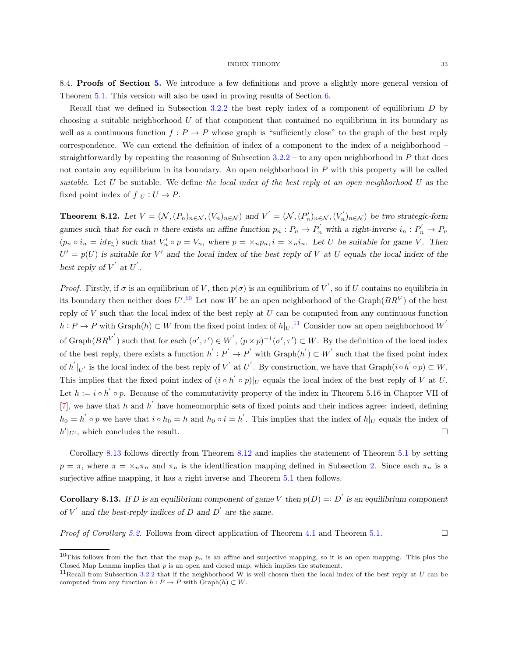<span id="page-32-2"></span>8.4. Proofs of Section [5.](#page-8-2) We introduce a few definitions and prove a slightly more general version of Theorem [5.1.](#page-8-3) This version will also be used in proving results of Section [6.](#page-10-1)

Recall that we defined in Subsection [3.2.2](#page-7-3) the best reply index of a component of equilibrium  $D$  by choosing a suitable neighborhood U of that component that contained no equilibrium in its boundary as well as a continuous function  $f: P \to P$  whose graph is "sufficiently close" to the graph of the best reply correspondence. We can extend the definition of index of a component to the index of a neighborhood – straightforwardly by repeating the reasoning of Subsection  $3.2.2$  – to any open neighborhood in P that does not contain any equilibrium in its boundary. An open neighborhood in P with this property will be called suitable. Let U be suitable. We define the local index of the best reply at an open neighborhood U as the fixed point index of  $f|_U : U \to P$ .

<span id="page-32-0"></span>**Theorem 8.12.** Let  $V = (\mathcal{N}, (P_n)_{n \in \mathcal{N}}, (V_n)_{n \in \mathcal{N}})$  and  $V' = (\mathcal{N}, (P'_n)_{n \in \mathcal{N}}, (V'_n)_{n \in \mathcal{N}})$  be two strategic-form games such that for each n there exists an affine function  $p_n : P_n \to P'_n$  with a right-inverse  $i_n : P'_n \to P_n$  $(p_n \circ i_n = id_{P'_n})$  such that  $V'_n \circ p = V_n$ , where  $p = \times_n p_n$ ,  $i = \times_n i_n$ . Let U be suitable for game V. Then  $U' = p(U)$  is suitable for V' and the local index of the best reply of V at U equals the local index of the best reply of  $V'$  at  $U'$ .

*Proof.* Firstly, if  $\sigma$  is an equilibrium of V, then  $p(\sigma)$  is an equilibrium of V', so if U contains no equilibria in its boundary then neither does  $U'.^{10}$  $U'.^{10}$  $U'.^{10}$  Let now W be an open neighborhood of the Graph $(BR^V)$  of the best reply of  $V$  such that the local index of the best reply at  $U$  can be computed from any continuous function  $h: P \to P$  with  $\text{Graph}(h) \subset W$  from the fixed point index of  $h|_U$ .<sup>[11](#page-0-0)</sup> Consider now an open neighborhood W<sup>'</sup> of Graph $(BR^{V'})$  such that for each  $(\sigma', \tau') \in W'$ ,  $(p \times p)^{-1}(\sigma', \tau') \subset W$ . By the definition of the local index of the best reply, there exists a function  $h': P' \to P'$  with  $Graph(h') \subset W'$  such that the fixed point index of  $h^{'}|_{U'}$  is the local index of the best reply of  $V^{'}$  at  $U^{'}$ . By construction, we have that  $\text{Graph}(i \circ h^{'} \circ p) \subset W$ . This implies that the fixed point index of  $(i \circ h' \circ p)|_U$  equals the local index of the best reply of V at U. Let  $h := i \circ h' \circ p$ . Because of the commutativity property of the index in Theorem 5.16 in Chapter VII of [\[7\]](#page-22-5), we have that h and h' have homeomorphic sets of fixed points and their indices agree: indeed, defining  $h_0 = h' \circ p$  we have that  $i \circ h_0 = h$  and  $h_0 \circ i = h'$ . This implies that the index of  $h|_U$  equals the index of  $h'|_{U'}$ , which concludes the result.

Corollary [8.13](#page-32-1) follows directly from Theorem [8.12](#page-32-0) and implies the statement of Theorem [5.1](#page-8-3) by setting  $p = \pi$ , where  $\pi = \times_n \pi_n$  and  $\pi_n$  is the identification mapping defined in Subsection [2.](#page-2-0) Since each  $\pi_n$  is a surjective affine mapping, it has a right inverse and Theorem  $5.1$  then follows.

<span id="page-32-1"></span>**Corollary 8.13.** If D is an equilibrium component of game V then  $p(D) =: D'$  is an equilibrium component of  $V'$  and the best-reply indices of D and D' are the same.

*Proof of Corollary [5.2.](#page-8-4)* Follows from direct application of Theorem [4.1](#page-8-1) and Theorem [5.1.](#page-8-3)

<sup>&</sup>lt;sup>10</sup>This follows from the fact that the map  $p_n$  is an affine and surjective mapping, so it is an open mapping. This plus the Closed Map Lemma implies that  $p$  is an open and closed map, which implies the statement.

<sup>&</sup>lt;sup>11</sup>Recall from Subsection [3.2.2](#page-7-3) that if the neighborhood W is well chosen then the local index of the best reply at  $U$  can be computed from any function  $h : P \to P$  with  $Graph(h) \subset W$ .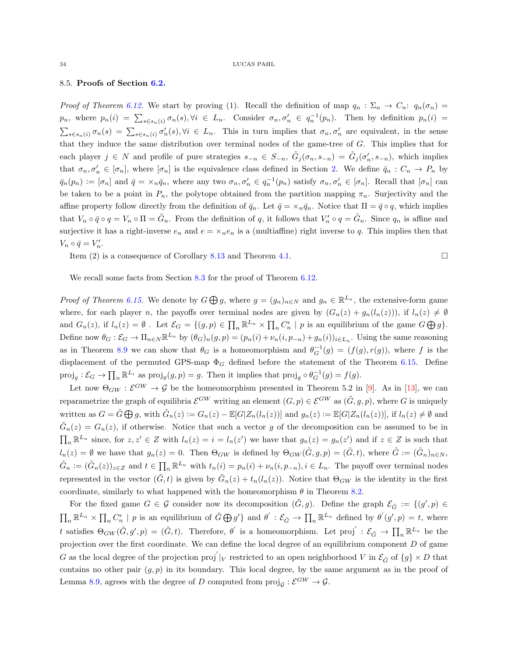### <span id="page-33-0"></span>8.5. Proofs of Section [6.2.](#page-12-0)

Proof of Theorem [6.12.](#page-15-1) We start by proving (1). Recall the definition of map  $q_n : \Sigma_n \to C_n$ :  $q_n(\sigma_n) =$  $p_n$ , where  $p_n(i) = \sum_{s \in s_n(i)} \sigma_n(s)$ ,  $\forall i \in L_n$ . Consider  $\sigma_n, \sigma'_n \in q_n^{-1}(p_n)$ . Then by definition  $p_n(i) =$  $\sum_{s\in s_n(i)} \sigma_n(s) = \sum_{s\in s_n(i)} \sigma'_n(s)$ ,  $\forall i \in L_n$ . This in turn implies that  $\sigma_n$ ,  $\sigma'_n$  are equivalent, in the sense that they induce the same distribution over terminal nodes of the game-tree of G. This implies that for each player  $j \in N$  and profile of pure strategies  $s_{-n} \in S_{-n}$ ,  $\tilde{G}_j(\sigma_n, s_{-n}) = \tilde{G}_j(\sigma'_n, s_{-n})$ , which implies that  $\sigma_n, \sigma'_n \in [\sigma_n]$ , where  $[\sigma_n]$  is the equivalence class defined in Section [2.](#page-2-0) We define  $\bar{q}_n : C_n \to P_n$  by  $\bar{q}_n(p_n) := [\sigma_n]$  and  $\bar{q} = \times_n \bar{q}_n$ , where any two  $\sigma_n, \sigma'_n \in q_n^{-1}(p_n)$  satisfy  $\sigma_n, \sigma'_n \in [\sigma_n]$ . Recall that  $[\sigma_n]$  can be taken to be a point in  $P_n$ , the polytope obtained from the partition mapping  $\pi_n$ . Surjectivity and the affine property follow directly from the definition of  $\bar{q}_n$ . Let  $\bar{q} = \times_n \bar{q}_n$ . Notice that  $\Pi = \bar{q} \circ q$ , which implies that  $V_n \circ \bar{q} \circ q = V_n \circ \Pi = \tilde{G}_n$ . From the definition of q, it follows that  $V'_n \circ q = \tilde{G}_n$ . Since  $q_n$  is affine and surjective it has a right-inverse  $e_n$  and  $e = \times_n e_n$  is a (multiaffine) right inverse to q. This implies then that  $V_n \circ \bar{q} = V_n'.$ 

Item (2) is a consequence of Corollary [8.13](#page-32-1) and Theorem [4.1.](#page-8-1)

$$
\qquad \qquad \Box
$$

We recall some facts from Section [8.3](#page-28-0) for the proof of Theorem [6.12.](#page-15-1)

*Proof of Theorem [6.15.](#page-17-1)* We denote by  $G \bigoplus g$ , where  $g = (g_n)_{n \in N}$  and  $g_n \in \mathbb{R}^{L_n}$ , the extensive-form game where, for each player n, the payoffs over terminal nodes are given by  $(G_n(z) + g_n(l_n(z)))$ , if  $l_n(z) \neq \emptyset$ and  $G_n(z)$ , if  $l_n(z) = \emptyset$ . Let  $\mathcal{E}_G = \{(g, p) \in \prod_n \mathbb{R}^{L_n} \times \prod_n C_n^{\epsilon} \mid p$  is an equilibrium of the game  $G \bigoplus g$ . Define now  $\theta_G : \mathcal{E}_G \to \Pi_{n \in \mathbb{N}} \mathbb{R}^{L_n}$  by  $(\theta_G)_n(g, p) = (p_n(i) + \nu_n(i, p_{-n}) + g_n(i))_{i \in L_n}$ . Using the same reasoning as in Theorem [8.9](#page-28-1) we can show that  $\theta_G$  is a homeomorphism and  $\theta_G^{-1}(g) = (f(g), r(g))$ , where f is the displacement of the permuted GPS-map  $\Phi_G$  defined before the statement of the Theorem [6.15.](#page-17-1) Define  $\text{proj}_g : \mathcal{E}_G \to \prod_n \mathbb{R}^{L_i}$  as  $\text{proj}_g(g, p) = g$ . Then it implies that  $\text{proj}_g \circ \theta_G^{-1}(g) = f(g)$ .

Let now  $\Theta_{GW}: \mathcal{E}^{GW} \to \mathcal{G}$  be the homeomorphism presented in Theorem 5.2 in [\[9\]](#page-22-3). As in [\[13\]](#page-23-2), we can reparametrize the graph of equilibria  $\mathcal{E}^{GW}$  writing an element  $(G, p) \in \mathcal{E}^{GW}$  as  $(\tilde{G}, g, p)$ , where G is uniquely written as  $G = \tilde{G} \bigoplus g$ , with  $\tilde{G}_n(z) := G_n(z) - \mathbb{E}[G|Z_n(l_n(z))]$  and  $g_n(z) := \mathbb{E}[G|Z_n(l_n(z))]$ , if  $l_n(z) \neq \emptyset$  and  $\tilde{G}_n(z) = G_n(z)$ , if otherwise. Notice that such a vector g of the decomposition can be assumed to be in  $\prod_n \mathbb{R}^{L_n}$  since, for  $z, z' \in Z$  with  $l_n(z) = i = l_n(z')$  we have that  $g_n(z) = g_n(z')$  and if  $z \in Z$  is such that  $l_n(z) = \emptyset$  we have that  $g_n(z) = 0$ . Then  $\Theta_{GW}$  is defined by  $\Theta_{GW}(\tilde{G}, g, p) = (\tilde{G}, t)$ , where  $\tilde{G} := (\tilde{G}_n)_{n \in N}$ ,  $\tilde{G}_n := (\tilde{G}_n(z))_{z \in \mathbb{Z}}$  and  $t \in \prod_n \mathbb{R}^{L_n}$  with  $t_n(i) = p_n(i) + \nu_n(i, p_{-n}), i \in L_n$ . The payoff over terminal nodes represented in the vector  $(\tilde{G}, t)$  is given by  $\tilde{G}_n(z) + t_n(l_n(z))$ . Notice that  $\Theta_{GW}$  is the identity in the first coordinate, similarly to what happened with the homeomorphism  $\theta$  in Theorem [8.2.](#page-24-0)

For the fixed game  $G \in \mathcal{G}$  consider now its decomposition  $(\tilde{G}, g)$ . Define the graph  $\mathcal{E}_{\tilde{G}} := \{(g', p) \in$  $\prod_n \mathbb{R}^{L_n} \times \prod_n C_n^{\epsilon} \mid p$  is an equilibrium of  $\tilde{G} \bigoplus g'$  and  $\theta' : \mathcal{E}_{\tilde{G}} \to \prod_n \mathbb{R}^{L_n}$  defined by  $\theta'(g', p) = t$ , where t satisfies  $\Theta_{GW}(\tilde{G}, g', p) = (\tilde{G}, t)$ . Therefore,  $\theta'$  is a homeomorphism. Let proj':  $\mathcal{E}_{\tilde{G}} \to \prod_n \mathbb{R}^{L_n}$  be the projection over the first coordinate. We can define the local degree of an equilibrium component D of game G as the local degree of the projection proj<sup>'</sup> |<sub>V</sub> restricted to an open neighborhood V in  $\mathcal{E}_{\tilde{G}}$  of  $\{g\} \times D$  that contains no other pair  $(g, p)$  in its boundary. This local degree, by the same argument as in the proof of Lemma [8.9,](#page-28-1) agrees with the degree of D computed from  $\text{proj}_{\mathcal{G}} : \mathcal{E}^{GW} \to \mathcal{G}$ .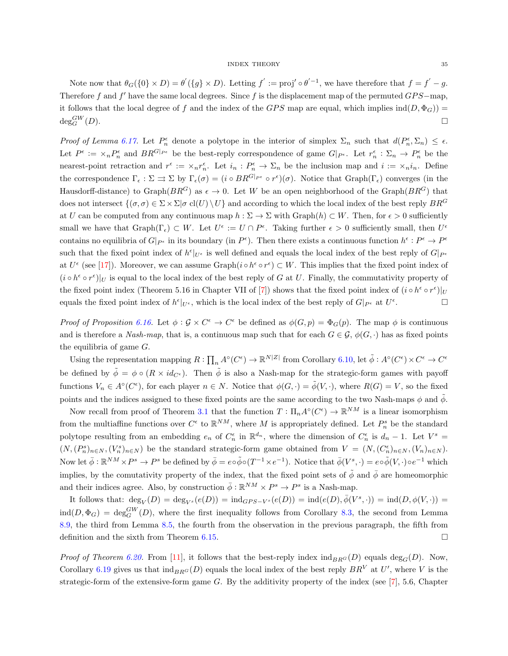Note now that  $\theta_G(\{0\} \times D) = \theta'(\{g\} \times D)$ . Letting  $f' := \text{proj}' \circ \theta'^{-1}$ , we have therefore that  $f = f' - g$ . Therefore f and f' have the same local degrees. Since f is the displacement map of the permuted  $GPS$ -map, it follows that the local degree of f and the index of the GPS map are equal, which implies  $ind(D, \Phi_G))$  =  $deg_G^{GW}(D)$ .  ${}^{GW}_G(D).$ 

Proof of Lemma [6.17.](#page-18-0) Let  $P_n^{\epsilon}$  denote a polytope in the interior of simplex  $\Sigma_n$  such that  $d(P_n^{\epsilon}, \Sigma_n) \leq \epsilon$ . Let  $P^{\epsilon} := \times_n P_n^{\epsilon}$  and  $BR^{G|_{P^{\epsilon}}}$  be the best-reply correspondence of game  $G|_{P^{\epsilon}}$ . Let  $r_n^{\epsilon}: \Sigma_n \to P_n^{\epsilon}$  be the nearest-point retraction and  $r^{\epsilon} := \times_n r_n^{\epsilon}$ . Let  $i_n : P_n^{\epsilon} \to \Sigma_n$  be the inclusion map and  $i := \times_n i_n$ . Define the correspondence  $\Gamma_{\epsilon} : \Sigma \rightrightarrows \Sigma$  by  $\Gamma_{\epsilon}(\sigma) = (i \circ BR^{G|_{P^{\epsilon}}} \circ r^{\epsilon})(\sigma)$ . Notice that  $Graph(\Gamma_{\epsilon})$  converges (in the Hausdorff-distance) to Graph( $BR^G$ ) as  $\epsilon \to 0$ . Let W be an open neighborhood of the Graph( $BR^G$ ) that does not intersect  $\{(\sigma,\sigma) \in \Sigma \times \Sigma | \sigma \text{ cl}(U) \setminus U\}$  and according to which the local index of the best reply  $BR^G$ at U can be computed from any continuous map  $h : \Sigma \to \Sigma$  with  $Graph(h) \subset W$ . Then, for  $\epsilon > 0$  sufficiently small we have that  $\mathrm{Graph}(\Gamma_{\epsilon}) \subset W$ . Let  $U^{\epsilon} := U \cap P^{\epsilon}$ . Taking further  $\epsilon > 0$  sufficiently small, then  $U^{\epsilon}$ contains no equilibria of  $G|_{P^{\epsilon}}$  in its boundary (in  $P^{\epsilon}$ ). Then there exists a continuous function  $h^{\epsilon}: P^{\epsilon} \to P^{\epsilon}$ such that the fixed point index of  $h^{\epsilon}|_{U^{\epsilon}}$  is well defined and equals the local index of the best reply of  $G|_{P^{\epsilon}}$ at  $U^{\epsilon}$  (see [\[17\]](#page-23-10)). Moreover, we can assume Graph( $i \circ h^{\epsilon} \circ r^{\epsilon}$ )  $\subset W$ . This implies that the fixed point index of  $(i \circ h^{\epsilon} \circ r^{\epsilon})|_{U}$  is equal to the local index of the best reply of G at U. Finally, the commutativity property of the fixed point index (Theorem 5.16 in Chapter VII of [\[7\]](#page-22-5)) shows that the fixed point index of  $(i \circ h^{\epsilon} \circ r^{\epsilon})|_{U}$ equals the fixed point index of  $h^{\epsilon}|_{U^{\epsilon}}$ , which is the local index of the best reply of  $G|_{P^{\epsilon}}$  at  $U^{\epsilon}$  $\Box$ 

Proof of Proposition [6.16.](#page-17-0) Let  $\phi : \mathcal{G} \times C^{\epsilon} \to C^{\epsilon}$  be defined as  $\phi(G, p) = \Phi_G(p)$ . The map  $\phi$  is continuous and is therefore a Nash-map, that is, a continuous map such that for each  $G \in \mathcal{G}$ ,  $\phi(G, \cdot)$  has as fixed points the equilibria of game G.

Using the representation mapping  $R: \prod_n A^\circ(C^\epsilon) \to \mathbb{R}^{N|Z|}$  from Corollary [6.10,](#page-15-0) let  $\tilde{\phi}: A^\circ(C^\epsilon) \times C^\epsilon \to C^\epsilon$ be defined by  $\tilde{\phi} = \phi \circ (R \times id_{C^{\epsilon}})$ . Then  $\tilde{\phi}$  is also a Nash-map for the strategic-form games with payoff functions  $V_n \in A^{\circ}(C^{\epsilon})$ , for each player  $n \in N$ . Notice that  $\phi(G, \cdot) = \tilde{\phi}(V, \cdot)$ , where  $R(G) = V$ , so the fixed points and the indices assigned to these fixed points are the same according to the two Nash-maps  $\phi$  and  $\tilde{\phi}$ .

Now recall from proof of Theorem [3.1](#page-4-3) that the function  $T: \Pi_n A^{\circ}(C^{\epsilon}) \to \mathbb{R}^{NM}$  is a linear isomorphism from the multiaffine functions over  $C^{\epsilon}$  to  $\mathbb{R}^{NM}$ , where M is appropriately defined. Let  $P_n^s$  be the standard polytope resulting from an embedding  $e_n$  of  $C_n^{\epsilon}$  in  $\mathbb{R}^{d_n}$ , where the dimension of  $C_n^{\epsilon}$  is  $d_n - 1$ . Let  $V^s =$  $(N,(P_n^s)_{n\in N},(V_n^s)_{n\in N})$  be the standard strategic-form game obtained from  $V = (N,(C_n^{\epsilon})_{n\in N},(V_n)_{n\in N})$ . Now let  $\bar{\phi}: \mathbb{R}^{NM} \times P^s \to P^s$  be defined by  $\bar{\phi} = e \circ \tilde{\phi} \circ (T^{-1} \times e^{-1})$ . Notice that  $\bar{\phi}(V^s, \cdot) = e \circ \tilde{\phi}(V, \cdot) \circ e^{-1}$  which implies, by the comutativity property of the index, that the fixed point sets of  $\tilde{\phi}$  and  $\bar{\phi}$  are homeomorphic and their indices agree. Also, by construction  $\bar{\phi}: \mathbb{R}^{NM} \times P^s \to P^s$  is a Nash-map.

It follows that:  $deg_V(D) = deg_{V^s}(e(D)) = ind_{GPS-V^s}(e(D)) = ind(e(D), \overline{\phi}(V^s, \cdot)) = ind(D, \phi(V, \cdot))$  $\text{ind}(D, \Phi_G) = \text{deg}_G^{\text{GW}}(D)$ , where the first inequality follows from Corollary [8.3,](#page-25-1) the second from Lemma [8.9,](#page-28-1) the third from Lemma [8.5,](#page-27-1) the fourth from the observation in the previous paragraph, the fifth from definition and the sixth from Theorem [6.15.](#page-17-1)

*Proof of Theorem [6.20.](#page-19-0)* From [\[11\]](#page-23-1), it follows that the best-reply index  $\text{ind}_{BR}(\mathcal{D})$  equals  $\text{deg}_{G}(\mathcal{D})$ . Now, Corollary [6.19](#page-18-2) gives us that  $\text{ind}_{BR}G(D)$  equals the local index of the best reply  $BR<sup>V</sup>$  at U', where V is the strategic-form of the extensive-form game  $G$ . By the additivity property of the index (see [\[7\]](#page-22-5), 5.6, Chapter